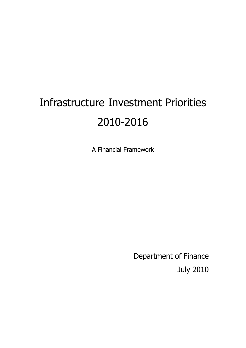# Infrastructure Investment Priorities 2010-2016

A Financial Framework

Department of Finance July 2010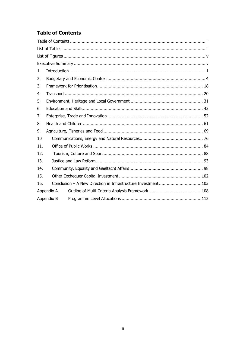# **Table of Contents**

| 1   |            |                                                              |  |  |  |  |
|-----|------------|--------------------------------------------------------------|--|--|--|--|
| 2.  |            |                                                              |  |  |  |  |
| 3.  |            |                                                              |  |  |  |  |
| 4.  |            |                                                              |  |  |  |  |
| 5.  |            |                                                              |  |  |  |  |
| 6.  |            |                                                              |  |  |  |  |
| 7.  |            |                                                              |  |  |  |  |
| 8   |            |                                                              |  |  |  |  |
| 9.  |            |                                                              |  |  |  |  |
| 10  |            |                                                              |  |  |  |  |
| 11. |            |                                                              |  |  |  |  |
| 12. |            |                                                              |  |  |  |  |
| 13. |            |                                                              |  |  |  |  |
| 14. |            |                                                              |  |  |  |  |
| 15. |            |                                                              |  |  |  |  |
| 16. |            | Conclusion - A New Direction in Infrastructure Investment103 |  |  |  |  |
|     | Appendix A |                                                              |  |  |  |  |
|     | Appendix B |                                                              |  |  |  |  |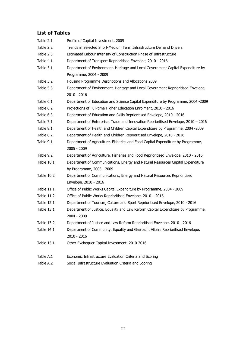## **List of Tables**

| Table 2.1         | Profile of Capital Investment, 2009                                                |
|-------------------|------------------------------------------------------------------------------------|
| Table 2.2         | Trends in Selected Short-Medium Term Infrastructure Demand Drivers                 |
| Table 2.3         | Estimated Labour Intensity of Construction Phase of Infrastructure                 |
| Table 4.1         | Department of Transport Reprioritised Envelope, 2010 - 2016                        |
| Table 5.1         | Department of Environment, Heritage and Local Government Capital Expenditure by    |
|                   | Programme, 2004 - 2009                                                             |
| Table 5.2         | Housing Programme Descriptions and Allocations 2009                                |
| Table 5.3         | Department of Environment, Heritage and Local Government Reprioritised Envelope,   |
|                   | 2010 - 2016                                                                        |
| Table 6.1         | Department of Education and Science Capital Expenditure by Programme, 2004 -2009   |
| Table 6.2         | Projections of Full-time Higher Education Enrolment, 2010 - 2016                   |
| Table 6.3         | Department of Education and Skills Reprioritised Envelope, 2010 - 2016             |
| Table 7.1         | Department of Enterprise, Trade and Innovation Reprioritised Envelope, 2010 - 2016 |
| Table 8.1         | Department of Health and Children Capital Expenditure by Programme, 2004 -2009     |
| Table 8.2         | Department of Health and Children Reprioritised Envelope, 2010 - 2016              |
| Table 9.1         | Department of Agriculture, Fisheries and Food Capital Expenditure by Programme,    |
|                   | 2005 - 2009                                                                        |
| Table 9.2         | Department of Agriculture, Fisheries and Food Reprioritised Envelope, 2010 - 2016  |
| Table 10.1        | Department of Communications, Energy and Natural Resources Capital Expenditure     |
|                   | by Programme, 2005 - 2009                                                          |
| Table 10.2        | Department of Communications, Energy and Natural Resources Reprioritised           |
|                   | Envelope, 2010 - 2016                                                              |
| Table 11.1        | Office of Public Works Capital Expenditure by Programme, 2004 - 2009               |
| Table 11.2        | Office of Public Works Reprioritised Envelope, 2010 - 2016                         |
| Table 12.1        | Department of Tourism, Culture and Sport Reprioritised Envelope, 2010 - 2016       |
| Table 13.1        | Department of Justice, Equality and Law Reform Capital Expenditure by Programme,   |
|                   | $2004 - 2009$                                                                      |
| Table 13.2        | Department of Justice and Law Reform Reprioritised Envelope, 2010 - 2016           |
| <b>Table 14.1</b> | Department of Community, Equality and Gaeltacht Affairs Reprioritised Envelope,    |
|                   | 2010 - 2016                                                                        |
| <b>Table 15.1</b> | Other Exchequer Capital Investment, 2010-2016                                      |
| Table A.1         | Economic Infrastructure Evaluation Criteria and Scoring                            |
| Table A.2         | Social Infrastructure Evaluation Criteria and Scoring                              |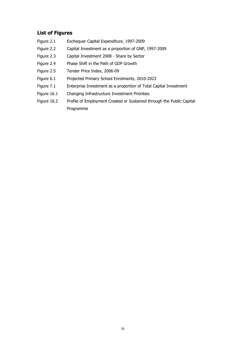## **List of Figures**

- Figure 2.1 Exchequer Capital Expenditure, 1997-2009
- Figure 2.2 Capital Investment as a proportion of GNP, 1997-2009
- Figure 2.3 Capital Investment 2008 Share by Sector
- Figure 2.4 Phase Shift in the Path of GDP Growth
- Figure 2.5 Tender Price Index, 2006-09
- Figure 6.1 Projected Primary School Enrolments, 2010-2023
- Figure 7.1 Enterprise Investment as a proportion of Total Capital Investment
- Figure 16.1 Changing Infrastructure Investment Priorities
- Figure 16.2 Profile of Employment Created or Sustained through the Public Capital Programme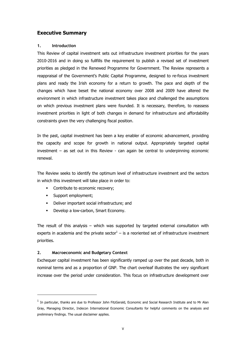## **Executive Summary**

#### **1. Introduction**

This Review of capital investment sets out infrastructure investment priorities for the years 2010-2016 and in doing so fullfills the requirement to publish a revised set of investment priorities as pledged in the Renewed Programme for Government. The Review represents a reappraisal of the Government's Public Capital Programme, designed to re-focus investment plans and ready the Irish economy for a return to growth. The pace and depth of the changes which have beset the national economy over 2008 and 2009 have altered the environment in which infrastructure investment takes place and challenged the assumptions on which previous investment plans were founded. It is necessary, therefore, to reassess investment priorities in light of both changes in demand for infrastructure and affordability constraints given the very challenging fiscal position.

In the past, capital investment has been a key enabler of economic advancement, providing the capacity and scope for growth in national output. Appropriately targeted capital investment – as set out in this Review - can again be central to underpinning economic renewal.

The Review seeks to identify the optimum level of infrastructure investment and the sectors in which this investment will take place in order to:

- Contribute to economic recovery;
- § Support employment;
- § Deliver important social infrastructure; and
- § Develop a low-carbon, Smart Economy.

The result of this analysis – which was supported by targeted external consultation with experts in academia and the private sector $1 -$  is a reoriented set of infrastructure investment priorities.

## **2. Macroeconomic and Budgetary Context**

Exchequer capital investment has been significantly ramped up over the past decade, both in nominal terms and as a proportion of GNP. The chart overleaf illustrates the very significant increase over the period under consideration. This focus on infrastructure development over

 $^{\rm 1}$  In particular, thanks are due to Professor John FitzGerald, Economic and Social Research Institute and to Mr Alan Gray, Managing Director, Indecon International Economic Consultants for helpful comments on the analysis and preliminary findings. The usual disclaimer applies.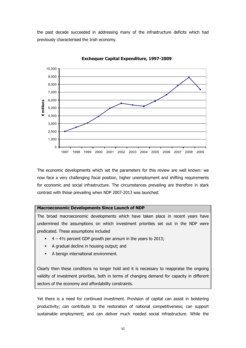the past decade succeeded in addressing many of the infrastructure deficits which had previously characterised the Irish economy.



**Exchequer Capital Expenditure, 1997-2009**

The economic developments which set the parameters for this review are well known: we now face a very challenging fiscal position, higher unemployment and shifting requirements for economic and social infrastructure. The circumstances prevailing are therefore in stark contrast with those prevailing when NDP 2007-2013 was launched.

#### **Macroeconomic Developments Since Launch of NDP**

The broad macroeconomic developments which have taken place in recent years have undermined the assumptions on which investment priorities set out in the NDP were predicated. These assumptions included

- § 4 4½ percent GDP growth per annum in the years to 2013;
- § A gradual decline in housing output; and
- § A benign international environment.

Clearly then these conditions no longer hold and it is necessary to reappraise the ongoing validity of investment priorities, both in terms of changing demand for capacity in different sectors of the economy and affordability constraints.

Yet there is a need for continued investment. Provision of capital can assist in bolstering productivity; can contribute to the restoration of national competitiveness; can support sustainable employment; and can deliver much needed social infrastructure. While the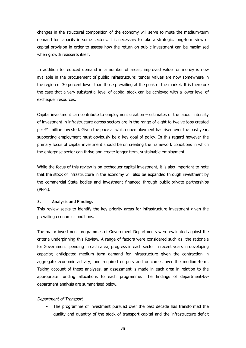changes in the structural composition of the economy will serve to mute the medium-term demand for capacity in some sectors, it is necessary to take a strategic, long-term view of capital provision in order to assess how the return on public investment can be maximised when growth reasserts itself.

In addition to reduced demand in a number of areas, improved value for money is now available in the procurement of public infrastructure: tender values are now somewhere in the region of 30 percent lower than those prevailing at the peak of the market. It is therefore the case that a very substantial level of capital stock can be achieved with a lower level of exchequer resources.

Capital investment can contribute to employment creation – estimates of the labour intensity of investment in infrastructure across sectors are in the range of eight to twelve jobs created per €1 million invested. Given the pace at which unemployment has risen over the past year, supporting employment must obviously be a key goal of policy. In this regard however the primary focus of capital investment should be on creating the framework conditions in which the enterprise sector can thrive and create longer-term, sustainable employment.

While the focus of this review is on exchequer capital investment, it is also important to note that the stock of infrastructure in the economy will also be expanded through investment by the commercial State bodies and investment financed through public-private partnerships (PPPs).

#### **3. Analysis and Findings**

This review seeks to identify the key priority areas for infrastructure investment given the prevailing economic conditions.

The major investment programmes of Government Departments were evaluated against the criteria underpinning this Review. A range of factors were considered such as: the rationale for Government spending in each area; progress in each sector in recent years in developing capacity; anticipated medium term demand for infrastructure given the contraction in aggregate economic activity; and required outputs and outcomes over the medium-term. Taking account of these analyses, an assessment is made in each area in relation to the appropriate funding allocations to each programme. The findings of department-bydepartment analysis are summarised below.

## Department of Transport

• The programme of investment pursued over the past decade has transformed the quality and quantity of the stock of transport capital and the infrastructure deficit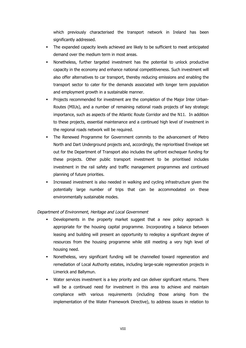which previously characterised the transport network in Ireland has been significantly addressed.

- The expanded capacity levels achieved are likely to be sufficient to meet anticipated demand over the medium term in most areas.
- § Nonetheless, further targeted investment has the potential to unlock productive capacity in the economy and enhance national competitiveness. Such investment will also offer alternatives to car transport, thereby reducing emissions and enabling the transport sector to cater for the demands associated with longer term population and employment growth in a sustainable manner.
- Projects recommended for investment are the completion of the Major Inter Urban-Routes (MIUs), and a number of remaining national roads projects of key strategic importance, such as aspects of the Atlantic Route Corridor and the N11. In addition to these projects, essential maintenance and a continued high level of investment in the regional roads network will be required.
- § The Renewed Programme for Government commits to the advancement of Metro North and Dart Underground projects and, accordingly, the reprioritised Envelope set out for the Department of Transport also includes the upfront exchequer funding for these projects. Other public transport investment to be prioritised includes investment in the rail safety and traffic management programmes and continued planning of future priorities.
- Increased investment is also needed in walking and cycling infrastructure given the potentially large number of trips that can be accommodated on these environmentally sustainable modes.

## Department of Environment, Heritage and Local Government

- Developments in the property market suggest that a new policy approach is appropriate for the housing capital programme. Incorporating a balance between leasing and building will present an opportunity to redeploy a significant degree of resources from the housing programme while still meeting a very high level of housing need.
- § Nonetheless, very significant funding will be channelled toward regeneration and remediation of Local Authority estates, including large-scale regeneration projects in Limerick and Ballymun.
- Water services investment is a key priority and can deliver significant returns. There will be a continued need for investment in this area to achieve and maintain compliance with various requirements (including those arising from the implementation of the Water Framework Directive), to address issues in relation to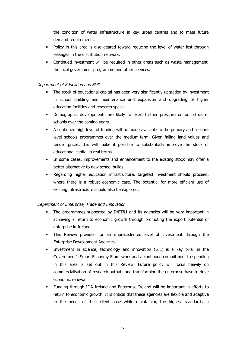the condition of water infrastructure in key urban centres and to meet future demand requirements.

- Policy in this area is also geared toward reducing the level of water lost through leakages in the distribution network.
- § Continued investment will be required in other areas such as waste management, the local government programme and other services.

## Department of Education and Skills

- The stock of educational capital has been very significantly upgraded by investment in school building and maintenance and expansion and upgrading of higher education facilities and research space.
- § Demographic developments are likely to exert further pressure on our stock of schools over the coming years.
- § A continued high level of funding will be made available to the primary and secondlevel schools programmes over the medium-term. Given falling land values and tender prices, this will make it possible to substantially improve the stock of educational capital in real terms.
- In some cases, improvements and enhancement to the existing stock may offer a better alternative to new school builds.
- Regarding higher education infrastructure, targeted investment should proceed, where there is a robust economic case. The potential for more efficient use of existing infrastructure should also be explored.

## Department of Enterprise, Trade and Innovation

- The programmes supported by D/ET&I and its agencies will be very important in achieving a return to economic growth through promoting the export potential of enterprise in Ireland.
- § This Review provides for an unprecedented level of investment through the Enterprise Development Agencies.
- Investment in science, technology and innovation (STI) is a key pillar in the Government's Smart Economy Framework and a continued commitment to spending in this area is set out in this Review. Future policy will focus heavily on commercialisation of research outputs and transforming the enterprise base to drive economic renewal.
- § Funding through IDA Ireland and Enterprise Ireland will be important in efforts to return to economic growth. It is critical that these agencies are flexible and adaptive to the needs of their client base while maintaining the highest standards in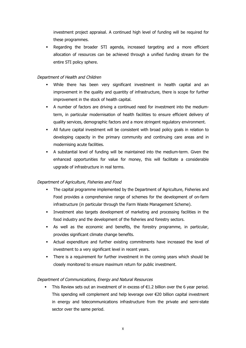investment project appraisal. A continued high level of funding will be required for these programmes.

Regarding the broader STI agenda, increased targeting and a more efficient allocation of resources can be achieved through a unified funding stream for the entire STI policy sphere.

## Department of Health and Children

- § While there has been very significant investment in health capital and an improvement in the quality and quantity of infrastructure, there is scope for further improvement in the stock of health capital.
- § A number of factors are driving a continued need for investment into the mediumterm, in particular modernisation of health facilities to ensure efficient delivery of quality services, demographic factors and a more stringent regulatory environment.
- All future capital investment will be consistent with broad policy goals in relation to developing capacity in the primary community and continuing care areas and in modernising acute facilities.
- § A substantial level of funding will be maintained into the medium-term. Given the enhanced opportunities for value for money, this will facilitate a considerable upgrade of infrastructure in real terms.

## Department of Agriculture, Fisheries and Food

- The capital programme implemented by the Department of Agriculture, Fisheries and Food provides a comprehensive range of schemes for the development of on-farm infrastructure (in particular through the Farm Waste Management Scheme).
- § Investment also targets development of marketing and processing facilities in the food industry and the development of the fisheries and forestry sectors.
- § As well as the economic and benefits, the forestry programme, in particular, provides significant climate change benefits.
- § Actual expenditure and further existing commitments have increased the level of investment to a very significant level in recent years.
- § There is a requirement for further investment in the coming years which should be closely monitored to ensure maximum return for public investment.

## Department of Communications, Energy and Natural Resources

**•** This Review sets out an investment of in excess of  $\epsilon$ 1.2 billion over the 6 year period. This spending will complement and help leverage over  $\epsilon$ 20 billion capital investment in energy and telecommunications infrastructure from the private and semi-state sector over the same period.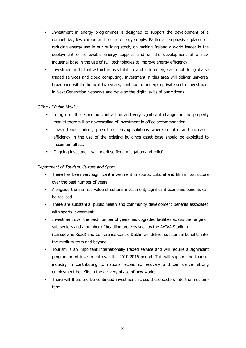- Investment in energy programmes is designed to support the development of a competitive, low carbon and secure energy supply. Particular emphasis is placed on reducing energy use in our building stock, on making Ireland a world leader in the deployment of renewable energy supplies and on the development of a new industrial base in the use of ICT technologies to improve energy efficiency.
- Investment in ICT infrastructure is vital if Ireland is to emerge as a hub for globallytraded services and cloud computing. Investment in this area will deliver universal broadband within the next two years, continue to underpin private sector investment in Next Generation Networks and develop the digital skills of our citizens.

## Office of Public Works

- In light of the economic contraction and very significant changes in the property market there will be downscaling of investment in office accommodation.
- Lower tender prices, pursuit of leasing solutions where suitable and increased efficiency in the use of the existing buildings asset base should be exploited to maximum effect.
- § Ongoing investment will prioritise flood mitigation and relief.

## Department of Tourism, Culture and Sport

- There has been very significant investment in sports, cultural and film infrastructure over the past number of years.
- Alongside the intrinsic value of cultural investment, significant economic benefits can be realised.
- There are substantial public health and community development benefits associated with sports investment.
- Investment over the past number of years has upgraded facilities across the range of sub-sectors and a number of headline projects such as the AVIVA Stadium (Lansdowne Road) and Conference Centre Dublin will deliver substantial benefits into the medium-term and beyond.
- § Tourism is an important internationally traded service and will require a significant programme of investment over the 2010-2016 period. This will support the tourism industry in contributing to national economic recovery and can deliver strong employment benefits in the delivery phase of new works.
- There will therefore be continued investment across these sectors into the mediumterm.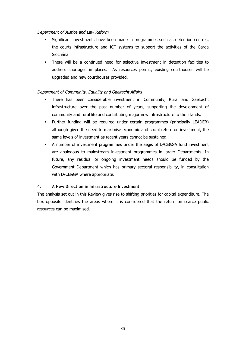## Department of Justice and Law Reform

- § Significant investments have been made in programmes such as detention centres, the courts infrastructure and ICT systems to support the activities of the Garda Síochána.
- There will be a continued need for selective investment in detention facilities to address shortages in places. As resources permit, existing courthouses will be upgraded and new courthouses provided.

## Department of Community, Equality and Gaeltacht Affairs

- There has been considerable investment in Community, Rural and Gaeltacht infrastructure over the past number of years, supporting the development of community and rural life and contributing major new infrastructure to the islands.
- § Further funding will be required under certain programmes (principally LEADER) although given the need to maximise economic and social return on investment, the same levels of investment as recent years cannot be sustained.
- § A number of investment programmes under the aegis of D/CE&GA fund investment are analogous to mainstream investment programmes in larger Departments. In future, any residual or ongoing investment needs should be funded by the Government Department which has primary sectoral responsibility, in consultation with D/CE&GA where appropriate.

## **4. A New Direction in Infrastructure Investment**

The analysis set out in this Review gives rise to shifting priorities for capital expenditure. The box opposite identifies the areas where it is considered that the return on scarce public resources can be maximised.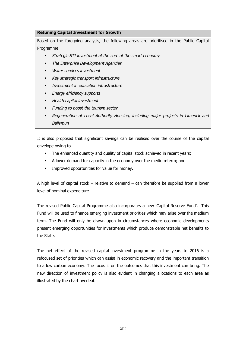## **Retuning Capital Investment for Growth**

Based on the foregoing analysis, the following areas are prioritised in the Public Capital Programme

- § Strategic STI investment at the core of the smart economy
- § The Enterprise Development Agencies
- Water services investment
- § Key strategic transport infrastructure
- § Investment in education infrastructure
- § Energy efficiency supports
- **•** Health capital investment
- Funding to boost the tourism sector
- Regeneration of Local Authority Housing, including major projects in Limerick and **Ballymun**

It is also proposed that significant savings can be realised over the course of the capital envelope owing to

- The enhanced quantity and quality of capital stock achieved in recent years;
- § A lower demand for capacity in the economy over the medium-term; and
- Improved opportunities for value for money.

A high level of capital stock – relative to demand – can therefore be supplied from a lower level of nominal expenditure.

The revised Public Capital Programme also incorporates a new 'Capital Reserve Fund'. This Fund will be used to finance emerging investment priorities which may arise over the medium term. The Fund will only be drawn upon in circumstances where economic developments present emerging opportunities for investments which produce demonstrable net benefits to the State.

The net effect of the revised capital investment programme in the years to 2016 is a refocused set of priorities which can assist in economic recovery and the important transition to a low carbon economy. The focus is on the outcomes that this investment can bring. The new direction of investment policy is also evident in changing allocations to each area as illustrated by the chart overleaf.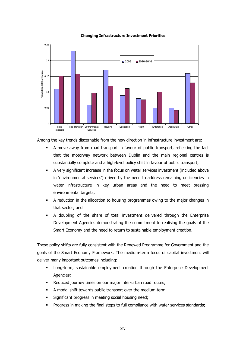

#### **Changing Infrastructure Investment Priorities**

Among the key trends discernable from the new direction in infrastructure investment are:

- § A move away from road transport in favour of public transport, reflecting the fact that the motorway network between Dublin and the main regional centres is substantially complete and a high-level policy shift in favour of public transport;
- § A very significant increase in the focus on water services investment (included above in 'environmental services') driven by the need to address remaining deficiencies in water infrastructure in key urban areas and the need to meet pressing environmental targets;
- § A reduction in the allocation to housing programmes owing to the major changes in that sector; and
- § A doubling of the share of total investment delivered through the Enterprise Development Agencies demonstrating the commitment to realising the goals of the Smart Economy and the need to return to sustainable employment creation.

These policy shifts are fully consistent with the Renewed Programme for Government and the goals of the Smart Economy Framework. The medium-term focus of capital investment will deliver many important outcomes including:

- § Long-term, sustainable employment creation through the Enterprise Development Agencies;
- Reduced journey times on our major inter-urban road routes;
- A modal shift towards public transport over the medium-term;
- Significant progress in meeting social housing need;
- Progress in making the final steps to full compliance with water services standards;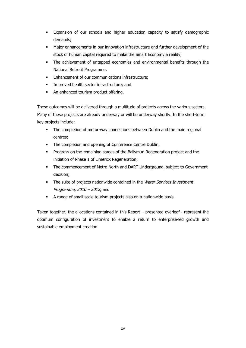- § Expansion of our schools and higher education capacity to satisfy demographic demands;
- § Major enhancements in our innovation infrastructure and further development of the stock of human capital required to make the Smart Economy a reality;
- The achievement of untapped economies and environmental benefits through the National Retrofit Programme;
- Enhancement of our communications infrastructure;
- Improved health sector infrastructure; and
- An enhanced tourism product offering.

These outcomes will be delivered through a multitude of projects across the various sectors. Many of these projects are already underway or will be underway shortly. In the short-term key projects include:

- The completion of motor-way connections between Dublin and the main regional centres;
- The completion and opening of Conference Centre Dublin;
- § Progress on the remaining stages of the Ballymun Regeneration project and the initiation of Phase 1 of Limerick Regeneration;
- § The commencement of Metro North and DART Underground, subject to Government decision;
- The suite of projects nationwide contained in the Water Services Investment Programme, 2010 – 2012; and
- § A range of small scale tourism projects also on a nationwide basis.

Taken together, the allocations contained in this Report – presented overleaf - represent the optimum configuration of investment to enable a return to enterprise-led growth and sustainable employment creation.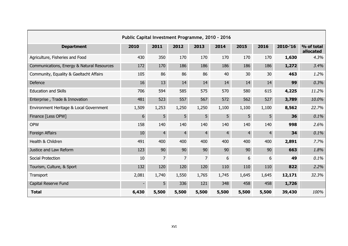| Public Capital Investment Programme, 2010 - 2016 |       |                |                |                |                |                |                |          |                         |
|--------------------------------------------------|-------|----------------|----------------|----------------|----------------|----------------|----------------|----------|-------------------------|
| <b>Department</b>                                | 2010  | 2011           | 2012           | 2013           | 2014           | 2015           | 2016           | 2010-'16 | % of total<br>allocated |
| Agriculture, Fisheries and Food                  | 430   | 350            | 170            | 170            | 170            | 170            | 170            | 1,630    | 4.3%                    |
| Communications, Energy & Natural Resources       | 172   | 170            | 186            | 186            | 186            | 186            | 186            | 1,272    | 3.4%                    |
| Community, Equality & Gaeltacht Affairs          | 105   | 86             | 86             | 86             | 40             | 30             | 30             | 463      | 1.2%                    |
| Defence                                          | 16    | 13             | 14             | 14             | 14             | 14             | 14             | 99       | 0.3%                    |
| <b>Education and Skills</b>                      | 706   | 594            | 585            | 575            | 570            | 580            | 615            | 4,225    | 11.2%                   |
| Enterprise, Trade & Innovation                   | 481   | 523            | 557            | 567            | 572            | 562            | 527            | 3,789    | 10.0%                   |
| Environment Heritage & Local Government          | 1,509 | 1,253          | 1,250          | 1,250          | 1,100          | 1,100          | 1,100          | 8,562    | 22.7%                   |
| Finance [Less OPW]                               | 6     | 5              | 5              | 5              | 5 <sup>5</sup> | 5              | 5 <sup>1</sup> | 36       | 0.1%                    |
| <b>OPW</b>                                       | 158   | 140            | 140            | 140            | 140            | 140            | 140            | 998      | 2.6%                    |
| Foreign Affairs                                  | 10    | $\overline{4}$ | $\overline{4}$ | $\overline{4}$ | $\overline{4}$ | $\overline{4}$ | $\overline{4}$ | 34       | 0.1%                    |
| Health & Children                                | 491   | 400            | 400            | 400            | 400            | 400            | 400            | 2,891    | 7.7%                    |
| Justice and Law Reform                           | 123   | 90             | 90             | 90             | 90             | 90             | 90             | 663      | 1.8%                    |
| Social Protection                                | 10    | $\overline{7}$ | 7              | $7^{\circ}$    | 6              | 6              | 6              | 49       | 0.1%                    |
| Tourism, Culture, & Sport                        | 132   | 120            | 120            | 120            | 110            | 110            | 110            | 822      | 2.2%                    |
| Transport                                        | 2,081 | 1,740          | 1,550          | 1,765          | 1,745          | 1,645          | 1,645          | 12,171   | 32.3%                   |
| Capital Reserve Fund                             |       | 5              | 336            | 121            | 348            | 458            | 458            | 1,726    |                         |
| <b>Total</b>                                     | 6,430 | 5,500          | 5,500          | 5,500          | 5,500          | 5,500          | 5,500          | 39,430   | 100%                    |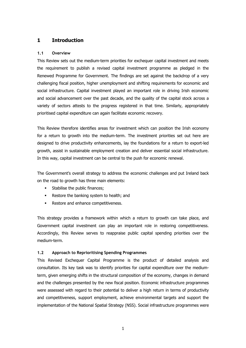## **1 Introduction**

## **1.1 Overview**

This Review sets out the medium-term priorities for exchequer capital investment and meets the requirement to publish a revised capital investment programme as pledged in the Renewed Programme for Government. The findings are set against the backdrop of a very challenging fiscal position, higher unemployment and shifting requirements for economic and social infrastructure. Capital investment played an important role in driving Irish economic and social advancement over the past decade, and the quality of the capital stock across a variety of sectors attests to the progress registered in that time. Similarly, appropriately prioritised capital expenditure can again facilitate economic recovery.

This Review therefore identifies areas for investment which can position the Irish economy for a return to growth into the medium-term. The investment priorities set out here are designed to drive productivity enhancements, lay the foundations for a return to export-led growth, assist in sustainable employment creation and deliver essential social infrastructure. In this way, capital investment can be central to the push for economic renewal.

The Government's overall strategy to address the economic challenges and put Ireland back on the road to growth has three main elements:

- **•** Stabilise the public finances;
- Restore the banking system to health; and
- Restore and enhance competitiveness.

This strategy provides a framework within which a return to growth can take place, and Government capital investment can play an important role in restoring competitiveness. Accordingly, this Review serves to reappraise public capital spending priorities over the medium-term.

## **1.2 Approach to Reprioritising Spending Programmes**

This Revised Exchequer Capital Programme is the product of detailed analysis and consultation. Its key task was to identify priorities for capital expenditure over the mediumterm, given emerging shifts in the structural composition of the economy, changes in demand and the challenges presented by the new fiscal position. Economic infrastructure programmes were assessed with regard to their potential to deliver a high return in terms of productivity and competitiveness, support employment, achieve environmental targets and support the implementation of the National Spatial Strategy (NSS). Social infrastructure programmes were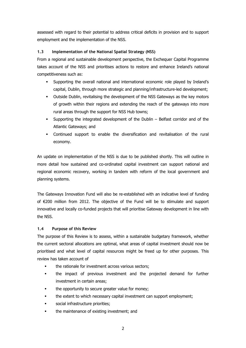assessed with regard to their potential to address critical deficits in provision and to support employment and the implementation of the NSS.

## **1.3 Implementation of the National Spatial Strategy (NSS)**

From a regional and sustainable development perspective, the Exchequer Capital Programme takes account of the NSS and prioritises actions to restore and enhance Ireland's national competitiveness such as:

- § Supporting the overall national and international economic role played by Ireland's capital, Dublin, through more strategic and planning/infrastructure-led development;
- § Outside Dublin, revitalising the development of the NSS Gateways as the key motors of growth within their regions and extending the reach of the gateways into more rural areas through the support for NSS Hub towns;
- § Supporting the integrated development of the Dublin Belfast corridor and of the Atlantic Gateways; and
- § Continued support to enable the diversification and revitalisation of the rural economy.

An update on implementation of the NSS is due to be published shortly. This will outline in more detail how sustained and co-ordinated capital investment can support national and regional economic recovery, working in tandem with reform of the local government and planning systems.

The Gateways Innovation Fund will also be re-established with an indicative level of funding of €200 million from 2012. The objective of the Fund will be to stimulate and support innovative and locally co-funded projects that will prioritise Gateway development in line with the NSS.

## **1.4 Purpose of this Review**

The purpose of this Review is to assess, within a sustainable budgetary framework, whether the current sectoral allocations are optimal, what areas of capital investment should now be prioritised and what level of capital resources might be freed up for other purposes. This review has taken account of

- the rationale for investment across various sectors;
- the impact of previous investment and the projected demand for further investment in certain areas;
- the opportunity to secure greater value for money;
- the extent to which necessary capital investment can support employment;
- § social infrastructure priorities;
- the maintenance of existing investment; and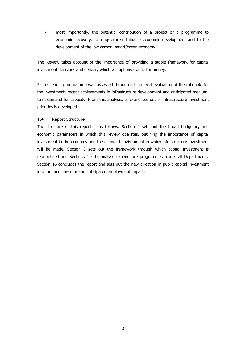§ most importantly, the potential contribution of a project or a programme to economic recovery, to long-term sustainable economic development and to the development of the low carbon, smart/green economy.

The Review takes account of the importance of providing a stable framework for capital investment decisions and delivery which will optimise value for money.

Each spending programme was assessed through a high level evaluation of the rationale for the investment, recent achievements in infrastructure development and anticipated mediumterm demand for capacity. From this analysis, a re-oriented set of infrastructure investment priorities is developed.

## **1.4 Report Structure**

The structure of this report is as follows: Section 2 sets out the broad budgetary and economic parameters in which this review operates, outlining the importance of capital investment in the economy and the changed environment in which infrastructure investment will be made. Section 3 sets out the framework through which capital investment is reprioritised and Sections 4 - 15 analyse expenditure programmes across all Departments. Section 16 concludes the report and sets out the new direction in public capital investment into the medium-term and anticipated employment impacts.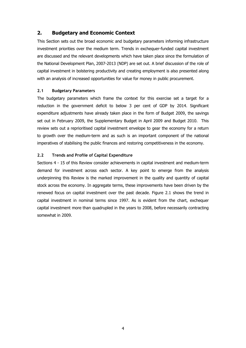## **2. Budgetary and Economic Context**

This Section sets out the broad economic and budgetary parameters informing infrastructure investment priorities over the medium term. Trends in exchequer-funded capital investment are discussed and the relevant developments which have taken place since the formulation of the National Development Plan, 2007-2013 (NDP) are set out. A brief discussion of the role of capital investment in bolstering productivity and creating employment is also presented along with an analysis of increased opportunities for value for money in public procurement.

## **2.1 Budgetary Parameters**

The budgetary parameters which frame the context for this exercise set a target for a reduction in the government deficit to below 3 per cent of GDP by 2014. Significant expenditure adjustments have already taken place in the form of Budget 2009, the savings set out in February 2009, the Supplementary Budget in April 2009 and Budget 2010. This review sets out a reprioritised capital investment envelope to gear the economy for a return to growth over the medium-term and as such is an important component of the national imperatives of stabilising the public finances and restoring competitiveness in the economy.

## **2.2 Trends and Profile of Capital Expenditure**

Sections 4 - 15 of this Review consider achievements in capital investment and medium-term demand for investment across each sector. A key point to emerge from the analysis underpinning this Review is the marked improvement in the quality and quantity of capital stock across the economy. In aggregate terms, these improvements have been driven by the renewed focus on capital investment over the past decade. Figure 2.1 shows the trend in capital investment in nominal terms since 1997. As is evident from the chart, exchequer capital investment more than quadrupled in the years to 2008, before necessarily contracting somewhat in 2009.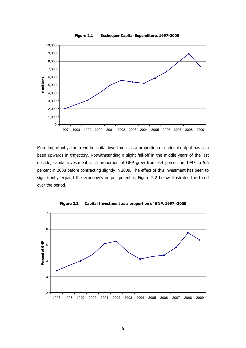

More importantly, the trend in capital investment as a proportion of national output has also been upwards in trajectory. Notwithstanding a slight fall-off in the middle years of the last decade, capital investment as a proportion of GNP grew from 3.4 percent in 1997 to 5.6 percent in 2008 before contracting slightly in 2009. The effect of this investment has been to significantly expand the economy's output potential. Figure 2.2 below illustrates the trend over the period.



**Figure 2.2 Capital Investment as a proportion of GNP, 1997 -2009**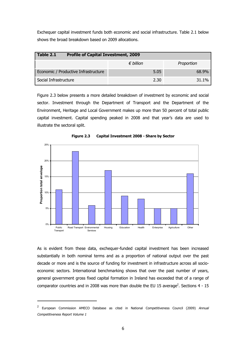Exchequer capital investment funds both economic and social infrastructure. Table 2.1 below shows the broad breakdown based on 2009 allocations.

| $\mid$ Table 2.1                     | <b>Profile of Capital Investment, 2009</b> |            |  |  |  |  |
|--------------------------------------|--------------------------------------------|------------|--|--|--|--|
|                                      | $\epsilon$ billion                         | Proportion |  |  |  |  |
| Economic / Productive Infrastructure | 5.05                                       | 68.9%      |  |  |  |  |
| Social Infrastructure                | 2.30                                       | 31.1%      |  |  |  |  |

Figure 2.3 below presents a more detailed breakdown of investment by economic and social sector. Investment through the Department of Transport and the Department of the Environment, Heritage and Local Government makes up more than 50 percent of total public capital investment. Capital spending peaked in 2008 and that year's data are used to illustrate the sectoral split.



**Figure 2.3 Capital Investment 2008 - Share by Sector**

As is evident from these data, exchequer-funded capital investment has been increased substantially in both nominal terms and as a proportion of national output over the past decade or more and is the source of funding for investment in infrastructure across all socioeconomic sectors. International benchmarking shows that over the past number of years, general government gross fixed capital formation in Ireland has exceeded that of a range of comparator countries and in 2008 was more than double the EU 15 average<sup>2</sup>. Sections 4 - 15

<sup>&</sup>lt;sup>2</sup> European Commission AMECO Database as cited in National Competitiveness Council (2009) Annual Competitiveness Report Volume 1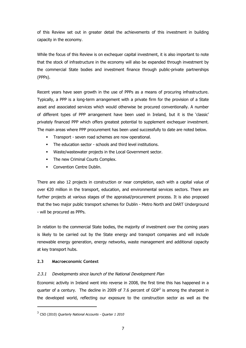of this Review set out in greater detail the achievements of this investment in building capacity in the economy.

While the focus of this Review is on exchequer capital investment, it is also important to note that the stock of infrastructure in the economy will also be expanded through investment by the commercial State bodies and investment finance through public-private partnerships (PPPs).

Recent years have seen growth in the use of PPPs as a means of procuring infrastructure. Typically, a PPP is a long-term arrangement with a private firm for the provision of a State asset and associated services which would otherwise be procured conventionally. A number of different types of PPP arrangement have been used in Ireland, but it is the 'classic' privately financed PPP which offers greatest potential to supplement exchequer investment. The main areas where PPP procurement has been used successfully to date are noted below.

- Transport seven road schemes are now operational.
- The education sector schools and third level institutions.
- § Waste/wastewater projects in the Local Government sector.
- The new Criminal Courts Complex.
- Convention Centre Dublin.

There are also 12 projects in construction or near completion, each with a capital value of over €20 million in the transport, education, and environmental services sectors. There are further projects at various stages of the appraisal/procurement process. It is also proposed that the two major public transport schemes for Dublin - Metro North and DART Underground - will be procured as PPPs.

In relation to the commercial State bodies, the majority of investment over the coming years is likely to be carried out by the State energy and transport companies and will include renewable energy generation, energy networks, waste management and additional capacity at key transport hubs.

## **2.3 Macroeconomic Context**

## 2.3.1 Developments since launch of the National Development Plan

Economic activity in Ireland went into reverse in 2008, the first time this has happened in a quarter of a century. The decline in 2009 of 7.6 percent of GDP<sup>3</sup> is among the sharpest in the developed world, reflecting our exposure to the construction sector as well as the

 $3$  CSO (2010) Quarterly National Accounts - Quarter 1 2010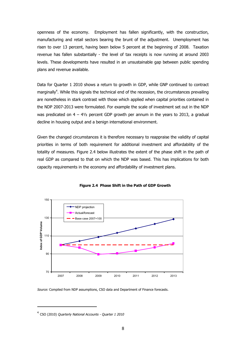openness of the economy. Employment has fallen significantly, with the construction, manufacturing and retail sectors bearing the brunt of the adjustment. Unemployment has risen to over 13 percent, having been below 5 percent at the beginning of 2008. Taxation revenue has fallen substantially - the level of tax receipts is now running at around 2003 levels. These developments have resulted in an unsustainable gap between public spending plans and revenue available.

Data for Quarter 1 2010 shows a return to growth in GDP, while GNP continued to contract marginally<sup>4</sup>. While this signals the technical end of the recession, the circumstances prevailing are nonetheless in stark contrast with those which applied when capital priorities contained in the NDP 2007-2013 were formulated. For example the scale of investment set out in the NDP was predicated on  $4 - 4\frac{1}{2}$  percent GDP growth per annum in the years to 2013, a gradual decline in housing output and a benign international environment.

Given the changed circumstances it is therefore necessary to reappraise the validity of capital priorities in terms of both requirement for additional investment and affordability of the totality of measures. Figure 2.4 below illustrates the extent of the phase shift in the path of real GDP as compared to that on which the NDP was based. This has implications for both capacity requirements in the economy and affordability of investment plans.





Source: Compiled from NDP assumptions, CSO data and Department of Finance forecasts.

<sup>&</sup>lt;sup>4</sup> CSO (2010) *Quarterly National Accounts - Quarter 1 2010*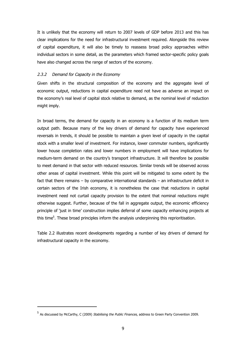It is unlikely that the economy will return to 2007 levels of GDP before 2013 and this has clear implications for the need for infrastructural investment required. Alongside this review of capital expenditure, it will also be timely to reassess broad policy approaches within individual sectors in some detail, as the parameters which framed sector-specific policy goals have also changed across the range of sectors of the economy.

## 2.3.2 Demand for Capacity in the Economy

Given shifts in the structural composition of the economy and the aggregate level of economic output, reductions in capital expenditure need not have as adverse an impact on the economy's real level of capital stock relative to demand, as the nominal level of reduction might imply.

In broad terms, the demand for capacity in an economy is a function of its medium term output path. Because many of the key drivers of demand for capacity have experienced reversals in trends, it should be possible to maintain a given level of capacity in the capital stock with a smaller level of investment. For instance, lower commuter numbers, significantly lower house completion rates and lower numbers in employment will have implications for medium-term demand on the country's transport infrastructure. It will therefore be possible to meet demand in that sector with reduced resources. Similar trends will be observed across other areas of capital investment. While this point will be mitigated to some extent by the fact that there remains – by comparative international standards – an infrastructure deficit in certain sectors of the Irish economy, it is nonetheless the case that reductions in capital investment need not curtail capacity provision to the extent that nominal reductions might otherwise suggest. Further, because of the fall in aggregate output, the economic efficiency principle of 'just in time' construction implies deferral of some capacity enhancing projects at this time<sup>5</sup>. These broad principles inform the analysis underpinning this reprioritisation.

Table 2.2 illustrates recent developments regarding a number of key drivers of demand for infrastructural capacity in the economy.

<sup>&</sup>lt;sup>5</sup> As discussed by McCarthy, C (2009) Stabilising the Public Finances, address to Green Party Convention 2009.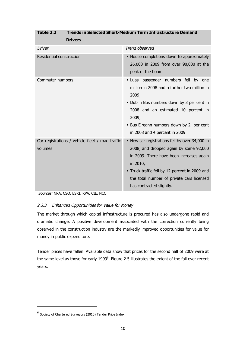| Table 2.2<br><b>Trends in Selected Short-Medium Term Infrastructure Demand</b> |                                                                                                                                                                                                                                                                             |  |  |  |  |
|--------------------------------------------------------------------------------|-----------------------------------------------------------------------------------------------------------------------------------------------------------------------------------------------------------------------------------------------------------------------------|--|--|--|--|
| <b>Drivers</b>                                                                 |                                                                                                                                                                                                                                                                             |  |  |  |  |
| <b>Driver</b>                                                                  | Trend observed                                                                                                                                                                                                                                                              |  |  |  |  |
| Residential construction                                                       | • House completions down to approximately<br>26,000 in 2009 from over 90,000 at the<br>peak of the boom.                                                                                                                                                                    |  |  |  |  |
| Commuter numbers                                                               | · Luas passenger numbers fell<br>by one<br>million in 2008 and a further two million in<br>2009;<br>• Dublin Bus numbers down by 3 per cent in<br>2008 and an estimated 10 percent in<br>2009;<br>• Bus Eireann numbers down by 2 per cent<br>in 2008 and 4 percent in 2009 |  |  |  |  |
| Car registrations / vehicle fleet / road traffic<br>volumes                    | • New car registrations fell by over 34,000 in<br>2008, and dropped again by some 92,000<br>in 2009. There have been increases again<br>in 2010;<br>• Truck traffic fell by 12 percent in 2009 and<br>the total number of private cars licensed<br>has contracted slightly. |  |  |  |  |

Sources: NRA, CSO, ESRI, RPA, CIE, NCC

## 2.3.3 Enhanced Opportunities for Value for Money

The market through which capital infrastructure is procured has also undergone rapid and dramatic change. A positive development associated with the correction currently being observed in the construction industry are the markedly improved opportunities for value for money in public expenditure.

Tender prices have fallen. Available data show that prices for the second half of 2009 were at the same level as those for early 1999<sup>6</sup>. Figure 2.5 illustrates the extent of the fall over recent years.

 $^6$  Society of Chartered Surveyors (2010) Tender Price Index.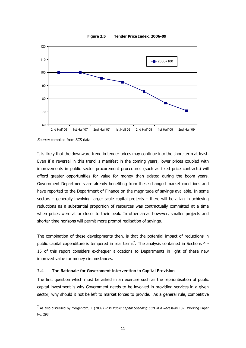



Source: compiled from SCS data

It is likely that the downward trend in tender prices may continue into the short-term at least. Even if a reversal in this trend is manifest in the coming years, lower prices coupled with improvements in public sector procurement procedures (such as fixed price contracts) will afford greater opportunities for value for money than existed during the boom years. Government Departments are already benefiting from these changed market conditions and have reported to the Department of Finance on the magnitude of savings available. In some sectors – generally involving larger scale capital projects – there will be a lag in achieving reductions as a substantial proportion of resources was contractually committed at a time when prices were at or closer to their peak. In other areas however, smaller projects and shorter time horizons will permit more prompt realisation of savings.

The combination of these developments then, is that the potential impact of reductions in public capital expenditure is tempered in real terms<sup>7</sup>. The analysis contained in Sections 4 -15 of this report considers exchequer allocations to Departments in light of these new improved value for money circumstances.

#### **2.4 The Rationale for Government Intervention in Capital Provision**

The first question which must be asked in an exercise such as the reprioritisation of public capital investment is why Government needs to be involved in providing services in a given sector; why should it not be left to market forces to provide. As a general rule, competitive

 $^7$  As also discussed by Morgenroth, E (2009) *Irish Public Capital Spending Cuts in a Recession* ESRI Working Paper No. 298.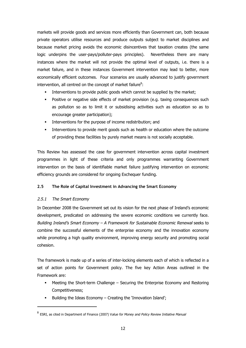markets will provide goods and services more efficiently than Government can, both because private operators utilise resources and produce outputs subject to market disciplines and because market pricing avoids the economic disincentives that taxation creates (the same logic underpins the user-pays/polluter-pays principles). Nevertheless there are many instances where the market will not provide the optimal level of outputs, i.e. there is a market failure, and in these instances Government intervention may lead to better, more economically efficient outcomes. Four scenarios are usually advanced to justify government intervention, all centred on the concept of market failure $8$ :

- Interventions to provide public goods which cannot be supplied by the market;
- Positive or negative side effects of market provision (e.g. taxing consequences such as pollution so as to limit it or subsidising activities such as education so as to encourage greater participation);
- Interventions for the purpose of income redistribution; and
- Interventions to provide merit goods such as health or education where the outcome of providing these facilities by purely market means is not socially acceptable.

This Review has assessed the case for government intervention across capital investment programmes in light of these criteria and only programmes warranting Government intervention on the basis of identifiable market failure justifying intervention on economic efficiency grounds are considered for ongoing Exchequer funding.

## **2.5 The Role of Capital Investment in Advancing the Smart Economy**

## 2.5.1 The Smart Economy

In December 2008 the Government set out its vision for the next phase of Ireland's economic development, predicated on addressing the severe economic conditions we currently face. Building Ireland's Smart Economy – A Framework for Sustainable Economic Renewal seeks to combine the successful elements of the enterprise economy and the innovation economy while promoting a high quality environment, improving energy security and promoting social cohesion.

The framework is made up of a series of inter-locking elements each of which is reflected in a set of action points for Government policy. The five key Action Areas outlined in the Framework are:

- § Meeting the Short-term Challenge Securing the Enterprise Economy and Restoring Competitiveness;
- § Building the Ideas Economy Creating the 'Innovation Island';

<sup>&</sup>lt;sup>8</sup> ESRI, as cited in Department of Finance (2007) V*alue for Money and Policy Review Initiative Manual*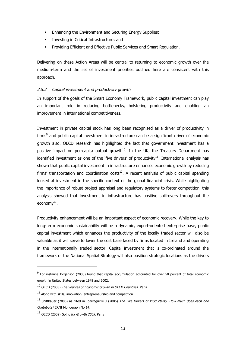- Enhancing the Environment and Securing Energy Supplies;
- Investing in Critical Infrastructure; and
- § Providing Efficient and Effective Public Services and Smart Regulation.

Delivering on these Action Areas will be central to returning to economic growth over the medium-term and the set of investment priorities outlined here are consistent with this approach.

## 2.5.2 Capital investment and productivity growth

In support of the goals of the Smart Economy Framework, public capital investment can play an important role in reducing bottlenecks, bolstering productivity and enabling an improvement in international competitiveness.

Investment in private capital stock has long been recognised as a driver of productivity in firms<sup>9</sup> and public capital investment in infrastructure can be a significant driver of economic growth also. OECD research has highlighted the fact that government investment has a positive impact on per-capita output growth $10$ . In the UK, the Treasury Department has identified investment as one of the 'five drivers' of productivity<sup>11</sup>. International analysis has shown that public capital investment in infrastructure enhances economic growth by reducing firms' transportation and coordination costs $12$ . A recent analysis of public capital spending looked at investment in the specific context of the global financial crisis. While highlighting the importance of robust project appraisal and regulatory systems to foster competition, this analysis showed that investment in infrastructure has positive spill-overs throughout the economy $^{13}$ .

Productivity enhancement will be an important aspect of economic recovery. While the key to long-term economic sustainability will be a dynamic, export-oriented enterprise base, public capital investment which enhances the productivity of the locally traded sector will also be valuable as it will serve to lower the cost base faced by firms located in Ireland and operating in the internationally traded sector. Capital investment that is co-ordinated around the framework of the National Spatial Strategy will also position strategic locations as the drivers

<sup>&</sup>lt;sup>9</sup> For instance Jorgenson (2005) found that capital accumulation accounted for over 50 percent of total economic growth in United States between 1948 and 2002.

<sup>10</sup> OECD (2003) The Sources of Economic Growth in OECD Countries. Paris

 $11$  Along with skills, innovation, entrepreneurship and competition.

<sup>&</sup>lt;sup>12</sup> Shiffbauer (2006) as cited in Iparraquirre J (2006) The Five Drivers of Productivity. How much does each one Contribute? ERNI Monograph No 14.

<sup>&</sup>lt;sup>13</sup> OECD (2009) Going for Growth 2009. Paris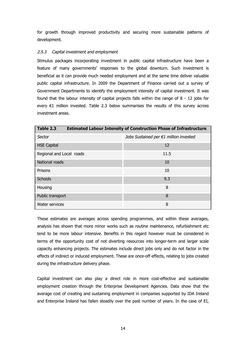for growth through improved productivity and securing more sustainable patterns of development.

## 2.5.3 Capital investment and employment

Stimulus packages incorporating investment in public capital infrastructure have been a feature of many governments' responses to the global downturn. Such investment is beneficial as it can provide much needed employment and at the same time deliver valuable public capital infrastructure. In 2009 the Department of Finance carried out a survey of Government Departments to identify the employment intensity of capital investment. It was found that the labour intensity of capital projects falls within the range of 8 - 12 jobs for every €1 million invested. Table 2.3 below summarises the results of this survey across investment areas.

| Table 2.3<br><b>Estimated Labour Intensity of Construction Phase of Infrastructure</b> |                                        |  |  |  |
|----------------------------------------------------------------------------------------|----------------------------------------|--|--|--|
| Sector                                                                                 | Jobs Sustained per €1 million invested |  |  |  |
| <b>HSE Capital</b>                                                                     | 12                                     |  |  |  |
| Regional and Local roads                                                               | 11.5                                   |  |  |  |
| National roads                                                                         | 10                                     |  |  |  |
| Prisons                                                                                | 10                                     |  |  |  |
| <b>Schools</b>                                                                         | 9.3                                    |  |  |  |
| Housing                                                                                | 8                                      |  |  |  |
| Public transport                                                                       | 8                                      |  |  |  |
| Water services                                                                         | 8                                      |  |  |  |

These estimates are averages across spending programmes, and within these averages, analysis has shown that more minor works such as routine maintenance, refurbishment etc tend to be more labour intensive. Benefits in this regard however must be considered in terms of the opportunity cost of not diverting resources into longer-term and larger scale capacity enhancing projects. The estimates include direct jobs only and do not factor in the effects of indirect or induced employment. These are once-off effects, relating to jobs created during the infrastructure delivery phase.

Capital investment can also play a direct role in more cost-effective and sustainable employment creation through the Enterprise Development Agencies. Data show that the average cost of creating and sustaining employment in companies supported by IDA Ireland and Enterprise Ireland has fallen steadily over the past number of years. In the case of EI,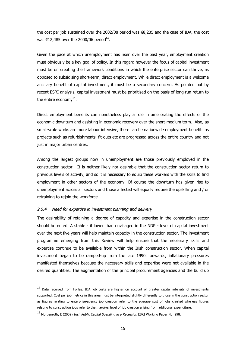the cost per job sustained over the 2002/08 period was €8,235 and the case of IDA, the cost was  $\text{\large\ensuremath{\in}} 12,485$  over the 2000/06 period<sup>14</sup>.

Given the pace at which unemployment has risen over the past year, employment creation must obviously be a key goal of policy. In this regard however the focus of capital investment must be on creating the framework conditions in which the enterprise sector can thrive, as opposed to subsidising short-term, direct employment. While direct employment is a welcome ancillary benefit of capital investment, it must be a secondary concern. As pointed out by recent ESRI analysis, capital investment must be prioritised on the basis of long-run return to the entire economy $^{15}$ .

Direct employment benefits can nonetheless play a role in ameliorating the effects of the economic downturn and assisting in economic recovery over the short-medium term. Also, as small-scale works are more labour intensive, there can be nationwide employment benefits as projects such as refurbishments, fit-outs etc are progressed across the entire country and not just in major urban centres.

Among the largest groups now in unemployment are those previously employed in the construction sector. It is neither likely nor desirable that the construction sector return to previous levels of activity, and so it is necessary to equip these workers with the skills to find employment in other sectors of the economy. Of course the downturn has given rise to unemployment across all sectors and those affected will equally require the upskilling and / or retraining to rejoin the workforce.

## 2.5.4 Need for expertise in investment planning and delivery

The desirability of retaining a degree of capacity and expertise in the construction sector should be noted. A stable - if lower than envisaged in the NDP - level of capital investment over the next five years will help maintain capacity in the construction sector. The investment programme emerging from this Review will help ensure that the necessary skills and expertise continue to be available from within the Irish construction sector. When capital investment began to be ramped-up from the late 1990s onwards, inflationary pressures manifested themselves because the necessary skills and expertise were not available in the desired quantities. The augmentation of the principal procurement agencies and the build up

<sup>&</sup>lt;sup>14</sup> Data received from Forfás. IDA job costs are higher on account of greater capital intensity of investments supported. Cost per job metrics in this area must be interpreted slightly differently to those in the construction sector as figures relating to enterprise-agency job creation refer to the average cost of jobs created whereas figures relating to construction jobs refer to the *marginal* level of job creation arising from additional expenditure.

<sup>&</sup>lt;sup>15</sup> Morgenroth, E (2009) *Irish Public Capital Spending in a Recession* ESRI Working Paper No. 298.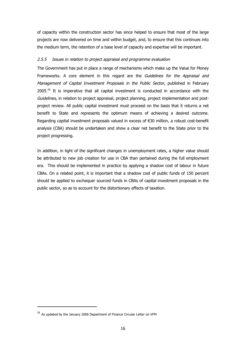of capacity within the construction sector has since helped to ensure that most of the large projects are now delivered on time and within budget, and, to ensure that this continues into the medium term, the retention of a base level of capacity and expertise will be important.

## 2.5.5 Issues in relation to project appraisal and programme evaluation

The Government has put in place a range of mechanisms which make up the Value for Money Frameworks. A core element in this regard are the Guidelines for the Appraisal and Management of Capital Investment Proposals in the Public Sector, published in February 2005.<sup>16</sup> It is imperative that all capital investment is conducted in accordance with the Guidelines, in relation to project appraisal, project planning, project implementation and postproject review. All public capital investment must proceed on the basis that it returns a net benefit to State and represents the optimum means of achieving a desired outcome. Regarding capital investment proposals valued in excess of €30 million, a robust cost-benefit analysis (CBA) should be undertaken and show a clear net benefit to the State prior to the project progressing.

In addition, in light of the significant changes in unemployment rates, a higher value should be attributed to new job creation for use in CBA than pertained during the full employment era. This should be implemented in practice by applying a shadow cost of labour in future CBAs. On a related point, it is important that a shadow cost of public funds of 150 percent should be applied to exchequer sourced funds in CBAs of capital investment proposals in the public sector, so as to account for the distortionary effects of taxation.

<sup>&</sup>lt;sup>16</sup> As updated by the January 2006 Department of Finance Circular Letter on VFM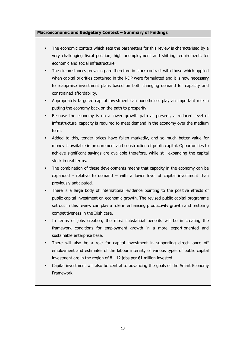## **Macroeconomic and Budgetary Context – Summary of Findings**

- The economic context which sets the parameters for this review is characterised by a very challenging fiscal position, high unemployment and shifting requirements for economic and social infrastructure.
- The circumstances prevailing are therefore in stark contrast with those which applied when capital priorities contained in the NDP were formulated and it is now necessary to reappraise investment plans based on both changing demand for capacity and constrained affordability.
- § Appropriately targeted capital investment can nonetheless play an important role in putting the economy back on the path to prosperity.
- § Because the economy is on a lower growth path at present, a reduced level of infrastructural capacity is required to meet demand in the economy over the medium term.
- Added to this, tender prices have fallen markedly, and so much better value for money is available in procurement and construction of public capital. Opportunities to achieve significant savings are available therefore, while still expanding the capital stock in real terms.
- The combination of these developments means that capacity in the economy can be expanded - relative to demand – with a lower level of capital investment than previously anticipated.
- There is a large body of international evidence pointing to the positive effects of public capital investment on economic growth. The revised public capital programme set out in this review can play a role in enhancing productivity growth and restoring competitiveness in the Irish case.
- In terms of jobs creation, the most substantial benefits will be in creating the framework conditions for employment growth in a more export-oriented and sustainable enterprise base.
- There will also be a role for capital investment in supporting direct, once off employment and estimates of the labour intensity of various types of public capital investment are in the region of  $8 - 12$  jobs per €1 million invested.
- Capital investment will also be central to advancing the goals of the Smart Economy Framework.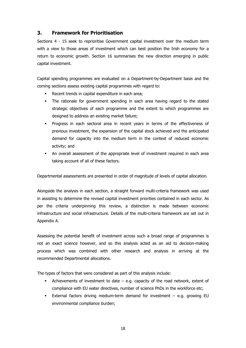## **3. Framework for Prioritisation**

Sections 4 - 15 seek to reprioritise Government capital investment over the medium term with a view to those areas of investment which can best position the Irish economy for a return to economic growth. Section 16 summarises the new direction emerging in public capital investment.

Capital spending programmes are evaluated on a Department-by-Department basis and the coming sections assess existing capital programmes with regard to:

- Recent trends in capital expenditure in each area;
- The rationale for government spending in each area having regard to the stated strategic objectives of each programme and the extent to which programmes are designed to address an existing market failure;
- § Progress in each sectoral area in recent years in terms of the effectiveness of previous investment, the expansion of the capital stock achieved and the anticipated demand for capacity into the medium term in the context of reduced economic activity; and
- An overall assessment of the appropriate level of investment required in each area taking account of all of these factors.

Departmental assessments are presented in order of magnitude of levels of capital allocation.

Alongside the analysis in each section, a straight forward multi-criteria framework was used in assisting to determine the revised capital investment priorities contained in each sector. As per the criteria underpinning this review, a distinction is made between economic infrastructure and social infrastructure. Details of the multi-criteria framework are set out in Appendix A.

Assessing the potential benefit of investment across such a broad range of programmes is not an exact science however, and so this analysis acted as an aid to decision-making process which was combined with other research and analysis in arriving at the recommended Departmental allocations.

The types of factors that were considered as part of this analysis include:

- Achievements of investment to date  $-$  e.g. capacity of the road network, extent of compliance with EU water directives, number of science PhDs in the workforce etc;
- External factors driving medium-term demand for investment  $-$  e.g. growing EU environmental compliance burden;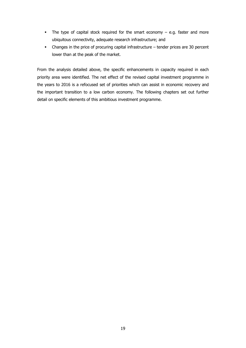- The type of capital stock required for the smart economy e.g. faster and more ubiquitous connectivity, adequate research infrastructure; and
- Changes in the price of procuring capital infrastructure tender prices are 30 percent lower than at the peak of the market.

From the analysis detailed above, the specific enhancements in capacity required in each priority area were identified. The net effect of the revised capital investment programme in the years to 2016 is a refocused set of priorities which can assist in economic recovery and the important transition to a low carbon economy. The following chapters set out further detail on specific elements of this ambitious investment programme.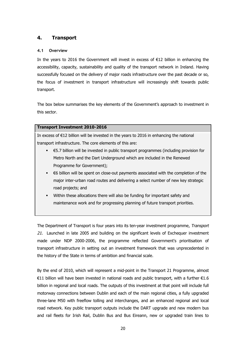## **4. Transport**

## **4.1 Overview**

In the years to 2016 the Government will invest in excess of  $E$ 12 billion in enhancing the accessibility, capacity, sustainability and quality of the transport network in Ireland. Having successfully focused on the delivery of major roads infrastructure over the past decade or so, the focus of investment in transport infrastructure will increasingly shift towards public transport.

The box below summarises the key elements of the Government's approach to investment in this sector.

## **Transport Investment 2010-2016**

In excess of €12 billion will be invested in the years to 2016 in enhancing the national transport infrastructure. The core elements of this are:

- **€5.7** billion will be invested in public transport programmes (including provision for Metro North and the Dart Underground which are included in the Renewed Programme for Government);
- $\epsilon$   $\epsilon$ 6 billion will be spent on close-out payments associated with the completion of the major inter-urban road routes and delivering a select number of new key strategic road projects; and
- Within these allocations there will also be funding for important safety and maintenance work and for progressing planning of future transport priorities.

The Department of Transport is four years into its ten-year investment programme, Transport 21. Launched in late 2005 and building on the significant levels of Exchequer investment made under NDP 2000-2006, the programme reflected Government's prioritisation of transport infrastructure in setting out an investment framework that was unprecedented in the history of the State in terms of ambition and financial scale.

By the end of 2010, which will represent a mid-point in the Transport 21 Programme, almost  $€11$  billion will have been invested in national roads and public transport, with a further  $€1.6$ billion in regional and local roads. The outputs of this investment at that point will include full motorway connections between Dublin and each of the main regional cities, a fully upgraded three-lane M50 with freeflow tolling and interchanges, and an enhanced regional and local road network. Key public transport outputs include the DART upgrade and new modern bus and rail fleets for Irish Rail, Dublin Bus and Bus Eireann, new or upgraded train lines to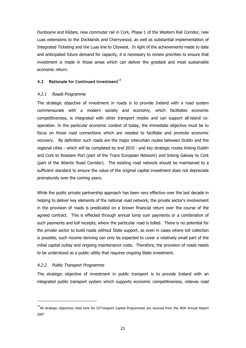Dunboyne and Kildare, new commuter rail in Cork, Phase 1 of the Western Rail Corridor, new Luas extensions to the Docklands and Cherrywood, as well as substantial implementation of Integrated Ticketing and the Luas line to Citywest. In light of the achievements made to date and anticipated future demand for capacity, it is necessary to review priorities to ensure that investment is made in those areas which can deliver the greatest and most sustainable economic return.

#### **4.2 Rationale for Continued Investment<sup>17</sup>**

#### 4.2.1 Roads Programme

The strategic objective of investment in roads is to provide Ireland with a road system commensurate with a modern society and economy, which facilitates economic competitiveness, is integrated with other transport modes and can support all-island cooperation. In the particular economic context of today, the immediate objective must be to focus on those road connections which are needed to facilitate and promote economic recovery. By definition such roads are the major interurban routes between Dublin and the regional cities - which will be completed by end 2010 - and key strategic routes linking Dublin and Cork to Rosslare Port (part of the Trans European Network) and linking Galway to Cork (part of the Atlantic Road Corridor). The existing road network should be maintained to a sufficient standard to ensure the value of the original capital investment does not depreciate prematurely over the coming years.

While the public private partnership approach has been very effective over the last decade in helping to deliver key elements of the national road network, the private sector's involvement in the provision of roads is predicated on a known financial return over the course of the agreed contract. This is effected through annual lump sum payments or a combination of such payments and toll receipts, where the particular road is tolled. There is no potential for the private sector to build roads without State support, as even in cases where toll collection is possible, such income deriving can only be expected to cover a relatively small part of the initial capital outlay and ongoing maintenance costs. Therefore, the provision of roads needs to be understood as a public utility that requires ongoing State investment.

# 4.2.2 Public Transport Programme

The strategic objective of investment in public transport is to provide Ireland with an integrated public transport system which supports economic competitiveness, relieves road

<sup>&</sup>lt;sup>17</sup>All strategic objectives cited here for D/Transport Capital Programmes are sourced from the NDP Annual Report 2007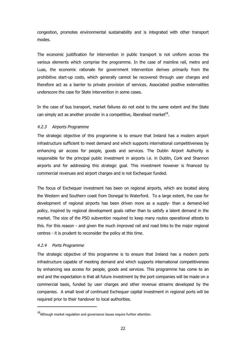congestion, promotes environmental sustainability and is integrated with other transport modes.

The economic justification for intervention in public transport is not uniform across the various elements which comprise the programme. In the case of mainline rail, metro and Luas, the economic rationale for government intervention derives primarily from the prohibitive start-up costs, which generally cannot be recovered through user charges and therefore act as a barrier to private provision of services. Associated positive externalities underscore the case for State intervention in some cases.

In the case of bus transport, market failures do not exist to the same extent and the State can simply act as another provider in a competitive, liberalised market $^{18}$ .

#### 4.2.3 Airports Programme

The strategic objective of this programme is to ensure that Ireland has a modern airport infrastructure sufficient to meet demand and which supports international competitiveness by enhancing air access for people, goods and services. The Dublin Airport Authority is responsible for the principal public investment in airports i.e. in Dublin, Cork and Shannon airports and for addressing this strategic goal. This investment however is financed by commercial revenues and airport charges and is not Exchequer funded.

The focus of Exchequer investment has been on regional airports, which are located along the Western and Southern coast from Donegal to Waterford. To a large extent, the case for development of regional airports has been driven more as a supply- than a demand-led policy, inspired by regional development goals rather than to satisfy a latent demand in the market. The size of the PSO subvention required to keep many routes operational attests to this. For this reason - and given the much improved rail and road links to the major regional centres - it is prudent to reconsider the policy at this time.

# 4.2.4 Ports Programme

The strategic objective of this programme is to ensure that Ireland has a modern ports infrastructure capable of meeting demand and which supports international competitiveness by enhancing sea access for people, goods and services. This programme has come to an end and the expectation is that all future investment by the port companies will be made on a commercial basis, funded by user charges and other revenue streams developed by the companies. A small level of continued Exchequer capital investment in regional ports will be required prior to their handover to local authorities.

 $18$ Although market regulation and governance issues require further attention.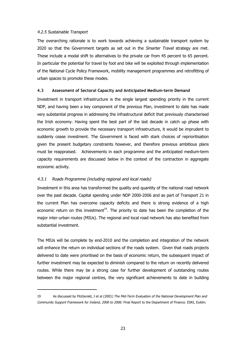#### 4.2.5 Sustainable Transport

The overarching rationale is to work towards achieving a sustainable transport system by 2020 so that the Government targets as set out in the Smarter Travel strategy are met. These include a modal shift to alternatives to the private car from 45 percent to 65 percent. In particular the potential for travel by foot and bike will be exploited through implementation of the National Cycle Policy Framework, mobility management programmes and retrofitting of urban spaces to promote these modes.

#### **4.3 Assessment of Sectoral Capacity and Anticipated Medium-term Demand**

Investment in transport infrastructure is the single largest spending priority in the current NDP, and having been a key component of the previous Plan, investment to date has made very substantial progress in addressing the infrastructural deficit that previously characterised the Irish economy. Having spent the best part of the last decade in catch up phase with economic growth to provide the necessary transport infrastructure, it would be imprudent to suddenly cease investment. The Government is faced with stark choices of reprioritisation given the present budgetary constraints however, and therefore previous ambitious plans must be reappraised. Achievements in each programme and the anticipated medium-term capacity requirements are discussed below in the context of the contraction in aggregate economic activity.

#### 4.3.1 Roads Programme (including regional and local roads)

Investment in this area has transformed the quality and quantity of the national road network over the past decade. Capital spending under NDP 2000-2006 and as part of Transport 21 in the current Plan has overcome capacity deficits and there is strong evidence of a high economic return on this investment<sup>19</sup>. The priority to date has been the completion of the major inter-urban routes (MIUs). The regional and local road network has also benefited from substantial investment.

The MIUs will be complete by end-2010 and the completion and integration of the network will enhance the return on individual sections of the roads system. Given that roads projects delivered to date were prioritised on the basis of economic return, the subsequent impact of further investment may be expected to diminish compared to the return on recently delivered routes. While there may be a strong case for further development of outstanding routes between the major regional centres, the very significant achievements to date in building

<sup>19</sup> As discussed by FitzGerald, J et al (2003) The Mid-Term Evaluation of the National Development Plan and Community Support Framework for Ireland, 2000 to 2006: Final Report to the Department of Finance. ESRI, Dublin.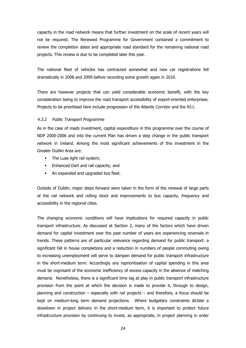capacity in the road network means that further investment on the scale of recent years will not be required. The Renewed Programme for Government contained a commitment to review the completion dates and appropriate road standard for the remaining national road projects. This review is due to be completed later this year.

The national fleet of vehicles has contracted somewhat and new car registrations fell dramatically in 2008 and 2009 before recording some growth again in 2010.

There are however projects that can yield considerable economic benefit, with the key consideration being to improve the road transport accessibility of export-oriented enterprises. Projects to be prioritised here include progression of the Atlantic Corridor and the N11.

#### 4.3.2 Public Transport Programme

As in the case of roads investment, capital expenditure in this programme over the course of NDP 2000-2006 and into the current Plan has driven a step change in the public transport network in Ireland. Among the most significant achievements of this investment in the Greater Dublin Area are:

- The Luas light rail system;
- Enhanced Dart and rail capacity; and
- An expanded and upgraded bus fleet.

Outside of Dublin, major steps forward were taken in the form of the renewal of large parts of the rail network and rolling stock and improvements to bus capacity, frequency and accessibility in the regional cities.

The changing economic conditions will have implications for required capacity in public transport infrastructure. As discussed at Section 2, many of the factors which have driven demand for capital investment over the past number of years are experiencing reversals in trends. These patterns are of particular relevance regarding demand for public transport: a significant fall in house completions and a reduction in numbers of people commuting owing to increasing unemployment will serve to dampen demand for public transport infrastructure in the short-medium term. Accordingly any reprioritisation of capital spending in this area must be cognisant of the economic inefficiency of excess capacity in the absence of matching demand. Nonetheless, there is a significant time lag at play in public transport infrastructure provision from the point at which the decision is made to provide it, through to design, planning and construction – especially with rail projects – and therefore, a focus should be kept on medium-long term demand projections. Where budgetary constraints dictate a slowdown in project delivery in the short-medium term, it is important to protect future infrastructure provision by continuing to invest, as appropriate, in project planning in order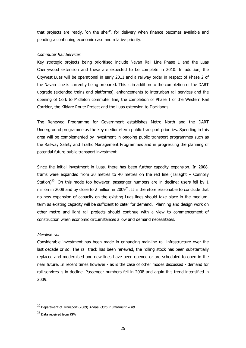that projects are ready, 'on the shelf', for delivery when finance becomes available and pending a continuing economic case and relative priority.

#### Commuter Rail Services

Key strategic projects being prioritised include Navan Rail Line Phase 1 and the Luas Cherrywood extension and these are expected to be complete in 2010. In addition, the Citywest Luas will be operational in early 2011 and a railway order in respect of Phase 2 of the Navan Line is currently being prepared. This is in addition to the completion of the DART upgrade (extended trains and platforms), enhancements to interurban rail services and the opening of Cork to Midleton commuter line, the completion of Phase 1 of the Western Rail Corridor, the Kildare Route Project and the Luas extension to Docklands.

The Renewed Programme for Government establishes Metro North and the DART Underground programme as the key medium-term public transport priorities. Spending in this area will be complemented by investment in ongoing public transport programmes such as the Railway Safety and Traffic Management Programmes and in progressing the planning of potential future public transport investment.

Since the initial investment in Luas, there has been further capacity expansion. In 2008, trams were expanded from 30 metres to 40 metres on the red line (Tallaght – Connolly Station)<sup>20</sup>. On this mode too however, passenger numbers are in decline: users fell by 1 million in 2008 and by close to 2 million in  $2009<sup>21</sup>$ . It is therefore reasonable to conclude that no new expansion of capacity on the existing Luas lines should take place in the mediumterm as existing capacity will be sufficient to cater for demand. Planning and design work on other metro and light rail projects should continue with a view to commencement of construction when economic circumstances allow and demand necessitates.

#### Mainline rail

Considerable investment has been made in enhancing mainline rail infrastructure over the last decade or so. The rail track has been renewed, the rolling stock has been substantially replaced and modernised and new lines have been opened or are scheduled to open in the near future. In recent times however - as is the case of other modes discussed - demand for rail services is in decline. Passenger numbers fell in 2008 and again this trend intensified in 2009.

<sup>&</sup>lt;sup>20</sup> Department of Transport (2009) Annual Output Statement 2008

<sup>&</sup>lt;sup>21</sup> Data received from RPA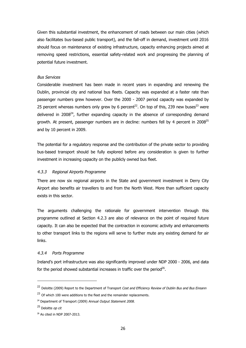Given this substantial investment, the enhancement of roads between our main cities (which also facilitates bus-based public transport), and the fall-off in demand, investment until 2016 should focus on maintenance of existing infrastructure, capacity enhancing projects aimed at removing speed restrictions, essential safety-related work and progressing the planning of potential future investment.

#### Bus Services

Considerable investment has been made in recent years in expanding and renewing the Dublin, provincial city and national bus fleets. Capacity was expanded at a faster rate than passenger numbers grew however. Over the 2000 - 2007 period capacity was expanded by 25 percent whereas numbers only grew by 6 percent<sup>22</sup>. On top of this, 239 new buses<sup>23</sup> were delivered in 2008<sup>24</sup>, further expanding capacity in the absence of corresponding demand growth. At present, passenger numbers are in decline: numbers fell by 4 percent in  $2008^{25}$ and by 10 percent in 2009.

The potential for a regulatory response and the contribution of the private sector to providing bus-based transport should be fully explored before any consideration is given to further investment in increasing capacity on the publicly owned bus fleet.

#### 4.3.3 Regional Airports Programme

There are now six regional airports in the State and government investment in Derry City Airport also benefits air travellers to and from the North West. More than sufficient capacity exists in this sector.

The arguments challenging the rationale for government intervention through this programme outlined at Section 4.2.3 are also of relevance on the point of required future capacity. It can also be expected that the contraction in economic activity and enhancements to other transport links to the regions will serve to further mute any existing demand for air links.

# 4.3.4 Ports Programme

Ireland's port infrastructure was also significantly improved under NDP 2000 - 2006, and data for the period showed substantial increases in traffic over the period<sup>26</sup>.

<sup>&</sup>lt;sup>22</sup> Deloitte (2009) Report to the Department of Transport Cost and Efficiency Review of Dublin Bus and Bus Eireann

 $^{23}$  Of which 100 were additions to the fleet and the remainder replacements.

<sup>&</sup>lt;sup>24</sup> Department of Transport (2009) Annual Output Statement 2008.

 $25$  Deloitte *op cit* 

<sup>26</sup> As cited in NDP 2007-2013.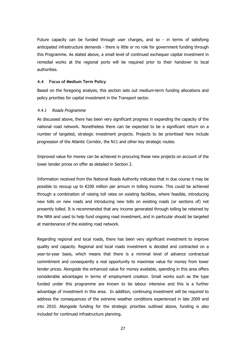Future capacity can be funded through user charges, and so - in terms of satisfying anticipated infrastructure demands - there is little or no role for government funding through this Programme. As stated above, a small level of continued exchequer capital investment in remedial works at the regional ports will be required prior to their handover to local authorities.

#### **4.4 Focus of Medium Term Policy**

Based on the foregoing analysis, this section sets out medium-term funding allocations and policy priorities for capital investment in the Transport sector.

#### 4.4.1 Roads Programme

As discussed above, there has been very significant progress in expanding the capacity of the national road network. Nonetheless there can be expected to be a significant return on a number of targeted, strategic investment projects. Projects to be prioritised here include progression of the Atlantic Corridor, the N11 and other key strategic routes.

Improved value for money can be achieved in procuring these new projects on account of the lower tender prices on offer as detailed in Section 2.

Information received from the National Roads Authority indicates that in due course it may be possible to recoup up to €200 million per annum in tolling income. This could be achieved through a combination of raising toll rates on existing facilities, where feasible, introducing new tolls on new roads and introducing new tolls on existing roads (or sections of) not presently tolled. It is recommended that any income generated through tolling be retained by the NRA and used to help fund ongoing road investment, and in particular should be targeted at maintenance of the existing road network.

Regarding regional and local roads, there has been very significant investment to improve quality and capacity. Regional and local roads investment is decided and contracted on a year-to-year basis, which means that there is a minimal level of advance contractual commitment and consequently a real opportunity to maximise value for money from lower tender prices. Alongside the enhanced value for money available, spending in this area offers considerable advantages in terms of employment creation. Small works such as the type funded under this programme are known to be labour intensive and this is a further advantage of investment in this area. In addition, continuing investment will be required to address the consequences of the extreme weather conditions experienced in late 2009 and into 2010. Alongside funding for the strategic priorities outlined above, funding is also included for continued infrastructure planning.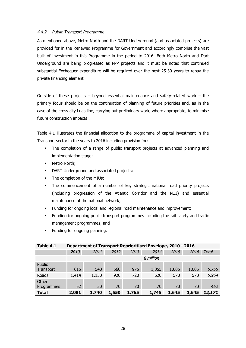#### 4.4.2 Public Transport Programme

As mentioned above, Metro North and the DART Underground (and associated projects) are provided for in the Renewed Programme for Government and accordingly comprise the vast bulk of investment in this Programme in the period to 2016. Both Metro North and Dart Underground are being progressed as PPP projects and it must be noted that continued substantial Exchequer expenditure will be required over the next 25-30 years to repay the private financing element.

Outside of these projects – beyond essential maintenance and safety-related work – the primary focus should be on the continuation of planning of future priorities and, as in the case of the cross-city Luas line, carrying out preliminary work, where appropriate, to minimise future construction impacts .

Table 4.1 illustrates the financial allocation to the programme of capital investment in the Transport sector in the years to 2016 including provision for:

- The completion of a range of public transport projects at advanced planning and implementation stage;
- **•** Metro North;
- DART Underground and associated projects;
- The completion of the MIUs;
- The commencement of a number of key strategic national road priority projects (including progression of the Atlantic Corridor and the N11) and essential maintenance of the national network;
- Funding for ongoing local and regional road maintenance and improvement;
- § Funding for ongoing public transport programmes including the rail safety and traffic management programmes; and

| Table 4.1           | <b>Department of Transport Reprioritised Envelope, 2010 - 2016</b> |       |       |       |       |       |       |              |  |
|---------------------|--------------------------------------------------------------------|-------|-------|-------|-------|-------|-------|--------------|--|
|                     | 2010                                                               | 2011  | 2012  | 2013  | 2014  | 2015  | 2016  | <b>Total</b> |  |
|                     | $\epsilon$ million                                                 |       |       |       |       |       |       |              |  |
| Public<br>Transport | 615                                                                | 540   | 560   | 975   | 1,055 | 1,005 | 1,005 | 5,755        |  |
| Roads               | 1,414                                                              | 1,150 | 920   | 720   | 620   | 570   | 570   | 5,964        |  |
| Other               |                                                                    |       |       |       |       |       |       |              |  |
| Programmes          | 52                                                                 | 50    | 70    | 70    | 70    | 70    | 70    | 452          |  |
| <b>Total</b>        | 2,081                                                              | 1,740 | 1,550 | 1,765 | 1,745 | 1,645 | 1,645 | 12,171       |  |

Funding for ongoing planning.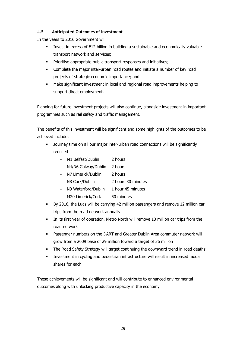# **4.5 Anticipated Outcomes of Investment**

In the years to 2016 Government will

- Invest in excess of €12 billion in building a sustainable and economically valuable transport network and services;
- **•** Prioritise appropriate public transport responses and initiatives;
- **•** Complete the major inter-urban road routes and initiate a number of key road projects of strategic economic importance; and
- § Make significant investment in local and regional road improvements helping to support direct employment.

Planning for future investment projects will also continue, alongside investment in important programmes such as rail safety and traffic management.

The benefits of this investment will be significant and some highlights of the outcomes to be achieved include:

- Journey time on all our major inter-urban road connections will be significantly reduced
	- M1 Belfast/Dublin 2 hours
	- N4/N6 Galway/Dublin 2 hours
	- N7 Limerick/Dublin 2 hours
	- N8 Cork/Dublin 2 hours 30 minutes
	- N9 Waterford/Dublin 1 hour 45 minutes
	- M20 Limerick/Cork 50 minutes
- By 2016, the Luas will be carrying 42 million passengers and remove 12 million car trips from the road network annually
- In its first year of operation, Metro North will remove 13 million car trips from the road network
- § Passenger numbers on the DART and Greater Dublin Area commuter network will grow from a 2009 base of 29 million toward a target of 36 million
- The Road Safety Strategy will target continuing the downward trend in road deaths.
- **•** Investment in cycling and pedestrian infrastructure will result in increased modal shares for each

These achievements will be significant and will contribute to enhanced environmental outcomes along with unlocking productive capacity in the economy.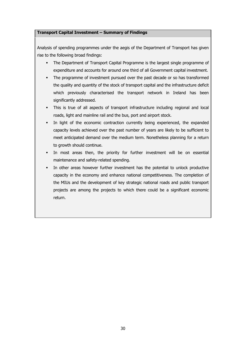#### **Transport Capital Investment – Summary of Findings**

Analysis of spending programmes under the aegis of the Department of Transport has given rise to the following broad findings:

- The Department of Transport Capital Programme is the largest single programme of expenditure and accounts for around one third of all Government capital investment.
- The programme of investment pursued over the past decade or so has transformed the quality and quantity of the stock of transport capital and the infrastructure deficit which previously characterised the transport network in Ireland has been significantly addressed.
- This is true of all aspects of transport infrastructure including regional and local roads, light and mainline rail and the bus, port and airport stock.
- In light of the economic contraction currently being experienced, the expanded capacity levels achieved over the past number of years are likely to be sufficient to meet anticipated demand over the medium term. Nonetheless planning for a return to growth should continue.
- § In most areas then, the priority for further investment will be on essential maintenance and safety-related spending.
- In other areas however further investment has the potential to unlock productive capacity in the economy and enhance national competitiveness. The completion of the MIUs and the development of key strategic national roads and public transport projects are among the projects to which there could be a significant economic return.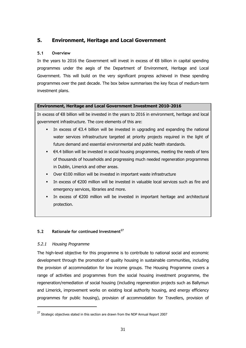# **5. Environment, Heritage and Local Government**

# **5.1 Overview**

In the years to 2016 the Government will invest in excess of €8 billion in capital spending programmes under the aegis of the Department of Environment, Heritage and Local Government. This will build on the very significant progress achieved in these spending programmes over the past decade. The box below summarises the key focus of medium-term investment plans.

# **Environment, Heritage and Local Government Investment 2010-2016**

In excess of €8 billion will be invested in the years to 2016 in environment, heritage and local government infrastructure. The core elements of this are:

- **•** In excess of  $\epsilon$ 3.4 billion will be invested in upgrading and expanding the national water services infrastructure targeted at priority projects required in the light of future demand and essential environmental and public health standards.
- $\epsilon$   $\in$  4.4 billion will be invested in social housing programmes, meeting the needs of tens of thousands of households and progressing much needed regeneration programmes in Dublin, Limerick and other areas.
- Over €100 million will be invested in important waste infrastructure
- **•** In excess of  $\epsilon$ 200 million will be invested in valuable local services such as fire and emergency services, libraries and more.
- In excess of  $E200$  million will be invested in important heritage and architectural protection.

# **5.2 Rationale for continued Investment<sup>27</sup>**

# 5.2.1 Housing Programme

The high-level objective for this programme is to contribute to national social and economic development through the promotion of quality housing in sustainable communities, including the provision of accommodation for low income groups. The Housing Programme covers a range of activities and programmes from the social housing investment programme, the regeneration/remediation of social housing (including regeneration projects such as Ballymun and Limerick, improvement works on existing local authority housing, and energy efficiency programmes for public housing), provision of accommodation for Travellers, provision of

 $27$  Strategic objectives stated in this section are drawn from the NDP Annual Report 2007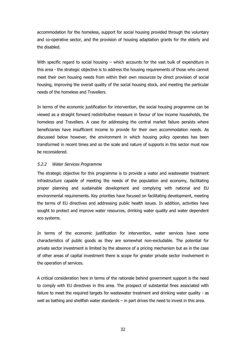accommodation for the homeless, support for social housing provided through the voluntary and co-operative sector, and the provision of housing adaptation grants for the elderly and the disabled.

With specific regard to social housing – which accounts for the vast bulk of expenditure in this area - the strategic objective is to address the housing requirements of those who cannot meet their own housing needs from within their own resources by direct provision of social housing, improving the overall quality of the social housing stock, and meeting the particular needs of the homeless and Travellers.

In terms of the economic justification for intervention, the social housing programme can be viewed as a straight forward redistributive measure in favour of low income households, the homeless and Travellers. A case for addressing the central market failure persists where beneficiaries have insufficient income to provide for their own accommodation needs. As discussed below however, the environment in which housing policy operates has been transformed in recent times and so the scale and nature of supports in this sector must now be reconsidered.

#### 5.2.2 Water Services Programme

The strategic objective for this programme is to provide a water and wastewater treatment infrastructure capable of meeting the needs of the population and economy, facilitating proper planning and sustainable development and complying with national and EU environmental requirements. Key priorities have focused on facilitating development, meeting the terms of EU directives and addressing public health issues. In addition, activities have sought to protect and improve water resources, drinking water quality and water dependent eco systems.

In terms of the economic justification for intervention, water services have some characteristics of public goods as they are somewhat non-excludable. The potential for private sector investment is limited by the absence of a pricing mechanism but as in the case of other areas of capital investment there is scope for greater private sector involvement in the operation of services.

A critical consideration here in terms of the rationale behind government support is the need to comply with EU directives in this area. The prospect of substantial fines associated with failure to meet the required targets for wastewater treatment and drinking water quality - as well as bathing and shellfish water standards – in part drives the need to invest in this area.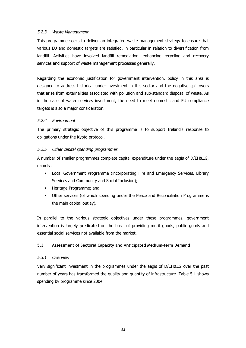#### 5.2.3 Waste Management

This programme seeks to deliver an integrated waste management strategy to ensure that various EU and domestic targets are satisfied, in particular in relation to diversification from landfill. Activities have involved landfill remediation, enhancing recycling and recovery services and support of waste management processes generally.

Regarding the economic justification for government intervention, policy in this area is designed to address historical under-investment in this sector and the negative spill-overs that arise from externalities associated with pollution and sub-standard disposal of waste. As in the case of water services investment, the need to meet domestic and EU compliance targets is also a major consideration.

#### 5.2.4 Environment

The primary strategic objective of this programme is to support Ireland's response to obligations under the Kyoto protocol.

#### 5.2.5 Other capital spending programmes

A number of smaller programmes complete capital expenditure under the aegis of D/EH&LG, namely:

- § Local Government Programme (incorporating Fire and Emergency Services, Library Services and Community and Social Inclusion);
- **EXEC** Heritage Programme; and
- § Other services (of which spending under the Peace and Reconciliation Programme is the main capital outlay).

In parallel to the various strategic objectives under these programmes, government intervention is largely predicated on the basis of providing merit goods, public goods and essential social services not available from the market.

# **5.3 Assessment of Sectoral Capacity and Anticipated Medium-term Demand**

#### 5.3.1 Overview

Very significant investment in the programmes under the aegis of D/EH&LG over the past number of years has transformed the quality and quantity of infrastructure. Table 5.1 shows spending by programme since 2004.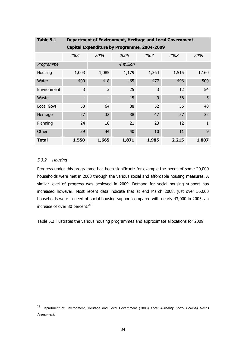| Table 5.1   | Department of Environment, Heritage and Local Government |       |                     |       |       |       |  |  |  |  |  |  |
|-------------|----------------------------------------------------------|-------|---------------------|-------|-------|-------|--|--|--|--|--|--|
|             | Capital Expenditure by Programme, 2004-2009              |       |                     |       |       |       |  |  |  |  |  |  |
|             | 2004                                                     | 2005  | 2006                | 2007  | 2008  | 2009  |  |  |  |  |  |  |
| Programme   | $\epsilon$ million                                       |       |                     |       |       |       |  |  |  |  |  |  |
| Housing     | 1,003                                                    | 1,085 | 1,179               | 1,364 | 1,515 | 1,160 |  |  |  |  |  |  |
| Water       | 400                                                      | 418   | 465                 | 477   | 496   | 500   |  |  |  |  |  |  |
| Environment | 3                                                        | 3     | 25                  | 3     | 12    | 54    |  |  |  |  |  |  |
| Waste       |                                                          |       | 15                  | 9     | 56    | 5     |  |  |  |  |  |  |
| Local Govt  | 53                                                       | 64    | 88                  | 52    | 55    | 40    |  |  |  |  |  |  |
| Heritage    | 27                                                       | 32    | 38                  | 47    | 57    | 32    |  |  |  |  |  |  |
| Planning    | 24                                                       | 18    | 21                  | 23    | 12    |       |  |  |  |  |  |  |
| Other       | 39                                                       | 44    | 10<br>40<br>11<br>9 |       |       |       |  |  |  |  |  |  |
| Total       | 1,550                                                    | 1,665 | 1,871               | 1,985 | 2,215 | 1,807 |  |  |  |  |  |  |

# 5.3.2 Housing

Progress under this programme has been significant: for example the needs of some 20,000 households were met in 2008 through the various social and affordable housing measures. A similar level of progress was achieved in 2009. Demand for social housing support has increased however. Most recent data indicate that at end March 2008, just over 56,000 households were in need of social housing support compared with nearly 43,000 in 2005, an increase of over 30 percent.<sup>28</sup>

Table 5.2 illustrates the various housing programmes and approximate allocations for 2009.

<sup>&</sup>lt;sup>28</sup> Department of Environment, Heritage and Local Government (2008) Local Authority Social Housing Needs Assessment.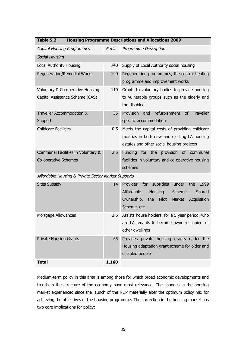| Table 5.2<br><b>Housing Programme Descriptions and Allocations 2009</b> |                |                                                                                                                                                                                 |  |  |  |  |  |  |
|-------------------------------------------------------------------------|----------------|---------------------------------------------------------------------------------------------------------------------------------------------------------------------------------|--|--|--|--|--|--|
| <b>Capital Housing Programmes</b>                                       | $\epsilon$ mil | Programme Description                                                                                                                                                           |  |  |  |  |  |  |
| Social Housing                                                          |                |                                                                                                                                                                                 |  |  |  |  |  |  |
| <b>Local Authority Housing</b>                                          | 740            | Supply of Local Authority social housing                                                                                                                                        |  |  |  |  |  |  |
| Regeneration/Remedial Works                                             | 190            | Regeneration programmes, the central heating<br>programme and improvement works                                                                                                 |  |  |  |  |  |  |
| Voluntary & Co-operative Housing                                        | 110            | Grants to voluntary bodies to provide housing                                                                                                                                   |  |  |  |  |  |  |
| Capital Assistance Scheme (CAS)                                         |                | to vulnerable groups such as the elderly and<br>the disabled                                                                                                                    |  |  |  |  |  |  |
| Traveller Accommodation &                                               | 35             | Provision<br>refurbishment<br><b>of</b><br><b>Traveller</b><br>and                                                                                                              |  |  |  |  |  |  |
| Support                                                                 |                | specific accommodation                                                                                                                                                          |  |  |  |  |  |  |
| <b>Childcare Facilities</b>                                             | 0.5            | Meets the capital costs of providing childcare<br>facilities in both new and existing LA housing<br>estates and other social housing projects                                   |  |  |  |  |  |  |
| Communal Facilities in Voluntary &                                      | 2.5            | for the<br>provision<br><b>Funding</b><br>0f<br>communal                                                                                                                        |  |  |  |  |  |  |
| Co-operative Schemes                                                    |                | facilities in voluntary and co-operative housing<br>schemes                                                                                                                     |  |  |  |  |  |  |
| Affordable Housing & Private Sector Market Supports                     |                |                                                                                                                                                                                 |  |  |  |  |  |  |
| <b>Sites Subsidy</b>                                                    | 14             | Provides<br>subsidies<br>for<br>under<br>the<br>1999<br>Affordable<br><b>Housing</b><br>Scheme,<br>Shared<br>Ownership,<br>Pilot<br>the<br>Market<br>Acquisition<br>Scheme, etc |  |  |  |  |  |  |
| Mortgage Allowances                                                     | 3.5            | Assists house holders, for a 5 year period, who<br>are LA tenants to become owner-occupiers of<br>other dwellings                                                               |  |  |  |  |  |  |
| <b>Private Housing Grants</b>                                           | 65             | Provides private housing grants under the<br>Housing adaptation grant scheme for older and<br>disabled people                                                                   |  |  |  |  |  |  |
| <b>Total</b>                                                            | 1,160          |                                                                                                                                                                                 |  |  |  |  |  |  |

Medium-term policy in this area is among those for which broad economic developments and trends in the structure of the economy have most relevance. The changes in the housing market experienced since the launch of the NDP materially alter the optimum policy mix for achieving the objectives of the housing programme. The correction in the housing market has two core implications for policy: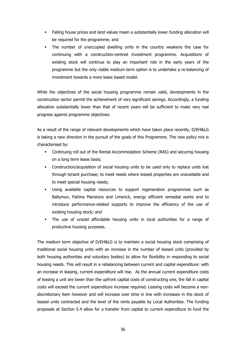- Falling house prices and land values mean a substantially lower funding allocation will be required for the programme; and
- The number of unoccupied dwelling units in the country weakens the case for continuing with a construction-centred investment programme. Acquisitions of existing stock will continue to play an important role in the early years of the programme but the only viable medium term option is to undertake a re-balancing of investment towards a more lease based model.

While the objectives of the social housing programme remain valid, developments in the construction sector permit the achievement of very significant savings. Accordingly, a funding allocation substantially lower than that of recent years will be sufficient to make very real progress against programme objectives.

As a result of the range of relevant developments which have taken place recently, D/EH&LG is taking a new direction in the pursuit of the goals of this Programme. The new policy mix is characterised by:

- § Continuing roll out of the Rental Accommodation Scheme (RAS) and securing housing on a long term lease basis;
- Construction/acquisition of social housing units to be used only to replace units lost through tenant purchase; to meet needs where leased properties are unavailable and to meet special housing needs;
- Using available capital resources to support regeneration programmes such as Ballymun, Fatima Mansions and Limerick, energy efficient remedial works and to introduce performance-related supports to improve the efficiency of the use of existing housing stock; and
- The use of unsold affordable housing units in local authorities for a range of productive housing purposes.

The medium term objective of D/EH&LG is to maintain a social housing stock comprising of traditional social housing units with an increase in the number of leased units (provided by both housing authorities and voluntary bodies) to allow for flexibility in responding to social housing needs. This will result in a rebalancing between current and capital expenditure: with an increase in leasing, current expenditure will rise. As the annual current expenditure costs of leasing a unit are lower than the upfront capital costs of constructing one, the fall in capital costs will exceed the current expenditure increase required. Leasing costs will become a nondiscretionary item however and will increase over time in line with increases in the stock of leased units contracted and the level of the rents payable by Local Authorities. The funding proposals at Section 5.4 allow for a transfer from capital to current expenditure to fund the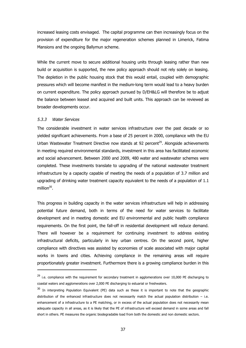increased leasing costs envisaged. The capital programme can then increasingly focus on the provision of expenditure for the major regeneration schemes planned in Limerick, Fatima Mansions and the ongoing Ballymun scheme.

While the current move to secure additional housing units through leasing rather than new build or acquisition is supported, the new policy approach should not rely solely on leasing. The depletion in the public housing stock that this would entail, coupled with demographic pressures which will become manifest in the medium-long term would lead to a heavy burden on current expenditure. The policy approach pursued by D/EH&LG will therefore be to adjust the balance between leased and acquired and built units. This approach can be reviewed as broader developments occur.

#### 5.3.3 Water Services

The considerable investment in water services infrastructure over the past decade or so yielded significant achievements. From a base of 25 percent in 2000, compliance with the EU Urban Wastewater Treatment Directive now stands at 92 percent<sup>29</sup>. Alongside achievements in meeting required environmental standards, investment in this area has facilitated economic and social advancement. Between 2000 and 2009, 480 water and wastewater schemes were completed. These investments translate to upgrading of the national wastewater treatment infrastructure by a capacity capable of meeting the needs of a population of 3.7 million and upgrading of drinking water treatment capacity equivalent to the needs of a population of 1.1 million<sup>30</sup>.

This progress in building capacity in the water services infrastructure will help in addressing potential future demand, both in terms of the need for water services to facilitate development and in meeting domestic and EU environmental and public health compliance requirements. On the first point, the fall-off in residential development will reduce demand. There will however be a requirement for continuing investment to address existing infrastructural deficits, particularly in key urban centres. On the second point, higher compliance with directives was assisted by economies of scale associated with major capital works in towns and cities. Achieving compliance in the remaining areas will require proportionately greater investment. Furthermore there is a growing compliance burden in this

<sup>&</sup>lt;sup>29</sup> i.e. compliance with the requirement for secondary treatment in agglomerations over 10,000 PE discharging to coastal waters and agglomerations over 2,000 PE discharging to estuarial or freshwaters.

<sup>&</sup>lt;sup>30</sup> In interpreting Population Equivalent (PE) data such as these it is important to note that the geographic distribution of the enhanced infrastructure does not necessarily match the actual population distribution – i.e. enhancement of a infrastructure to a PE matching, or in excess of the actual population does not necessarily mean adequate capacity in all areas, as it is likely that the PE of infrastructure will exceed demand in some areas and fall short in others. PE measures the organic biodegradable load from both the domestic and non domestic sectors.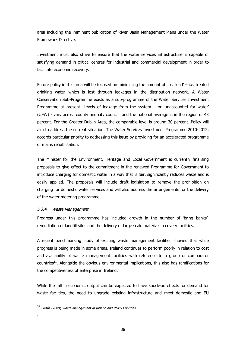area including the imminent publication of River Basin Management Plans under the Water Framework Directive.

Investment must also strive to ensure that the water services infrastructure is capable of satisfying demand in critical centres for industrial and commercial development in order to facilitate economic recovery.

Future policy in this area will be focused on minimising the amount of 'lost load' – i.e. treated drinking water which is lost through leakages in the distribution network. A Water Conservation Sub-Programme exists as a sub-programme of the Water Services Investment Programme at present. Levels of leakage from the system – or 'unaccounted for water' (UFW) - vary across county and city councils and the national average is in the region of 43 percent. For the Greater Dublin Area, the comparable level is around 30 percent. Policy will aim to address the current situation. The Water Services Investment Programme 2010-2012, accords particular priority to addressing this issue by providing for an accelerated programme of mains rehabilitation.

The Minister for the Environment, Heritage and Local Government is currently finalising proposals to give effect to the commitment in the renewed Programme for Government to introduce charging for domestic water in a way that is fair, significantly reduces waste and is easily applied. The proposals will include draft legislation to remove the prohibition on charging for domestic water services and will also address the arrangements for the delivery of the water metering programme.

#### 5.3.4 Waste Management

.

Progress under this programme has included growth in the number of 'bring banks', remediation of landfill sites and the delivery of large scale materials recovery facilities.

A recent benchmarking study of existing waste management facilities showed that while progress is being made in some areas, Ireland continues to perform poorly in relation to cost and availability of waste management facilities with reference to a group of comparator countries $31$ . Alongside the obvious environmental implications, this also has ramifications for the competitiveness of enterprise in Ireland.

While the fall in economic output can be expected to have knock-on effects for demand for waste facilities, the need to upgrade existing infrastructure and meet domestic and EU

 $31$  Forfás (2009) Waste Management in Ireland and Policy Priorities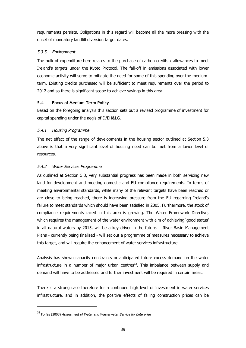requirements persists. Obligations in this regard will become all the more pressing with the onset of mandatory landfill diversion target dates.

# 5.3.5 Environment

The bulk of expenditure here relates to the purchase of carbon credits / allowances to meet Ireland's targets under the Kyoto Protocol. The fall-off in emissions associated with lower economic activity will serve to mitigate the need for some of this spending over the mediumterm. Existing credits purchased will be sufficient to meet requirements over the period to 2012 and so there is significant scope to achieve savings in this area.

# **5.4 Focus of Medium Term Policy**

Based on the foregoing analysis this section sets out a revised programme of investment for capital spending under the aegis of D/EH&LG.

# 5.4.1 Housing Programme

The net effect of the range of developments in the housing sector outlined at Section 5.3 above is that a very significant level of housing need can be met from a lower level of resources.

# 5.4.2 Water Services Programme

As outlined at Section 5.3, very substantial progress has been made in both servicing new land for development and meeting domestic and EU compliance requirements. In terms of meeting environmental standards, while many of the relevant targets have been reached or are close to being reached, there is increasing pressure from the EU regarding Ireland's failure to meet standards which should have been satisfied in 2005. Furthermore, the stock of compliance requirements faced in this area is growing. The Water Framework Directive, which requires the management of the water environment with aim of achieving 'good status' in all natural waters by 2015, will be a key driver in the future. River Basin Management Plans - currently being finalised - will set out a programme of measures necessary to achieve this target, and will require the enhancement of water services infrastructure.

Analysis has shown capacity constraints or anticipated future excess demand on the water infrastructure in a number of major urban centres $^{32}$ . This imbalance between supply and demand will have to be addressed and further investment will be required in certain areas.

There is a strong case therefore for a continued high level of investment in water services infrastructure, and in addition, the positive effects of falling construction prices can be

<sup>&</sup>lt;sup>32</sup> Forfás (2008) Assessment of Water and Wasterwater Service for Enterprise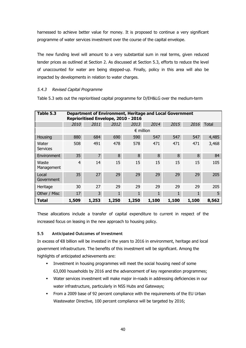harnessed to achieve better value for money. It is proposed to continue a very significant programme of water services investment over the course of the capital envelope.

The new funding level will amount to a very substantial sum in real terms, given reduced tender prices as outlined at Section 2. As discussed at Section 5.3, efforts to reduce the level of unaccounted for water are being stepped-up. Finally, policy in this area will also be impacted by developments in relation to water charges.

# 5.4.3 Revised Capital Programme

Table 5.3 sets out the reprioritised capital programme for D/EH&LG over the medium-term

| Table 5.3                | Department of Environment, Heritage and Local Government<br>Reprioritised Envelope, 2010 - 2016 |       |              |                    |              |              |       |              |  |
|--------------------------|-------------------------------------------------------------------------------------------------|-------|--------------|--------------------|--------------|--------------|-------|--------------|--|
|                          | 2010                                                                                            | 2011  | 2012         | 2013               | 2014         | 2015         | 2016  | <b>Total</b> |  |
|                          |                                                                                                 |       |              | $\epsilon$ million |              |              |       |              |  |
| Housing                  | 880                                                                                             | 684   | 690          | 590                | 547          | 547          | 547   | 4,485        |  |
| Water<br><b>Services</b> | 508                                                                                             | 491   | 478          | 578                | 471          | 471          | 471   | 3,468        |  |
| Environment              | 35                                                                                              | 7     | 8            | 8                  | 8            | 8            | 8     | 84           |  |
| Waste<br>Management      | $\overline{4}$                                                                                  | 14    | 15           | 15                 | 15           | 15           | 15    | 105          |  |
| Local<br>Government      | 35                                                                                              | 27    | 29           | 29                 | 29           | 29           | 29    | 205          |  |
| Heritage                 | 30                                                                                              | 27    | 29           | 29                 | 29           | 29           | 29    | 205          |  |
| Other / Misc             | 17                                                                                              | 3     | $\mathbf{1}$ | 1                  | $\mathbf{1}$ | $\mathbf{1}$ | 1     | 5            |  |
| Total                    | 1,509                                                                                           | 1,253 | 1,250        | 1,250              | 1,100        | 1,100        | 1,100 | 8,562        |  |

These allocations include a transfer of capital expenditure to current in respect of the increased focus on leasing in the new approach to housing policy.

# **5.5 Anticipated Outcomes of Investment**

In excess of €8 billion will be invested in the years to 2016 in environment, heritage and local government infrastructure. The benefits of this investment will be significant. Among the highlights of anticipated achievements are:

- § Investment in housing programmes will meet the social housing need of some 63,000 households by 2016 and the advancement of key regeneration programmes;
- Water services investment will make major in-roads in addressing deficiencies in our water infrastructure, particularly in NSS Hubs and Gateways;
- § From a 2009 base of 92 percent compliance with the requirements of the EU Urban Wastewater Directive, 100 percent compliance will be targeted by 2016;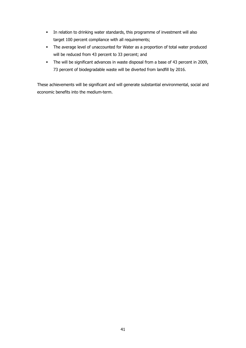- In relation to drinking water standards, this programme of investment will also target 100 percent compliance with all requirements;
- The average level of unaccounted for Water as a proportion of total water produced will be reduced from 43 percent to 33 percent; and
- The will be significant advances in waste disposal from a base of 43 percent in 2009, 73 percent of biodegradable waste will be diverted from landfill by 2016.

These achievements will be significant and will generate substantial environmental, social and economic benefits into the medium-term.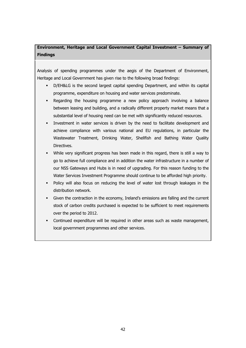# **Environment, Heritage and Local Government Capital Investment – Summary of Findings**

Analysis of spending programmes under the aegis of the Department of Environment, Heritage and Local Government has given rise to the following broad findings:

- § D/EH&LG is the second largest capital spending Department, and within its capital programme, expenditure on housing and water services predominate.
- Regarding the housing programme a new policy approach involving a balance between leasing and building, and a radically different property market means that a substantial level of housing need can be met with significantly reduced resources.
- § Investment in water services is driven by the need to facilitate development and achieve compliance with various national and EU regulations, in particular the Wastewater Treatment, Drinking Water, Shellfish and Bathing Water Quality Directives.
- § While very significant progress has been made in this regard, there is still a way to go to achieve full compliance and in addition the water infrastructure in a number of our NSS Gateways and Hubs is in need of upgrading. For this reason funding to the Water Services Investment Programme should continue to be afforded high priority.
- Policy will also focus on reducing the level of water lost through leakages in the distribution network.
- § Given the contraction in the economy, Ireland's emissions are falling and the current stock of carbon credits purchased is expected to be sufficient to meet requirements over the period to 2012.
- Continued expenditure will be required in other areas such as waste management, local government programmes and other services.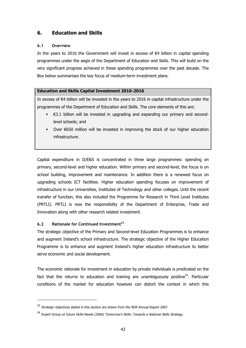# **6. Education and Skills**

# **6.1 Overview**

In the years to 2016 the Government will invest in excess of  $€4$  billion in capital spending programmes under the aegis of the Department of Education and Skills. This will build on the very significant progress achieved in these spending programmes over the past decade. The Box below summarises the key focus of medium-term investment plans.

#### **Education and Skills Capital Investment 2010-2016**

In excess of €4 billion will be invested in the years to 2016 in capital infrastructure under the programmes of the Department of Education and Skills. The core elements of this are:

- $\epsilon$   $\in$  3.1 billion will be invested in upgrading and expanding our primary and secondlevel schools; and
- Over €650 million will be invested in improving the stock of our higher education infrastructure.

Capital expenditure in D/E&S is concentrated in three large programmes: spending on primary, second-level and higher education. Within primary and second-level, the focus is on school building, improvement and maintenance. In addition there is a renewed focus on upgrading schools ICT facilities. Higher education spending focuses on improvement of infrastructure in our Universities, Institutes of Technology and other colleges. Until the recent transfer of function, this also included the Programme for Research in Third Level Institutes (PRTLI). PRTLI is now the responsibility of the Department of Enterprise, Trade and Innovation along with other research related investment.

# **6.2 Rationale for Continued Investment<sup>33</sup>**

The strategic objective of the Primary and Second-level Education Programmes is to enhance and augment Ireland's school infrastructure. The strategic objective of the Higher Education Programme is to enhance and augment Ireland's higher education infrastructure to better serve economic and social development.

The economic rationale for investment in education by private individuals is predicated on the fact that the returns to education and training are unambiguously positive<sup>34</sup>. Particular conditions of the market for education however can distort the context in which this

<sup>&</sup>lt;sup>33</sup> Strategic objectives stated in this section are drawn from the NDP Annual Report 2007

<sup>&</sup>lt;sup>34</sup> Expert Group on future Skills Needs (2006) Tomorrow's Skills: Towards a National Skills Strategy.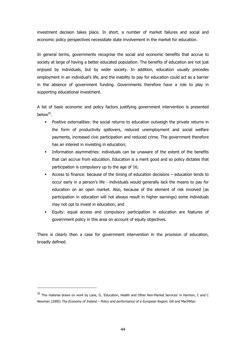investment decision takes place. In short, a number of market failures and social and economic policy perspectives necessitate state involvement in the market for education.

In general terms, governments recognise the social and economic benefits that accrue to society at large of having a better educated population. The benefits of education are not just enjoyed by individuals, but by wider society. In addition, education usually precedes employment in an individual's life, and the inability to pay for education could act as a barrier in the absence of government funding. Governments therefore have a role to play in supporting educational investment.

A list of basic economic and policy factors justifying government intervention is presented below $35$ .

- Positive externalities: the social returns to education outweigh the private returns in the form of productivity spillovers, reduced unemployment and social welfare payments, increased civic participation and reduced crime. The government therefore has an interest in investing in education;
- Information asymmetries: individuals can be unaware of the extent of the benefits that can accrue from education. Education is a merit good and so policy dictates that participation is compulsory up to the age of 16;
- § Access to finance: because of the timing of education decisions education tends to occur early in a person's life - individuals would generally lack the means to pay for education on an open market. Also, because of the element of risk involved (as participation in education will not always result in higher earnings) some individuals may not opt to invest in education; and
- § Equity: equal access and compulsory participation in education are features of government policy in this area on account of equity objectives.

There is clearly then a case for government intervention in the provision of education, broadly defined.

<sup>&</sup>lt;sup>35</sup> This material draws on work by Lane, O, 'Education, Health and Other Non-Market Services' in Harmon, C and C Newman (2000) The Economy of Ireland - Policy and performance of a European Region. Gill and MacMillan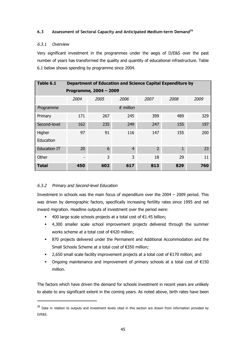# **6.3 Assessment of Sectoral Capacity and Anticipated Medium-term Demand<sup>36</sup>**

# 6.3.1 Overview

Very significant investment in the programmes under the aegis of D/E&S over the past number of years has transformed the quality and quantity of educational infrastructure. Table 6.1 below shows spending by programme since 2004.

| Table 6.1           | Department of Education and Science Capital Expenditure by |      |                |                |              |      |  |  |  |  |
|---------------------|------------------------------------------------------------|------|----------------|----------------|--------------|------|--|--|--|--|
|                     | Programme, 2004 - 2009                                     |      |                |                |              |      |  |  |  |  |
|                     | 2004                                                       | 2005 | 2006           | 2007           | 2008         | 2009 |  |  |  |  |
| Programme           | $\epsilon$ million                                         |      |                |                |              |      |  |  |  |  |
| Primary             | 171                                                        | 267  | 245            | 399            | 489          | 329  |  |  |  |  |
| Second-level        | 162                                                        | 235  | 249            | 247            | 155          | 197  |  |  |  |  |
| Higher              | 97                                                         | 91   | 116            | 147            | 155          | 200  |  |  |  |  |
| Education           |                                                            |      |                |                |              |      |  |  |  |  |
| <b>Education IT</b> | 20                                                         | 6    | $\overline{4}$ | $\overline{2}$ | $\mathbf{1}$ | 23   |  |  |  |  |
| Other               |                                                            | 3    | 3              | 18             | 29           | 11   |  |  |  |  |
| <b>Total</b>        | 450                                                        | 602  | 617            | 813            | 829          | 760  |  |  |  |  |

# 6.3.2 Primary and Second-level Education

Investment in schools was the main focus of expenditure over the 2004 – 2009 period. This was driven by demographic factors, specifically increasing fertility rates since 1995 and net inward migration. Headline outputs of investment over the period were:

- 400 large scale schools projects at a total cost of  $€1.45$  billion;
- § 4,300 smaller scale school improvement projects delivered through the summer works scheme at a total cost of €420 million;
- § 870 projects delivered under the Permanent and Additional Accommodation and the Small Schools Scheme at a total cost of €350 million;
- 2,650 small scale facility improvement projects at a total cost of €170 million; and
- Ongoing maintenance and improvement of primary schools at a total cost of  $E$ 150 million.

The factors which have driven the demand for schools investment in recent years are unlikely to abate to any significant extent in the coming years. As noted above, birth rates have been

<sup>&</sup>lt;sup>36</sup> Data in relation to outputs and investment levels cited in this section are drawn from information provided by D/E&S.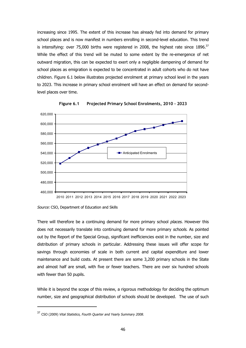increasing since 1995. The extent of this increase has already fed into demand for primary school places and is now manifest in numbers enrolling in second-level education. This trend is intensifying: over 75,000 births were registered in 2008, the highest rate since  $1896$ .<sup>37</sup> While the effect of this trend will be muted to some extent by the re-emergence of net outward migration, this can be expected to exert only a negligible dampening of demand for school places as emigration is expected to be concentrated in adult cohorts who do not have children. Figure 6.1 below illustrates projected enrolment at primary school level in the years to 2023. This increase in primary school enrolment will have an effect on demand for secondlevel places over time.



**Figure 6.1 Projected Primary School Enrolments, 2010 - 2023**

Source: CSO, Department of Education and Skills

There will therefore be a continuing demand for more primary school places. However this does not necessarily translate into continuing demand for more primary schools. As pointed out by the Report of the Special Group, significant inefficiencies exist in the number, size and distribution of primary schools in particular. Addressing these issues will offer scope for savings through economies of scale in both current and capital expenditure and lower maintenance and build costs. At present there are some 3,200 primary schools in the State and almost half are small, with five or fewer teachers. There are over six hundred schools with fewer than 50 pupils.

While it is beyond the scope of this review, a rigorous methodology for deciding the optimum number, size and geographical distribution of schools should be developed. The use of such

<sup>&</sup>lt;sup>37</sup> CSO (2009) Vital Statistics, Fourth Quarter and Yearly Summary 2008.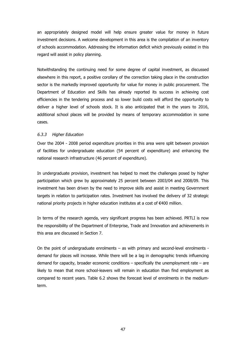an appropriately designed model will help ensure greater value for money in future investment decisions. A welcome development in this area is the compilation of an inventory of schools accommodation. Addressing the information deficit which previously existed in this regard will assist in policy planning.

Notwithstanding the continuing need for some degree of capital investment, as discussed elsewhere in this report, a positive corollary of the correction taking place in the construction sector is the markedly improved opportunity for value for money in public procurement. The Department of Education and Skills has already reported its success in achieving cost efficiencies in the tendering process and so lower build costs will afford the opportunity to deliver a higher level of schools stock. It is also anticipated that in the years to 2016, additional school places will be provided by means of temporary accommodation in some cases.

#### 6.3.3 Higher Education

Over the 2004 - 2008 period expenditure priorities in this area were split between provision of facilities for undergraduate education (54 percent of expenditure) and enhancing the national research infrastructure (46 percent of expenditure).

In undergraduate provision, investment has helped to meet the challenges posed by higher participation which grew by approximately 25 percent between 2003/04 and 2008/09. This investment has been driven by the need to improve skills and assist in meeting Government targets in relation to participation rates. Investment has involved the delivery of 32 strategic national priority projects in higher education institutes at a cost of €400 million.

In terms of the research agenda, very significant progress has been achieved. PRTLI is now the responsibility of the Department of Enterprise, Trade and Innovation and achievements in this area are discussed in Section 7.

On the point of undergraduate enrolments – as with primary and second-level enrolments demand for places will increase. While there will be a lag in demographic trends influencing demand for capacity, broader economic conditions  $-$  specifically the unemployment rate  $-$  are likely to mean that more school-leavers will remain in education than find employment as compared to recent years. Table 6.2 shows the forecast level of enrolments in the mediumterm.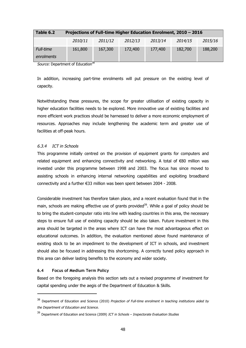| Table 6.2                      | Projections of Full-time Higher Education Enrolment, 2010 - 2016 |         |         |         |         |         |  |  |  |  |
|--------------------------------|------------------------------------------------------------------|---------|---------|---------|---------|---------|--|--|--|--|
|                                | 2010/11                                                          | 2011/12 | 2012/13 | 2013/14 | 2014/15 | 2015/16 |  |  |  |  |
| <b>Full-time</b><br>enrolments | 161,800                                                          | 167,300 | 172,400 | 177,400 | 182,700 | 188,200 |  |  |  |  |

Source: Department of Education<sup>38</sup>

In addition, increasing part-time enrolments will put pressure on the existing level of capacity.

Notwithstanding these pressures, the scope for greater utilisation of existing capacity in higher education facilities needs to be explored. More innovative use of existing facilities and more efficient work practices should be harnessed to deliver a more economic employment of resources. Approaches may include lengthening the academic term and greater use of facilities at off-peak hours.

#### 6.3.4 ICT in Schools

This programme initially centred on the provision of equipment grants for computers and related equipment and enhancing connectivity and networking. A total of €80 million was invested under this programme between 1998 and 2003. The focus has since moved to assisting schools in enhancing internal networking capabilities and exploiting broadband connectivity and a further €33 million was been spent between 2004 - 2008.

Considerable investment has therefore taken place, and a recent evaluation found that in the main, schools are making effective use of grants provided<sup>39</sup>. While a goal of policy should be to bring the student-computer ratio into line with leading countries in this area, the necessary steps to ensure full use of existing capacity should be also taken. Future investment in this area should be targeted in the areas where ICT can have the most advantageous effect on educational outcomes. In addition, the evaluation mentioned above found maintenance of existing stock to be an impediment to the development of ICT in schools, and investment should also be focused in addressing this shortcoming. A correctly tuned policy approach in this area can deliver lasting benefits to the economy and wider society.

#### **6.4 Focus of Medium Term Policy**

Based on the foregoing analysis this section sets out a revised programme of investment for capital spending under the aegis of the Department of Education & Skills.

<sup>&</sup>lt;sup>38</sup> Department of Education and Science (2010) Projection of Full-time enrolment in teaching institutions aided by the Department of Education and Science.

<sup>&</sup>lt;sup>39</sup> Department of Education and Science (2009) ICT in Schools – Inspectorate Evaluation Studies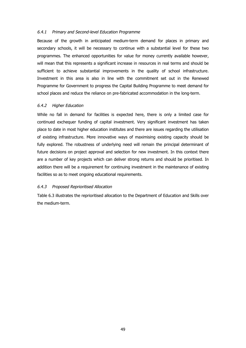#### 6.4.1 Primary and Second-level Education Programme

Because of the growth in anticipated medium-term demand for places in primary and secondary schools, it will be necessary to continue with a substantial level for these two programmes. The enhanced opportunities for value for money currently available however, will mean that this represents a significant increase in resources in real terms and should be sufficient to achieve substantial improvements in the quality of school infrastructure. Investment in this area is also in line with the commitment set out in the Renewed Programme for Government to progress the Capital Building Programme to meet demand for school places and reduce the reliance on pre-fabricated accommodation in the long-term.

#### 6.4.2 Higher Education

While no fall in demand for facilities is expected here, there is only a limited case for continued exchequer funding of capital investment. Very significant investment has taken place to date in most higher education institutes and there are issues regarding the utilisation of existing infrastructure. More innovative ways of maximising existing capacity should be fully explored. The robustness of underlying need will remain the principal determinant of future decisions on project approval and selection for new investment. In this context there are a number of key projects which can deliver strong returns and should be prioritised. In addition there will be a requirement for continuing investment in the maintenance of existing facilities so as to meet ongoing educational requirements.

# 6.4.3 Proposed Reprioritised Allocation

Table 6.3 illustrates the reprioritised allocation to the Department of Education and Skills over the medium-term.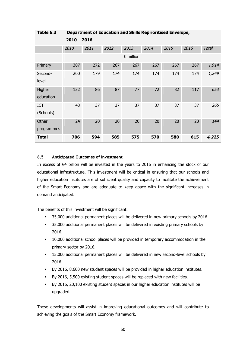| Table 6.3    | <b>Department of Education and Skills Reprioritised Envelope,</b> |      |      |                    |      |      |      |              |  |
|--------------|-------------------------------------------------------------------|------|------|--------------------|------|------|------|--------------|--|
|              | $2010 - 2016$                                                     |      |      |                    |      |      |      |              |  |
|              | 2010                                                              | 2011 | 2012 | 2013               | 2014 | 2015 | 2016 | <b>Total</b> |  |
|              |                                                                   |      |      | $\epsilon$ million |      |      |      |              |  |
| Primary      | 307                                                               | 272  | 267  | 267                | 267  | 267  | 267  | 1,914        |  |
| Second-      | 200                                                               | 179  | 174  | 174                | 174  | 174  | 174  | 1,249        |  |
| level        |                                                                   |      |      |                    |      |      |      |              |  |
| Higher       | 132                                                               | 86   | 87   | 77                 | 72   | 82   | 117  | 653          |  |
| education    |                                                                   |      |      |                    |      |      |      |              |  |
| <b>ICT</b>   | 43                                                                | 37   | 37   | 37                 | 37   | 37   | 37   | 265          |  |
| (Schools)    |                                                                   |      |      |                    |      |      |      |              |  |
| Other        | 24                                                                | 20   | 20   | 20                 | 20   | 20   | 20   | 144          |  |
| programmes   |                                                                   |      |      |                    |      |      |      |              |  |
| <b>Total</b> | 706                                                               | 594  | 585  | 575                | 570  | 580  | 615  | 4,225        |  |

# **6.5 Anticipated Outcomes of Investment**

In excess of €4 billion will be invested in the years to 2016 in enhancing the stock of our educational infrastructure. This investment will be critical in ensuring that our schools and higher education institutes are of sufficient quality and capacity to facilitate the achievement of the Smart Economy and are adequate to keep apace with the significant increases in demand anticipated.

The benefits of this investment will be significant:

- § 35,000 additional permanent places will be delivered in new primary schools by 2016.
- 35,000 additional permanent places will be delivered in existing primary schools by 2016.
- **•** 10,000 additional school places will be provided in temporary accommodation in the primary sector by 2016.
- **•** 15,000 additional permanent places will be delivered in new second-level schools by 2016.
- § By 2016, 8,600 new student spaces will be provided in higher education institutes.
- § By 2016, 5,500 existing student spaces will be replaced with new facilities.
- By 2016, 20,100 existing student spaces in our higher education institutes will be upgraded.

These developments will assist in improving educational outcomes and will contribute to achieving the goals of the Smart Economy framework.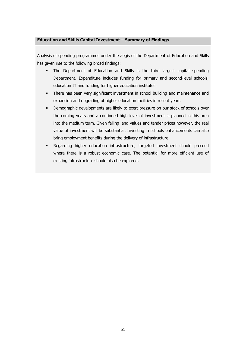# **Education and Skills Capital Investment – Summary of Findings**

Analysis of spending programmes under the aegis of the Department of Education and Skills has given rise to the following broad findings:

- § The Department of Education and Skills is the third largest capital spending Department. Expenditure includes funding for primary and second-level schools, education IT and funding for higher education institutes.
- There has been very significant investment in school building and maintenance and expansion and upgrading of higher education facilities in recent years.
- Demographic developments are likely to exert pressure on our stock of schools over the coming years and a continued high level of investment is planned in this area into the medium term. Given falling land values and tender prices however, the real value of investment will be substantial. Investing in schools enhancements can also bring employment benefits during the delivery of infrastructure.
- § Regarding higher education infrastructure, targeted investment should proceed where there is a robust economic case. The potential for more efficient use of existing infrastructure should also be explored.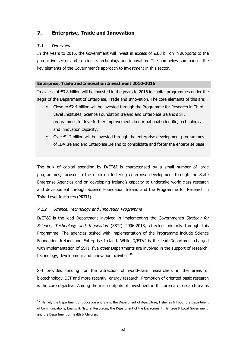# **7. Enterprise, Trade and Innovation**

# **7.1 Overview**

In the years to 2016, the Government will invest in excess of €3.8 billion in supports to the productive sector and in science, technology and innovation. The box below summarises the key elements of the Government's approach to investment in this sector.

# **Enterprise, Trade and Innovation Investment 2010-2016**

In excess of €3.8 billion will be invested in the years to 2016 in capital programmes under the aegis of the Department of Enterprise, Trade and Innovation. The core elements of this are:

- Close to  $€2.4$  billion will be invested through the Programme for Research in Third Level Institutes, Science Foundation Ireland and Enterprise Ireland's STI programmes to drive further improvements in our national scientific, technological and innovation capacity.
- Over  $€1.2$  billion will be invested through the enterprise development programmes of IDA Ireland and Enterprise Ireland to consolidate and foster the enterprise base

The bulk of capital spending by D/ET&I is characterised by a small number of large programmes, focused in the main on fostering enterprise development through the State Enterprise Agencies and on developing Ireland's capacity to undertake world-class research and development through Science Foundation Ireland and the Programme for Research in Third Level Institutes (PRTLI).

# 7.1.2 Science, Technology and Innovation Programme

D/ET&I is the lead Department involved in implementing the Government's Strategy for Science, Technology and Innovation (SSTI) 2006-2013, effected primarily through this Programme. The agencies tasked with implementation of the Programme include Science Foundation Ireland and Enterprise Ireland. While D/ET&I is the lead Department charged with implementation of SSTI, five other Departments are involved in the support of research, technology, development and innovation activities.<sup>40</sup>

SFI provides funding for the attraction of world-class researchers in the areas of biotechnology, ICT and more recently, energy research. Promotion of oriented basic research is the core objective. Among the main outputs of investment in this area are research teams

 $40$  Namely the Department of Education and Skills, the Department of Agriculture, Fisheries & Food, the Department of Communications, Energy & Natural Resources, the Department of the Environment, Heritage & Local Government, and the Department of Health & Children.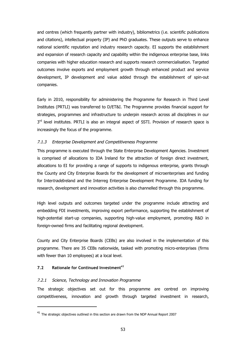and centres (which frequently partner with industry), bibliometrics (i.e. scientific publications and citations), intellectual property (IP) and PhD graduates. These outputs serve to enhance national scientific reputation and industry research capacity. EI supports the establishment and expansion of research capacity and capability within the indigenous enterprise base, links companies with higher education research and supports research commercialisation. Targeted outcomes involve exports and employment growth through enhanced product and service development, IP development and value added through the establishment of spin-out companies.

Early in 2010, responsibility for administering the Programme for Research in Third Level Institutes (PRTLI) was transferred to D/ET&I. The Programme provides financial support for strategies, programmes and infrastructure to underpin research across all disciplines in our 3<sup>rd</sup> level institutes. PRTLI is also an integral aspect of SSTI. Provision of research space is increasingly the focus of the programme.

#### 7.1.3 Enterprise Development and Competitiveness Programme

This programme is executed through the State Enterprise Development Agencies. Investment is comprised of allocations to IDA Ireland for the attraction of foreign direct investment, allocations to EI for providing a range of supports to indigenous enterprise, grants through the County and City Enterprise Boards for the development of microenterprises and funding for IntertradeIreland and the Interreg Enterprise Development Programme. IDA funding for research, development and innovation activities is also channelled through this programme.

High level outputs and outcomes targeted under the programme include attracting and embedding FDI investments, improving export performance, supporting the establishment of high-potential start-up companies, supporting high-value employment, promoting R&D in foreign-owned firms and facilitating regional development.

County and City Enterprise Boards (CEBs) are also involved in the implementation of this programme. There are 35 CEBs nationwide, tasked with promoting micro-enterprises (firms with fewer than 10 employees) at a local level.

# **7.2 Rationale for Continued Investment<sup>41</sup>**

# 7.2.1 Science, Technology and Innovation Programme

The strategic objectives set out for this programme are centred on improving competitiveness, innovation and growth through targeted investment in research,

 $41$  The strategic objectives outlined in this section are drawn from the NDP Annual Report 2007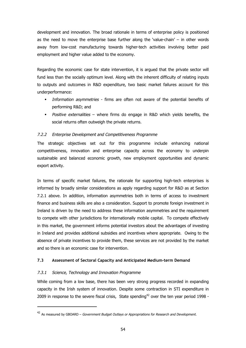development and innovation. The broad rationale in terms of enterprise policy is positioned as the need to move the enterprise base further along the 'value-chain' – in other words away from low-cost manufacturing towards higher-tech activities involving better paid employment and higher value added to the economy.

Regarding the economic case for state intervention, it is argued that the private sector will fund less than the socially optimum level. Along with the inherent difficulty of relating inputs to outputs and outcomes in R&D expenditure, two basic market failures account for this underperformance:

- Information asymmetries firms are often not aware of the potential benefits of performing R&D; and
- Positive externalities where firms do engage in R&D which yields benefits, the social returns often outweigh the private returns.

# 7.2.2 Enterprise Development and Competitiveness Programme

The strategic objectives set out for this programme include enhancing national competitiveness, innovation and enterprise capacity across the economy to underpin sustainable and balanced economic growth, new employment opportunities and dynamic export activity.

In terms of specific market failures, the rationale for supporting high-tech enterprises is informed by broadly similar considerations as apply regarding support for R&D as at Section 7.2.1 above. In addition, information asymmetries both in terms of access to investment finance and business skills are also a consideration. Support to promote foreign investment in Ireland is driven by the need to address these information asymmetries and the requirement to compete with other jurisdictions for internationally mobile capital. To compete effectively in this market, the government informs potential investors about the advantages of investing in Ireland and provides additional subsidies and incentives where appropriate. Owing to the absence of private incentives to provide them, these services are not provided by the market and so there is an economic case for intervention.

# **7.3 Assessment of Sectoral Capacity and Anticipated Medium-term Demand**

# 7.3.1 Science, Technology and Innovation Programme

While coming from a low base, there has been very strong progress recorded in expanding capacity in the Irish system of innovation. Despite some contraction in STI expenditure in 2009 in response to the severe fiscal crisis, State spending $42$  over the ten year period 1998 -

<sup>&</sup>lt;sup>42</sup> As measured by GBOARD – Government Budget Outlays or Appropriations for Research and Development.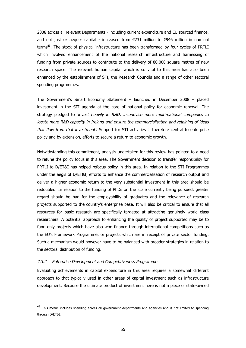2008 across all relevant Departments - including current expenditure and EU sourced finance, and not just exchequer capital - increased from  $E$ 231 million to  $E$ 946 million in nominal terms<sup>43</sup>. The stock of physical infrastructure has been transformed by four cycles of PRTLI which involved enhancement of the national research infrastructure and harnessing of funding from private sources to contribute to the delivery of 80,000 square metres of new research space. The relevant human capital which is so vital to this area has also been enhanced by the establishment of SFI, the Research Councils and a range of other sectoral spending programmes.

The Government's Smart Economy Statement – launched in December 2008 – placed investment in the STI agenda at the core of national policy for economic renewal. The strategy pledged to 'invest heavily in R&D, incentivise more multi-national companies to locate more R&D capacity in Ireland and ensure the commercialisation and retaining of ideas that flow from that investment'. Support for STI activities is therefore central to enterprise policy and by extension, efforts to secure a return to economic growth.

Notwithstanding this commitment, analysis undertaken for this review has pointed to a need to retune the policy focus in this area. The Government decision to transfer responsibility for PRTLI to D/ET&I has helped refocus policy in this area. In relation to the STI Programmes under the aegis of D/ET&I, efforts to enhance the commercialisation of research output and deliver a higher economic return to the very substantial investment in this area should be redoubled. In relation to the funding of PhDs on the scale currently being pursued, greater regard should be had for the employability of graduates and the relevance of research projects supported to the country's enterprise base. It will also be critical to ensure that all resources for basic research are specifically targeted at attracting genuinely world class researchers. A potential approach to enhancing the quality of project supported may be to fund only projects which have also won finance through international competitions such as the EU's Framework Programme, or projects which are in receipt of private sector funding. Such a mechanism would however have to be balanced with broader strategies in relation to the sectoral distribution of funding.

#### 7.3.2 Enterprise Development and Competitiveness Programme

Evaluating achievements in capital expenditure in this area requires a somewhat different approach to that typically used in other areas of capital investment such as infrastructure development. Because the ultimate product of investment here is not a piece of state-owned

<sup>&</sup>lt;sup>43</sup> This metric includes spending across all government departments and agencies and is not limited to spending through D/ET&I.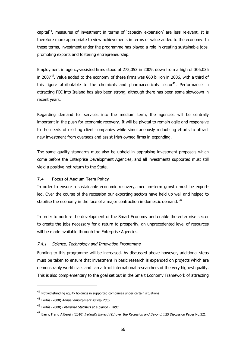capital<sup>44</sup>, measures of investment in terms of 'capacity expansion' are less relevant. It is therefore more appropriate to view achievements in terms of value added to the economy. In these terms, investment under the programme has played a role in creating sustainable jobs, promoting exports and fostering entrepreneurship.

Employment in agency-assisted firms stood at 272,053 in 2009, down from a high of 306,036 in 2007<sup>45</sup>. Value added to the economy of these firms was €60 billion in 2006, with a third of this figure attributable to the chemicals and pharmaceuticals sector<sup>46</sup>. Performance in attracting FDI into Ireland has also been strong, although there has been some slowdown in recent years.

Regarding demand for services into the medium term, the agencies will be centrally important in the push for economic recovery. It will be pivotal to remain agile and responsive to the needs of existing client companies while simultaneously redoubling efforts to attract new investment from overseas and assist Irish-owned firms in expanding.

The same quality standards must also be upheld in appraising investment proposals which come before the Enterprise Development Agencies, and all investments supported must still yield a positive net return to the State.

#### **7.4 Focus of Medium Term Policy**

In order to ensure a sustainable economic recovery, medium-term growth must be exportled. Over the course of the recession our exporting sectors have held up well and helped to stabilise the economy in the face of a major contraction in domestic demand. <sup>47</sup>

In order to nurture the development of the Smart Economy and enable the enterprise sector to create the jobs necessary for a return to prosperity, an unprecedented level of resources will be made available through the Enterprise Agencies.

# 7.4.1 Science, Technology and Innovation Programme

Funding to this programme will be increased. As discussed above however, additional steps must be taken to ensure that investment in basic research is expended on projects which are demonstrably world class and can attract international researchers of the very highest quality. This is also complementary to the goal set out in the Smart Economy Framework of attracting

<sup>44</sup> Notwithstanding equity holdings in supported companies under certain situations

<sup>45</sup> Forfás (2008) Annual employment survey 2009

<sup>46</sup> Forfás (2008) Enterprise Statistics at a glance - <sup>2008</sup>

<sup>&</sup>lt;sup>47</sup> Barry, F and A.Bergin (2010) *Ireland's Inward FDI over the Recession and Beyond.* IIIS Discussion Paper No.321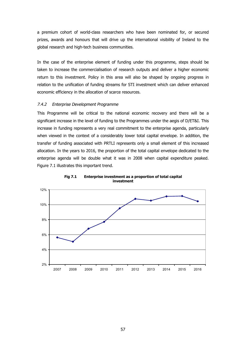a premium cohort of world-class researchers who have been nominated for, or secured prizes, awards and honours that will drive up the international visibility of Ireland to the global research and high-tech business communities.

In the case of the enterprise element of funding under this programme, steps should be taken to increase the commercialisation of research outputs and deliver a higher economic return to this investment. Policy in this area will also be shaped by ongoing progress in relation to the unification of funding streams for STI investment which can deliver enhanced economic efficiency in the allocation of scarce resources.

### 7.4.2 Enterprise Development Programme

This Programme will be critical to the national economic recovery and there will be a significant increase in the level of funding to the Programmes under the aegis of D/ET&I. This increase in funding represents a very real commitment to the enterprise agenda, particularly when viewed in the context of a considerably lower total capital envelope. In addition, the transfer of funding associated with PRTLI represents only a small element of this increased allocation. In the years to 2016, the proportion of the total capital envelope dedicated to the enterprise agenda will be double what it was in 2008 when capital expenditure peaked. Figure 7.1 illustrates this important trend.



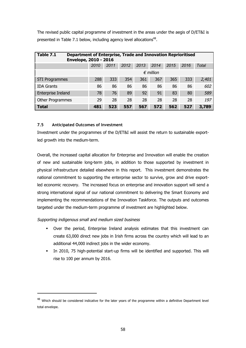The revised public capital programme of investment in the areas under the aegis of D/ET&I is presented in Table 7.1 below, including agency level allocations<sup>48</sup>.

| Table 7.1               | <b>Department of Enterprise, Trade and Innovation Reprioritised</b><br><b>Envelope, 2010 - 2016</b> |      |      |      |      |      |      |       |  |  |
|-------------------------|-----------------------------------------------------------------------------------------------------|------|------|------|------|------|------|-------|--|--|
|                         | 2010                                                                                                | 2011 | 2012 | 2013 | 2014 | 2015 | 2016 | Total |  |  |
|                         | $\epsilon$ million                                                                                  |      |      |      |      |      |      |       |  |  |
| <b>STI Programmes</b>   | 288                                                                                                 | 333  | 354  | 361  | 367  | 365  | 333  | 2,401 |  |  |
| <b>IDA Grants</b>       | 86                                                                                                  | 86   | 86   | 86   | 86   | 86   | 86   | 602   |  |  |
| Enterprise Ireland      | 78                                                                                                  | 76   | 89   | 92   | 91   | 83   | 80   | 589   |  |  |
| <b>Other Programmes</b> | 29                                                                                                  | 28   | 28   | 28   | 28   | 28   | 28   | 197   |  |  |
| <b>Total</b>            | 481                                                                                                 | 523  | 557  | 567  | 572  | 562  | 527  | 3,789 |  |  |

## **7.5 Anticipated Outcomes of Investment**

Investment under the programmes of the D/ET&I will assist the return to sustainable exportled growth into the medium-term.

Overall, the increased capital allocation for Enterprise and Innovation will enable the creation of new and sustainable long-term jobs, in addition to those supported by investment in physical infrastructure detailed elsewhere in this report. This investment demonstrates the national commitment to supporting the enterprise sector to survive, grow and drive exportled economic recovery. The increased focus on enterprise and innovation support will send a strong international signal of our national commitment to delivering the Smart Economy and implementing the recommendations of the Innovation Taskforce. The outputs and outcomes targeted under the medium-term programme of investment are highlighted below.

## Supporting indigenous small and medium sized business

- Over the period, Enterprise Ireland analysis estimates that this investment can create 63,000 direct new jobs in Irish firms across the country which will lead to an additional 44,000 indirect jobs in the wider economy.
- In 2010, 75 high-potential start-up firms will be identified and supported. This will rise to 100 per annum by 2016.

<sup>&</sup>lt;sup>48</sup> Which should be considered indicative for the later years of the programme within a definitive Department level total envelope.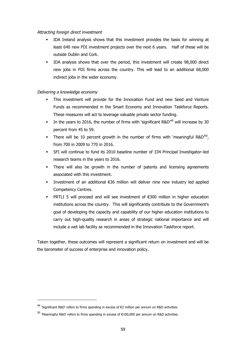### Attracting foreign direct investment

- § IDA Ireland analysis shows that this investment provides the basis for winning at least 640 new FDI investment projects over the next 6 years. Half of these will be outside Dublin and Cork.
- § IDA analysis shows that over the period, this investment will create 98,000 direct new jobs in FDI firms across the country. This will lead to an additional 68,000 indirect jobs in the wider economy.

## Delivering a knowledge economy

- § This investment will provide for the Innovation Fund and new Seed and Venture Funds as recommended in the Smart Economy and Innovation Taskforce Reports. These measures will act to leverage valuable private sector funding.
- **•** In the years to 2016, the number of firms with 'significant  $R\&D^{49}$  will increase by 30 percent from 45 to 59.
- There will be 10 percent growth in the number of firms with 'meaningful R&D<sup>50</sup>, from 700 in 2009 to 770 in 2016.
- § SFI will continue to fund its 2010 baseline number of 334 Principal Investigator–led research teams in the years to 2016.
- There will also be growth in the number of patents and licensing agreements associated with this investment.
- Investment of an additional €36 million will deliver nine new industry led applied Competency Centres.
- **PRTLI 5 will proceed and will see investment of**  $\epsilon$ **300 million in higher education** institutions across the country. This will significantly contribute to the Government's goal of developing the capacity and capability of our higher education institutions to carry out high-quality research in areas of strategic national importance and will include a wet lab facility as recommended in the Innovation Taskforce report.

Taken together, these outcomes will represent a significant return on investment and will be the barometer of success of enterprise and innovation policy.

<sup>&</sup>lt;sup>49</sup> 'Significant R&D' refers to firms spending in excess of €2 million per annum on R&D activities.

 $^{50}$  'Meaningful R&D' refers to firms spending in excess of €100,000 per annum on R&D activities.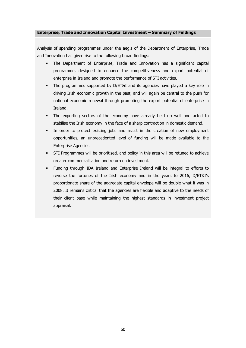### **Enterprise, Trade and Innovation Capital Investment – Summary of Findings**

Analysis of spending programmes under the aegis of the Department of Enterprise, Trade and Innovation has given rise to the following broad findings:

- § The Department of Enterprise, Trade and Innovation has a significant capital programme, designed to enhance the competitiveness and export potential of enterprise in Ireland and promote the performance of STI activities.
- The programmes supported by D/ET&I and its agencies have played a key role in driving Irish economic growth in the past, and will again be central to the push for national economic renewal through promoting the export potential of enterprise in Ireland.
- § The exporting sectors of the economy have already held up well and acted to stabilise the Irish economy in the face of a sharp contraction in domestic demand.
- In order to protect existing jobs and assist in the creation of new employment opportunities, an unprecedented level of funding will be made available to the Enterprise Agencies.
- § STI Programmes will be prioritised, and policy in this area will be retuned to achieve greater commercialisation and return on investment.
- § Funding through IDA Ireland and Enterprise Ireland will be integral to efforts to reverse the fortunes of the Irish economy and in the years to 2016, D/ET&I's proportionate share of the aggregate capital envelope will be double what it was in 2008. It remains critical that the agencies are flexible and adaptive to the needs of their client base while maintaining the highest standards in investment project appraisal.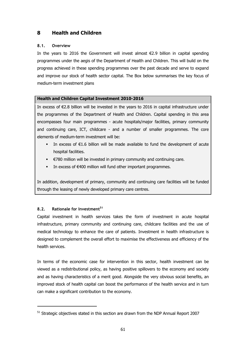# **8 Health and Children**

## **8.1. Overview**

In the years to 2016 the Government will invest almost €2.9 billion in capital spending programmes under the aegis of the Department of Health and Children. This will build on the progress achieved in these spending programmes over the past decade and serve to expand and improve our stock of health sector capital. The Box below summarises the key focus of medium-term investment plans

### **Health and Children Capital Investment 2010-2016**

In excess of €2.8 billion will be invested in the years to 2016 in capital infrastructure under the programmes of the Department of Health and Children. Capital spending in this area encompasses four main programmes - acute hospitals/major facilities, primary community and continuing care, ICT, childcare - and a number of smaller programmes. The core elements of medium-term investment will be:

- **•** In excess of  $\epsilon$ 1.6 billion will be made available to fund the development of acute hospital facilities.
- €780 million will be invested in primary community and continuing care.
- In excess of €400 million will fund other important programmes.

In addition, development of primary, community and continuing care facilities will be funded through the leasing of newly developed primary care centres.

## **8.2. Rationale for Investment<sup>51</sup>**

Capital investment in health services takes the form of investment in acute hospital infrastructure, primary community and continuing care, childcare facilities and the use of medical technology to enhance the care of patients. Investment in health infrastructure is designed to complement the overall effort to maximise the effectiveness and efficiency of the health services.

In terms of the economic case for intervention in this sector, health investment can be viewed as a redistributional policy, as having positive spillovers to the economy and society and as having characteristics of a merit good. Alongside the very obvious social benefits, an improved stock of health capital can boost the performance of the health service and in turn can make a significant contribution to the economy.

<sup>&</sup>lt;sup>51</sup> Strategic objectives stated in this section are drawn from the NDP Annual Report 2007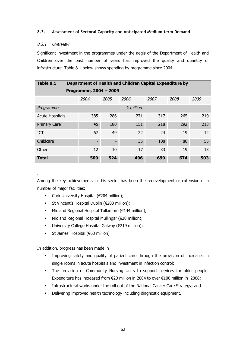### **8.3. Assessment of Sectoral Capacity and Anticipated Medium-term Demand**

### 8.3.1 Overview

.

Significant investment in the programmes under the aegis of the Department of Health and Children over the past number of years has improved the quality and quantity of infrastructure. Table 8.1 below shows spending by programme since 2004.

| Table 8.1              |                    |                          | Department of Health and Children Capital Expenditure by |      |      |      |  |  |  |  |
|------------------------|--------------------|--------------------------|----------------------------------------------------------|------|------|------|--|--|--|--|
| Programme, 2004 - 2009 |                    |                          |                                                          |      |      |      |  |  |  |  |
|                        | 2004               | 2005                     | 2006                                                     | 2007 | 2008 | 2009 |  |  |  |  |
| Programme              | $\epsilon$ million |                          |                                                          |      |      |      |  |  |  |  |
| <b>Acute Hospitals</b> | 385                | 286                      | 271                                                      | 317  | 265  | 210  |  |  |  |  |
| <b>Primary Care</b>    | 45                 | 180                      | 151                                                      | 218  | 292  | 213  |  |  |  |  |
| ICT                    | 67                 | 49                       | 22                                                       | 24   | 19   | 12   |  |  |  |  |
| Childcare              | -                  | $\overline{\phantom{0}}$ | 35                                                       | 108  | 80   | 55   |  |  |  |  |
| Other                  | 12                 | 10                       | 17                                                       | 33   | 19   | 13   |  |  |  |  |
| <b>Total</b>           | 509                | 524                      | 496                                                      | 699  | 674  | 503  |  |  |  |  |

Among the key achievements in this sector has been the redevelopment or extension of a number of major facilities:

- Cork University Hospital (€204 million);
- St Vincent's Hospital Dublin (€203 million);
- Midland Regional Hospital Tullamore (€144 million);
- Midland Regional Hospital Mullingar ( $€28$  million);
- **•** University College Hospital Galway ( $€219$  million);
- § St James' Hospital (€63 million)

In addition, progress has been made in

- Improving safety and quality of patient care through the provision of increases in single rooms in acute hospitals and investment in infection control;
- § The provision of Community Nursing Units to support services for older people. Expenditure has increased from €20 million in 2004 to over €100 million in 2008;
- § Infrastructural works under the roll out of the National Cancer Care Strategy; and
- Delivering improved health technology including diagnostic equipment.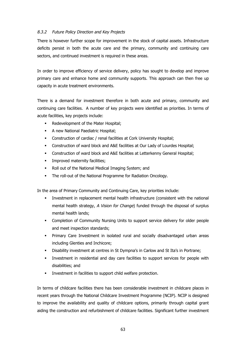## 8.3.2 Future Policy Direction and Key Projects

There is however further scope for improvement in the stock of capital assets. Infrastructure deficits persist in both the acute care and the primary, community and continuing care sectors, and continued investment is required in these areas.

In order to improve efficiency of service delivery, policy has sought to develop and improve primary care and enhance home and community supports. This approach can then free up capacity in acute treatment environments.

There is a demand for investment therefore in both acute and primary, community and continuing care facilities. A number of key projects were identified as priorities. In terms of acute facilities, key projects include:

- Redevelopment of the Mater Hospital;
- § A new National Paediatric Hospital;
- § Construction of cardiac / renal facilities at Cork University Hospital;
- § Construction of ward block and A&E facilities at Our Lady of Lourdes Hospital;
- § Construction of ward block and A&E facilities at Letterkenny General Hospital;
- **•** Improved maternity facilities;
- § Roll out of the National Medical Imaging System; and
- **The roll-out of the National Programme for Radiation Oncology.**

In the area of Primary Community and Continuing Care, key priorities include:

- § Investment in replacement mental health infrastructure (consistent with the national mental health strategy, A Vision for Change) funded through the disposal of surplus mental health lands;
- § Completion of Community Nursing Units to support service delivery for older people and meet inspection standards;
- § Primary Care Investment in isolated rural and socially disadvantaged urban areas including Glenties and Inchicore;
- § Disability investment at centres in St Dympna's in Carlow and St Ita's in Portrane;
- § Investment in residential and day care facilities to support services for people with disabilities; and
- Investment in facilities to support child welfare protection.

In terms of childcare facilities there has been considerable investment in childcare places in recent years through the National Childcare Investment Programme (NCIP). NCIP is designed to improve the availability and quality of childcare options, primarily through capital grant aiding the construction and refurbishment of childcare facilities. Significant further investment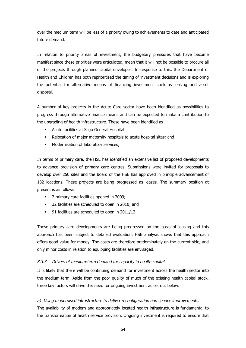over the medium term will be less of a priority owing to achievements to date and anticipated future demand.

In relation to priority areas of investment, the budgetary pressures that have become manifest since these priorities were articulated, mean that it will not be possible to procure all of the projects through planned capital envelopes. In response to this, the Department of Health and Children has both reprioritised the timing of investment decisions and is exploring the potential for alternative means of financing investment such as leasing and asset disposal.

A number of key projects in the Acute Care sector have been identified as possibilities to progress through alternative finance means and can be expected to make a contribution to the upgrading of health infrastructure. These have been identified as

- § Acute facilities at Sligo General Hospital
- Relocation of major maternity hospitals to acute hospital sites; and
- **■** Modernisation of laboratory services;

In terms of primary care, the HSE has identified an extensive list of proposed developments to advance provision of primary care centres. Submissions were invited for proposals to develop over 250 sites and the Board of the HSE has approved in principle advancement of 182 locations. These projects are being progressed as leases. The summary position at present is as follows:

- § 2 primary care facilities opened in 2009;
- § 32 facilities are scheduled to open in 2010; and
- 91 facilities are scheduled to open in 2011/12.

These primary care developments are being progressed on the basis of leasing and this approach has been subject to detailed evaluation. HSE analysis shows that this approach offers good value for money. The costs are therefore predominately on the current side, and only minor costs in relation to equipping facilities are envisaged.

## 8.3.3 Drivers of medium-term demand for capacity in health capital

It is likely that there will be continuing demand for investment across the health sector into the medium-term. Aside from the poor quality of much of the existing health capital stock, three key factors will drive this need for ongoing investment as set out below.

## a) Using modernised infrastructure to deliver reconfiguration and service improvements.

The availability of modern and appropriately located health infrastructure is fundamental to the transformation of health service provision. Ongoing investment is required to ensure that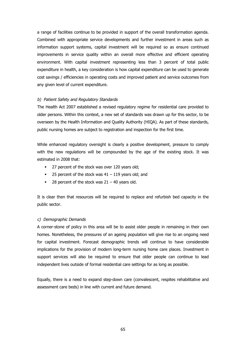a range of facilities continue to be provided in support of the overall transformation agenda. Combined with appropriate service developments and further investment in areas such as information support systems, capital investment will be required so as ensure continued improvements in service quality within an overall more effective and efficient operating environment. With capital investment representing less than 3 percent of total public expenditure in health, a key consideration is how capital expenditure can be used to generate cost savings / efficiencies in operating costs and improved patient and service outcomes from any given level of current expenditure.

### b) Patient Safety and Regulatory Standards

The Health Act 2007 established a revised regulatory regime for residential care provided to older persons. Within this context, a new set of standards was drawn up for this sector, to be overseen by the Health Information and Quality Authority (HIQA). As part of these standards, public nursing homes are subject to registration and inspection for the first time.

While enhanced regulatory oversight is clearly a positive development, pressure to comply with the new regulations will be compounded by the age of the existing stock. It was estimated in 2008 that:

- 27 percent of the stock was over 120 years old;
- 25 percent of the stock was  $41 119$  years old; and
- 28 percent of the stock was  $21 40$  years old.

It is clear then that resources will be required to replace and refurbish bed capacity in the public sector.

### c) Demographic Demands

A corner-stone of policy in this area will be to assist older people in remaining in their own homes. Nonetheless, the pressures of an ageing population will give rise to an ongoing need for capital investment. Forecast demographic trends will continue to have considerable implications for the provision of modern long-term nursing home care places. Investment in support services will also be required to ensure that older people can continue to lead independent lives outside of formal residential care settings for as long as possible.

Equally, there is a need to expand step-down care (convalescent, respites rehabilitative and assessment care beds) in line with current and future demand.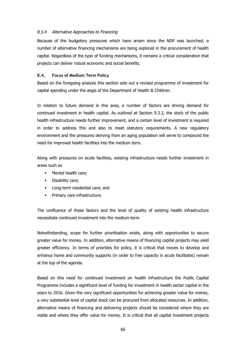### 8.3.4 Alternative Approaches to Financing

Because of the budgetary pressures which have arisen since the NDP was launched, a number of alternative financing mechanisms are being explored in the procurement of health capital. Regardless of the type of funding mechanisms, it remains a critical consideration that projects can deliver robust economic and social benefits.

### **8.4. Focus of Medium Term Policy**

Based on the foregoing analysis this section sets out a revised programme of investment for capital spending under the aegis of the Department of Health & Children.

In relation to future demand in this area, a number of factors are driving demand for continued investment in health capital. As outlined at Section 9.3.3, the stock of the public health infrastructure needs further improvement, and a certain level of investment is required in order to address this and also to meet statutory requirements. A new regulatory environment and the pressures deriving from an aging population will serve to compound the need for improved health facilities into the medium term.

Along with pressures on acute facilities, existing infrastructure needs further investment in areas such as

- **•** Mental health care:
- Disability care;
- Long-term residential care; and
- Primary care infrastructure.

The confluence of these factors and the level of quality of existing health infrastructure necessitate continued investment into the medium-term.

Notwithstanding, scope for further prioritisation exists, along with opportunities to secure greater value for money. In addition, alternative means of financing capital projects may yield greater efficiency. In terms of priorities for policy, it is critical that moves to develop and enhance home and community supports (in order to free capacity in acute facilitates) remain at the top of the agenda.

Based on this need for continued investment on health infrastructure the Public Capital Programme includes a significant level of funding for investment in health sector capital in the years to 2016. Given the very significant opportunities for achieving greater value for money, a very substantial level of capital stock can be procured from allocated resources. In addition, alternative means of financing and delivering projects should be considered where they are viable and where they offer value for money. It is critical that all capital investment projects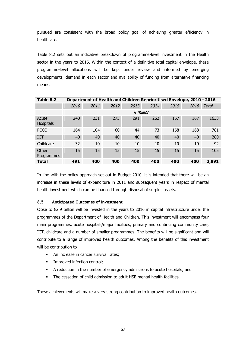pursued are consistent with the broad policy goal of achieving greater efficiency in healthcare.

Table 8.2 sets out an indicative breakdown of programme-level investment in the Health sector in the years to 2016. Within the context of a definitive total capital envelope, these programme-level allocations will be kept under review and informed by emerging developments, demand in each sector and availability of funding from alternative financing means.

| Table 8.2           |      |                    | <b>Department of Health and Children Reprioritised Envelope, 2010 - 2016</b> |      |      |      |      |              |  |  |  |
|---------------------|------|--------------------|------------------------------------------------------------------------------|------|------|------|------|--------------|--|--|--|
|                     | 2010 | 2011               | 2012                                                                         | 2013 | 2014 | 2015 | 2016 | <b>Total</b> |  |  |  |
|                     |      | $\epsilon$ million |                                                                              |      |      |      |      |              |  |  |  |
| Acute<br>Hospitals  | 240  | 231                | 275                                                                          | 291  | 262  | 167  | 167  | 1633         |  |  |  |
| <b>PCCC</b>         | 164  | 104                | 60                                                                           | 44   | 73   | 168  | 168  | 781          |  |  |  |
| <b>ICT</b>          | 40   | 40                 | 40                                                                           | 40   | 40   | 40   | 40   | 280          |  |  |  |
| Childcare           | 32   | 10                 | 10                                                                           | 10   | 10   | 10   | 10   | 92           |  |  |  |
| Other<br>Programmes | 15   | 15                 | 15                                                                           | 15   | 15   | 15   | 15   | 105          |  |  |  |
| <b>Total</b>        | 491  | 400                | 400                                                                          | 400  | 400  | 400  | 400  | 2,891        |  |  |  |

In line with the policy approach set out in Budget 2010, it is intended that there will be an increase in these levels of expenditure in 2011 and subsequent years in respect of mental health investment which can be financed through disposal of surplus assets.

## **8.5 Anticipated Outcomes of Investment**

Close to €2.9 billion will be invested in the years to 2016 in capital infrastructure under the programmes of the Department of Health and Children. This investment will encompass four main programmes, acute hospitals/major facilities, primary and continuing community care, ICT, childcare and a number of smaller programmes. The benefits will be significant and will contribute to a range of improved health outcomes. Among the benefits of this investment will be contribution to

- An increase in cancer survival rates;
- **•** Improved infection control;
- § A reduction in the number of emergency admissions to acute hospitals; and
- The cessation of child admission to adult HSE mental health facilities.

These achievements will make a very strong contribution to improved health outcomes.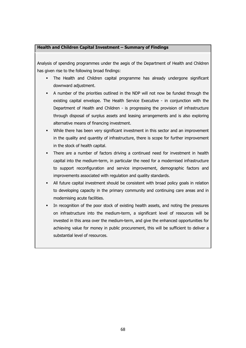### **Health and Children Capital Investment – Summary of Findings**

Analysis of spending programmes under the aegis of the Department of Health and Children has given rise to the following broad findings:

- The Health and Children capital programme has already undergone significant downward adjustment.
- § A number of the priorities outlined in the NDP will not now be funded through the existing capital envelope. The Health Service Executive - in conjunction with the Department of Health and Children - is progressing the provision of infrastructure through disposal of surplus assets and leasing arrangements and is also exploring alternative means of financing investment.
- § While there has been very significant investment in this sector and an improvement in the quality and quantity of infrastructure, there is scope for further improvement in the stock of health capital.
- There are a number of factors driving a continued need for investment in health capital into the medium-term, in particular the need for a modernised infrastructure to support reconfiguration and service improvement, demographic factors and improvements associated with regulation and quality standards.
- All future capital investment should be consistent with broad policy goals in relation to developing capacity in the primary community and continuing care areas and in modernising acute facilities.
- In recognition of the poor stock of existing health assets, and noting the pressures on infrastructure into the medium-term, a significant level of resources will be invested in this area over the medium-term, and give the enhanced opportunities for achieving value for money in public procurement, this will be sufficient to deliver a substantial level of resources.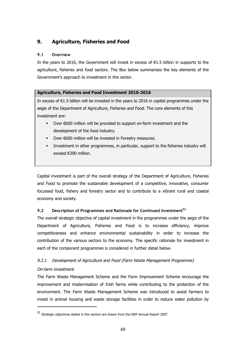# **9. Agriculture, Fisheries and Food**

## **9.1 Overview**

In the years to 2016, the Government will invest in excess of  $E1.5$  billion in supports to the agriculture, fisheries and food sectors. The Box below summarises the key elements of the Government's approach to investment in this sector.

## **Agriculture, Fisheries and Food Investment 2010-2016**

In excess of €1.5 billion will be invested in the years to 2016 in capital programmes under the aegis of the Department of Agriculture, Fisheries and Food. The core elements of this investment are:

- Over €600 million will be provided to support on-farm investment and the development of the food industry.
- Over €600 million will be invested in Forestry measures.
- § Investment in other programmes, in particular, support to the fisheries industry will exceed €300 million.

Capital investment is part of the overall strategy of the Department of Agriculture, Fisheries and Food to promote the sustainable development of a competitive, innovative, consumer focussed food, fishery and forestry sector and to contribute to a vibrant rural and coastal economy and society.

## **9.2 Description of Programmes and Rationale for Continued Investment<sup>52</sup>**

The overall strategic objective of capital investment in the programmes under the aegis of the Department of Agriculture, Fisheries and Food is to increase efficiency, improve competitiveness and enhance environmental sustainability in order to increase the contribution of the various sectors to the economy. The specific rationale for investment in each of the component programmes is considered in further detail below.

## 9.2.1 Development of Agriculture and Food (Farm Waste Management Programme)

## On-farm investment

The Farm Waste Management Scheme and the Farm Improvement Scheme encourage the improvement and modernisation of Irish farms while contributing to the protection of the environment. The Farm Waste Management Scheme was introduced to assist farmers to invest in animal housing and waste storage facilities in order to reduce water pollution by

<sup>52</sup> Strategic objectives stated in this section are drawn from the NDP Annual Report 2007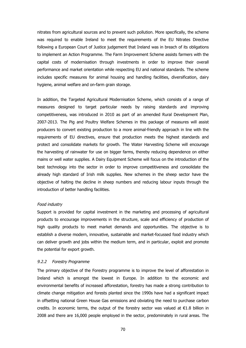nitrates from agricultural sources and to prevent such pollution. More specifically, the scheme was required to enable Ireland to meet the requirements of the EU Nitrates Directive following a European Court of Justice judgement that Ireland was in breach of its obligations to implement an Action Programme. The Farm Improvement Scheme assists farmers with the capital costs of modernisation through investments in order to improve their overall performance and market orientation while respecting EU and national standards. The scheme includes specific measures for animal housing and handling facilities, diversification, dairy hygiene, animal welfare and on-farm grain storage.

In addition, the Targeted Agricultural Modernisation Scheme, which consists of a range of measures designed to target particular needs by raising standards and improving competitiveness, was introduced in 2010 as part of an amended Rural Development Plan, 2007-2013. The Pig and Poultry Welfare Schemes in this package of measures will assist producers to convert existing production to a more animal-friendly approach in line with the requirements of EU directives, ensure that production meets the highest standards and protect and consolidate markets for growth. The Water Harvesting Scheme will encourage the harvesting of rainwater for use on bigger farms, thereby reducing dependence on either mains or well water supplies. A Dairy Equipment Scheme will focus on the introduction of the best technology into the sector in order to improve competitiveness and consolidate the already high standard of Irish milk supplies. New schemes in the sheep sector have the objective of halting the decline in sheep numbers and reducing labour inputs through the introduction of better handling facilities.

#### Food industry

Support is provided for capital investment in the marketing and processing of agricultural products to encourage improvements in the structure, scale and efficiency of production of high quality products to meet market demands and opportunities. The objective is to establish a diverse modern, innovative, sustainable and market-focussed food industry which can deliver growth and jobs within the medium term, and in particular, exploit and promote the potential for export growth.

### 9.2.2 Forestry Programme

The primary objective of the Forestry programme is to improve the level of afforestation in Ireland which is amongst the lowest in Europe. In addition to the economic and environmental benefits of increased afforestation, forestry has made a strong contribution to climate change mitigation and forests planted since the 1990s have had a significant impact in offsetting national Green House Gas emissions and obviating the need to purchase carbon credits. In economic terms, the output of the forestry sector was valued at €1.8 billion in 2008 and there are 16,000 people employed in the sector, predominately in rural areas. The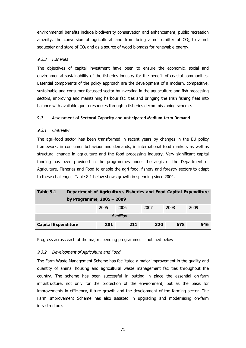environmental benefits include biodiversity conservation and enhancement, public recreation amenity, the conversion of agricultural land from being a net emitter of  $CO<sub>2</sub>$  to a net sequester and store of  $CO<sub>2</sub>$  and as a source of wood biomass for renewable energy.

## 9.2.3 Fisheries

The objectives of capital investment have been to ensure the economic, social and environmental sustainability of the fisheries industry for the benefit of coastal communities. Essential components of the policy approach are the development of a modern, competitive, sustainable and consumer focussed sector by investing in the aquaculture and fish processing sectors, improving and maintaining harbour facilities and bringing the Irish fishing fleet into balance with available quota resources through a fisheries decommissioning scheme.

## **9.3 Assessment of Sectoral Capacity and Anticipated Medium-term Demand**

## 9.3.1 Overview

The agri-food sector has been transformed in recent years by changes in the EU policy framework, in consumer behaviour and demands, in international food markets as well as structural change in agriculture and the food processing industry. Very significant capital funding has been provided in the programmes under the aegis of the Department of Agriculture, Fisheries and Food to enable the agri-food, fishery and forestry sectors to adapt to these challenges. Table 8.1 below shows growth in spending since 2004.

| Table 9.1                  | Department of Agriculture, Fisheries and Food Capital Expenditure |      |      |      |      |      |  |  |  |  |
|----------------------------|-------------------------------------------------------------------|------|------|------|------|------|--|--|--|--|
|                            | by Programme, 2005 - 2009                                         |      |      |      |      |      |  |  |  |  |
|                            |                                                                   | 2005 | 2006 | 2007 | 2008 | 2009 |  |  |  |  |
| $\epsilon$ million         |                                                                   |      |      |      |      |      |  |  |  |  |
| <b>Capital Expenditure</b> |                                                                   | 201  | 211  | 320  | 678  | 546  |  |  |  |  |

Progress across each of the major spending programmes is outlined below

## 9.3.2 Development of Agriculture and Food

The Farm Waste Management Scheme has facilitated a major improvement in the quality and quantity of animal housing and agricultural waste management facilities throughout the country. The scheme has been successful in putting in place the essential on-farm infrastructure, not only for the protection of the environment, but as the basis for improvements in efficiency, future growth and the development of the farming sector. The Farm Improvement Scheme has also assisted in upgrading and modernising on-farm infrastructure.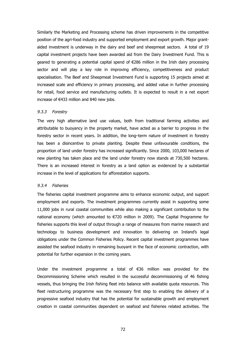Similarly the Marketing and Processing scheme has driven improvements in the competitive position of the agri-food industry and supported employment and export growth. Major grantaided investment is underway in the dairy and beef and sheepmeat sectors. A total of 19 capital investment projects have been awarded aid from the Dairy Investment Fund. This is geared to generating a potential capital spend of €286 million in the Irish dairy processing sector and will play a key role in improving efficiency, competitiveness and product specialisation. The Beef and Sheepmeat Investment Fund is supporting 15 projects aimed at increased scale and efficiency in primary processing, and added value in further processing for retail, food service and manufacturing outlets. It is expected to result in a net export increase of €433 million and 840 new jobs.

### 9.3.3 Forestry

The very high alternative land use values, both from traditional farming activities and attributable to buoyancy in the property market, have acted as a barrier to progress in the forestry sector in recent years. In addition, the long–term nature of investment in forestry has been a disincentive to private planting. Despite these unfavourable conditions, the proportion of land under forestry has increased significantly. Since 2000, 103,000 hectares of new planting has taken place and the land under forestry now stands at 730,500 hectares. There is an increased interest in forestry as a land option as evidenced by a substantial increase in the level of applications for afforestation supports.

### 9.3.4 Fisheries

The fisheries capital investment programme aims to enhance economic output, and support employment and exports. The investment programmes currently assist in supporting some 11,000 jobs in rural coastal communities while also making a significant contribution to the national economy (which amounted to €720 million in 2009). The Capital Programme for fisheries supports this level of output through a range of measures from marine research and technology to business development and innovation to delivering on Ireland's legal obligations under the Common Fisheries Policy. Recent capital investment programmes have assisted the seafood industry in remaining buoyant in the face of economic contraction, with potential for further expansion in the coming years.

Under the investment programme a total of €36 million was provided for the Decommissioning Scheme which resulted in the successful decommissioning of 46 fishing vessels, thus bringing the Irish fishing fleet into balance with available quota resources. This fleet restructuring programme was the necessary first step to enabling the delivery of a progressive seafood industry that has the potential for sustainable growth and employment creation in coastal communities dependent on seafood and fisheries related activities. The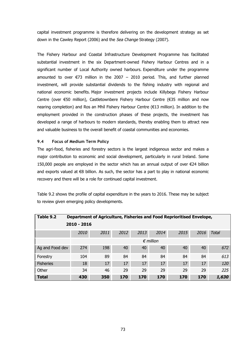capital investment programme is therefore delivering on the development strategy as set down in the Cawley Report (2006) and the Sea Change Strategy (2007).

The Fishery Harbour and Coastal Infrastructure Development Programme has facilitated substantial investment in the six Department-owned Fishery Harbour Centres and in a significant number of Local Authority owned harbours. Expenditure under the programme amounted to over  $E$ 73 million in the 2007 – 2010 period. This, and further planned investment, will provide substantial dividends to the fishing industry with regional and national economic benefits. Major investment projects include Killybegs Fishery Harbour Centre (over €50 million), Castletownbere Fishery Harbour Centre (€35 million and now nearing completion) and Ros an Mhíl Fishery Harbour Centre (€13 million). In addition to the employment provided in the construction phases of these projects, the investment has developed a range of harbours to modern standards, thereby enabling them to attract new and valuable business to the overall benefit of coastal communities and economies.

### **9.4 Focus of Medium Term Policy**

The agri-food, fisheries and forestry sectors is the largest indigenous sector and makes a major contribution to economic and social development, particularly in rural Ireland. Some 150,000 people are employed in the sector which has an annual output of over €24 billion and exports valued at €8 billion. As such, the sector has a part to play in national economic recovery and there will be a role for continued capital investment.

Table 9.2 shows the profile of capital expenditure in the years to 2016. These may be subject to review given emerging policy developments.

| Table 9.2        |                    | Department of Agriculture, Fisheries and Food Reprioritised Envelope, |      |      |      |      |      |       |  |  |
|------------------|--------------------|-----------------------------------------------------------------------|------|------|------|------|------|-------|--|--|
| $2010 - 2016$    |                    |                                                                       |      |      |      |      |      |       |  |  |
|                  | 2010               | 2011                                                                  | 2012 | 2013 | 2014 | 2015 | 2016 | Total |  |  |
|                  | $\epsilon$ million |                                                                       |      |      |      |      |      |       |  |  |
| Ag and Food dev  | 274                | 198                                                                   | 40   | 40   | 40   | 40   | 40   | 672   |  |  |
| Forestry         | 104                | 89                                                                    | 84   | 84   | 84   | 84   | 84   | 613   |  |  |
| <b>Fisheries</b> | 18                 | 17                                                                    | 17   | 17   | 17   | 17   | 17   | 120   |  |  |
| Other            | 34                 | 46                                                                    | 29   | 29   | 29   | 29   | 29   | 225   |  |  |
| <b>Total</b>     | 430                | 350                                                                   | 170  | 170  | 170  | 170  | 170  | 1,630 |  |  |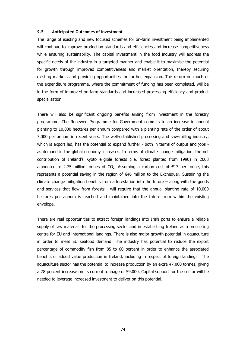### **9.5 Anticipated Outcomes of Investment**

The range of existing and new focused schemes for on-farm investment being implemented will continue to improve production standards and efficiencies and increase competitiveness while ensuring sustainability. The capital investment in the food industry will address the specific needs of the industry in a targeted manner and enable it to maximise the potential for growth through improved competitiveness and market orientation, thereby securing existing markets and providing opportunities for further expansion. The return on much of the expenditure programme, where the commitment of funding has been completed, will be in the form of improved on-farm standards and increased processing efficiency and product specialisation.

There will also be significant ongoing benefits arising from investment in the forestry programme. The Renewed Programme for Government commits to an increase in annual planting to 10,000 hectares per annum compared with a planting rate of the order of about 7,000 per annum in recent years. The well-established processing and saw-milling industry, which is export led, has the potential to expand further - both in terms of output and jobs as demand in the global economy increases. In terms of climate change mitigation, the net contribution of Ireland's Kyoto eligible forests (i.e. forest planted from 1990) in 2008 amounted to 2.75 million tonnes of  $CO<sub>2</sub>$ . Assuming a carbon cost of  $E17$  per tonne, this represents a potential saving in the region of €46 million to the Exchequer. Sustaining the climate change mitigation benefits from afforestation into the future – along with the goods and services that flow from forests - will require that the annual planting rate of 10,000 hectares per annum is reached and maintained into the future from within the existing envelope.

There are real opportunities to attract foreign landings into Irish ports to ensure a reliable supply of raw materials for the processing sector and in establishing Ireland as a processing centre for EU and international landings. There is also major growth potential in aquaculture in order to meet EU seafood demand. The industry has potential to reduce the export percentage of commodity fish from 85 to 60 percent in order to enhance the associated benefits of added value production in Ireland, including in respect of foreign landings. The aquaculture sector has the potential to increase production by an extra 47,000 tonnes, giving a 78 percent increase on its current tonnage of 59,000. Capital support for the sector will be needed to leverage increased investment to deliver on this potential.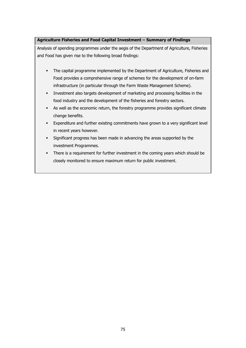## **Agriculture Fisheries and Food Capital Investment – Summary of Findings**

Analysis of spending programmes under the aegis of the Department of Agriculture, Fisheries and Food has given rise to the following broad findings:

- The capital programme implemented by the Department of Agriculture, Fisheries and Food provides a comprehensive range of schemes for the development of on-farm infrastructure (in particular through the Farm Waste Management Scheme).
- § Investment also targets development of marketing and processing facilities in the food industry and the development of the fisheries and forestry sectors.
- **As well as the economic return, the forestry programme provides significant climate** change benefits.
- § Expenditure and further existing commitments have grown to a very significant level in recent years however.
- Significant progress has been made in advancing the areas supported by the investment Programmes.
- There is a requirement for further investment in the coming years which should be closely monitored to ensure maximum return for public investment.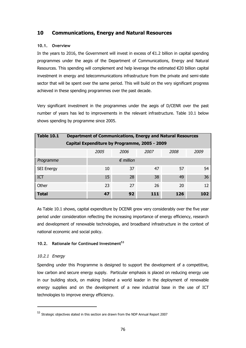# **10 Communications, Energy and Natural Resources**

## **10.1. Overview**

In the years to 2016, the Government will invest in excess of  $\epsilon$ 1.2 billion in capital spending programmes under the aegis of the Department of Communications, Energy and Natural Resources. This spending will complement and help leverage the estimated €20 billion capital investment in energy and telecommunications infrastructure from the private and semi-state sector that will be spent over the same period. This will build on the very significant progress achieved in these spending programmes over the past decade.

Very significant investment in the programmes under the aegis of D/CENR over the past number of years has led to improvements in the relevant infrastructure. Table 10.1 below shows spending by programme since 2005.

| <b>Table 10.1</b> |                                               |                              |     | <b>Department of Communications, Energy and Natural Resources</b> |     |  |  |  |  |  |
|-------------------|-----------------------------------------------|------------------------------|-----|-------------------------------------------------------------------|-----|--|--|--|--|--|
|                   | Capital Expenditure by Programme, 2005 - 2009 |                              |     |                                                                   |     |  |  |  |  |  |
|                   | 2005                                          | 2008<br>2006<br>2007<br>2009 |     |                                                                   |     |  |  |  |  |  |
| Programme         |                                               | $\epsilon$ million           |     |                                                                   |     |  |  |  |  |  |
| <b>SEI Energy</b> | 10                                            | 37                           | 47  | 57                                                                | 54  |  |  |  |  |  |
| ICT               | 15                                            | 28                           | 38  | 49                                                                | 36  |  |  |  |  |  |
| Other             | 23<br>26<br>27<br>20                          |                              |     |                                                                   |     |  |  |  |  |  |
| <b>Total</b>      | 47                                            | 92                           | 111 | 126                                                               | 102 |  |  |  |  |  |

As Table 10.1 shows, capital expenditure by DCENR grew very considerably over the five year period under consideration reflecting the increasing importance of energy efficiency, research and development of renewable technologies, and broadband infrastructure in the context of national economic and social policy.

## **10.2. Rationale for Continued Investment<sup>53</sup>**

## 10.2.1 Energy

Spending under this Programme is designed to support the development of a competitive, low carbon and secure energy supply. Particular emphasis is placed on reducing energy use in our building stock, on making Ireland a world leader in the deployment of renewable energy supplies and on the development of a new industrial base in the use of ICT technologies to improve energy efficiency.

<sup>53</sup> Strategic objectives stated in this section are drawn from the NDP Annual Report 2007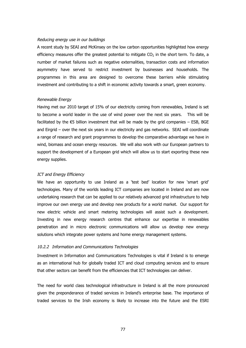#### Reducing energy use in our buildings

A recent study by SEAI and McKinsey on the low carbon opportunities highlighted how energy efficiency measures offer the greatest potential to mitigate  $CO<sub>2</sub>$  in the short term. To date, a number of market failures such as negative externalities, transaction costs and information asymmetry have served to restrict investment by businesses and households. The programmes in this area are designed to overcome these barriers while stimulating investment and contributing to a shift in economic activity towards a smart, green economy.

#### Renewable Energy

Having met our 2010 target of 15% of our electricity coming from renewables, Ireland is set to become a world leader in the use of wind power over the next six years. This will be facilitated by the  $\epsilon$ 5 billion investment that will be made by the grid companies – ESB, BGE and Eirgrid – over the next six years in our electricity and gas networks. SEAI will coordinate a range of research and grant programmes to develop the comparative advantage we have in wind, biomass and ocean energy resources. We will also work with our European partners to support the development of a European grid which will allow us to start exporting these new energy supplies.

#### ICT and Energy Efficiency

We have an opportunity to use Ireland as a 'test bed' location for new 'smart grid' technologies. Many of the worlds leading ICT companies are located in Ireland and are now undertaking research that can be applied to our relatively advanced grid infrastructure to help improve our own energy use and develop new products for a world market. Our support for new electric vehicle and smart metering technologies will assist such a development. Investing in new energy research centres that enhance our expertise in renewables penetration and in micro electronic communications will allow us develop new energy solutions which integrate power systems and home energy management systems.

#### 10.2.2 Information and Communications Technologies

Investment in Information and Communications Technologies is vital if Ireland is to emerge as an international hub for globally traded ICT and cloud computing services and to ensure that other sectors can benefit from the efficiencies that ICT technologies can deliver.

The need for world class technological infrastructure in Ireland is all the more pronounced given the preponderance of traded services in Ireland's enterprise base. The importance of traded services to the Irish economy is likely to increase into the future and the ESRI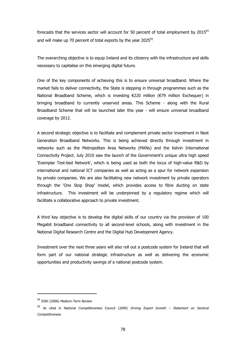forecasts that the services sector will account for 50 percent of total employment by 2015<sup>54</sup> and will make up 70 percent of total exports by the year 2025 $^{55}$ .

The overarching objective is to equip Ireland and its citizenry with the infrastructure and skills necessary to capitalise on this emerging digital future.

One of the key components of achieving this is to ensure universal broadband. Where the market fails to deliver connectivity, the State is stepping in through programmes such as the National Broadband Scheme, which is investing €220 million (€79 million Exchequer) in bringing broadband to currently unserved areas. This Scheme - along with the Rural Broadband Scheme that will be launched later this year - will ensure universal broadband coverage by 2012.

A second strategic objective is to facilitate and complement private sector investment in Next Generation Broadband Networks. This is being achieved directly through investment in networks such as the Metropolitan Area Networks (MANs) and the Kelvin International Connectivity Project. July 2010 saw the launch of the Government's unique ultra high speed 'Exemplar Test-bed Network', which is being used as both the locus of high-value R&D by international and national ICT companies as well as acting as a spur for network expansion by private companies. We are also facilitating new network investment by private operators through the 'One Stop Shop' model, which provides access to fibre ducting on state infrastructure. This investment will be underpinned by a regulatory regime which will facilitate a collaborative approach to private investment.

A third key objective is to develop the digital skills of our country via the provision of 100 Megabit broadband connectivity to all second-level schools, along with investment in the National Digital Research Centre and the Digital Hub Development Agency.

Investment over the next three years will also roll out a postcode system for Ireland that will form part of our national strategic infrastructure as well as delivering the economic opportunities and productivity savings of a national postcode system.

<sup>54</sup> ESRI (2008) Medium-Term Review

<sup>55</sup> As cited in National Competitiveness Council (2009) Driving Export Growth - Statement on Sectoral **Competitiveness**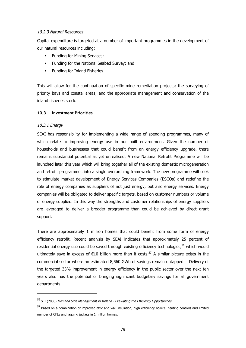### 10.2.3 Natural Resources

Capital expenditure is targeted at a number of important programmes in the development of our natural resources including:

- § Funding for Mining Services;
- § Funding for the National Seabed Survey; and
- **•** Funding for Inland Fisheries.

This will allow for the continuation of specific mine remediation projects; the surveying of priority bays and coastal areas; and the appropriate management and conservation of the inland fisheries stock.

### **10.3 Investment Priorities**

## 10.3.1 Energy

SEAI has responsibility for implementing a wide range of spending programmes, many of which relate to improving energy use in our built environment. Given the number of households and businesses that could benefit from an energy efficiency upgrade, there remains substantial potential as yet unrealised. A new National Retrofit Programme will be launched later this year which will bring together all of the existing domestic microgeneration and retrofit programmes into a single overarching framework. The new programme will seek to stimulate market development of Energy Services Companies (ESCOs) and redefine the role of energy companies as suppliers of not just energy, but also energy services. Energy companies will be obligated to deliver specific targets, based on customer numbers or volume of energy supplied. In this way the strengths and customer relationships of energy suppliers are leveraged to deliver a broader programme than could be achieved by direct grant support.

There are approximately 1 million homes that could benefit from some form of energy efficiency retrofit. Recent analysis by SEAI indicates that approximately 25 percent of residential energy use could be saved through existing efficiency technologies,<sup>56</sup> which would ultimately save in excess of  $\epsilon$ 10 billion more than it costs.<sup>57</sup> A similar picture exists in the commercial sector where an estimated 8,560 GWh of savings remain untapped. Delivery of the targeted 33% improvement in energy efficiency in the public sector over the next ten years also has the potential of bringing significant budgetary savings for all government departments.

<sup>56</sup> SEI (2008) Demand Side Management in Ireland - Evaluating the Efficiency Opportunities

<sup>57</sup> Based on a combination of improved attic and wall insulation, high efficiency boilers, heating controls and limited number of CFLs and lagging jackets in 1 million homes.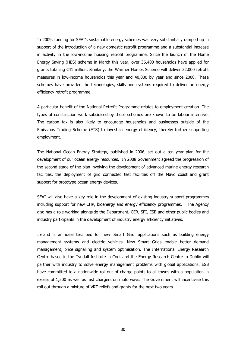In 2009, funding for SEAI's sustainable energy schemes was very substantially ramped up in support of the introduction of a new domestic retrofit programme and a substantial increase in activity in the low-income housing retrofit programme. Since the launch of the Home Energy Saving (HES) scheme in March this year, over 36,400 households have applied for grants totalling €41 million. Similarly, the Warmer Homes Scheme will deliver 22,000 retrofit measures in low-income households this year and 40,000 by year end since 2000. These schemes have provided the technologies, skills and systems required to deliver an energy efficiency retrofit programme.

A particular benefit of the National Retrofit Programme relates to employment creation. The types of construction work subsidised by these schemes are known to be labour intensive. The carbon tax is also likely to encourage households and businesses outside of the Emissions Trading Scheme (ETS) to invest in energy efficiency, thereby further supporting employment.

The National Ocean Energy Strategy, published in 2006, set out a ten year plan for the development of our ocean energy resources. In 2008 Government agreed the progression of the second stage of the plan involving the development of advanced marine energy research facilities, the deployment of grid connected test facilities off the Mayo coast and grant support for prototype ocean energy devices.

SEAI will also have a key role in the development of existing industry support programmes including support for new CHP, bioenergy and energy efficiency programmes. The Agency also has a role working alongside the Department, CER, SFI, ESB and other public bodies and industry participants in the development of industry energy efficiency initiatives.

Ireland is an ideal test bed for new 'Smart Grid' applications such as building energy management systems and electric vehicles. New Smart Grids enable better demand management, price signalling and system optimisation. The International Energy Research Centre based in the Tyndall Institute in Cork and the Energy Research Centre in Dublin will partner with industry to solve energy management problems with global applications. ESB have committed to a nationwide roll-out of charge points to all towns with a population in excess of 1,500 as well as fast chargers on motorways. The Government will incentivise this roll-out through a mixture of VRT reliefs and grants for the next two years.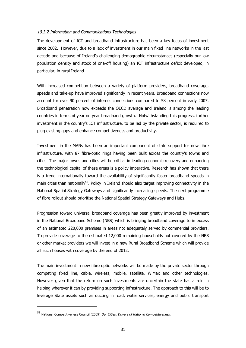### 10.3.2 Information and Communications Technologies

The development of ICT and broadband infrastructure has been a key focus of investment since 2002. However, due to a lack of investment in our main fixed line networks in the last decade and because of Ireland's challenging demographic circumstances (especially our low population density and stock of one-off housing) an ICT infrastructure deficit developed, in particular, in rural Ireland.

With increased competition between a variety of platform providers, broadband coverage, speeds and take-up have improved significantly in recent years. Broadband connections now account for over 90 percent of internet connections compared to 58 percent in early 2007. Broadband penetration now exceeds the OECD average and Ireland is among the leading countries in terms of year on year broadband growth. Notwithstanding this progress, further investment in the country's ICT infrastructure, to be led by the private sector, is required to plug existing gaps and enhance competitiveness and productivity.

Investment in the MANs has been an important component of state support for new fibre infrastructure, with 87 fibre-optic rings having been built across the country's towns and cities. The major towns and cities will be critical in leading economic recovery and enhancing the technological capital of these areas is a policy imperative. Research has shown that there is a trend internationally toward the availability of significantly faster broadband speeds in main cities than nationally<sup>58</sup>. Policy in Ireland should also target improving connectivity in the National Spatial Strategy Gateways and significantly increasing speeds. The next programme of fibre rollout should prioritise the National Spatial Strategy Gateways and Hubs.

Progression toward universal broadband coverage has been greatly improved by investment in the National Broadband Scheme (NBS) which is bringing broadband coverage to in excess of an estimated 220,000 premises in areas not adequately served by commercial providers. To provide coverage to the estimated 12,000 remaining households not covered by the NBS or other market providers we will invest in a new Rural Broadband Scheme which will provide all such houses with coverage by the end of 2012.

The main investment in new fibre optic networks will be made by the private sector through competing fixed line, cable, wireless, mobile, satellite, WiMax and other technologies. However given that the return on such investments are uncertain the state has a role in helping wherever it can by providing supporting infrastructure. The approach to this will be to leverage State assets such as ducting in road, water services, energy and public transport

<sup>58</sup> National Competitiveness Council (2009) Our Cities: Drivers of National Competitiveness.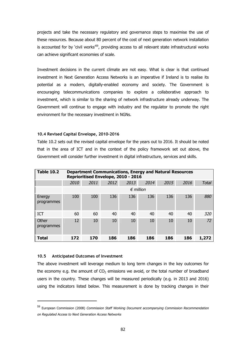projects and take the necessary regulatory and governance steps to maximise the use of these resources. Because about 80 percent of the cost of next generation network installation is accounted for by `civil works<sup> $59$ </sup>, providing access to all relevant state infrastructural works can achieve significant economies of scale.

Investment decisions in the current climate are not easy. What is clear is that continued investment in Next Generation Access Networks is an imperative if Ireland is to realise its potential as a modern, digitally-enabled economy and society. The Government is encouraging telecommunications companies to explore a collaborative approach to investment, which is similar to the sharing of network infrastructure already underway. The Government will continue to engage with industry and the regulator to promote the right environment for the necessary investment in NGNs.

#### **10.4 Revised Capital Envelope, 2010-2016**

Table 10.2 sets out the revised capital envelope for the years out to 2016. It should be noted that in the area of ICT and in the context of the policy framework set out above, the Government will consider further investment in digital infrastructure, services and skills.

| <b>Table 10.2</b>    |      | <b>Department Communications, Energy and Natural Resources</b><br>Reprioritised Envelope, 2010 - 2016 |      |      |                    |      |      |              |  |  |  |  |  |
|----------------------|------|-------------------------------------------------------------------------------------------------------|------|------|--------------------|------|------|--------------|--|--|--|--|--|
|                      | 2010 | 2011                                                                                                  | 2012 | 2013 | 2014               | 2015 | 2016 | <b>Total</b> |  |  |  |  |  |
|                      |      |                                                                                                       |      |      | $\epsilon$ million |      |      |              |  |  |  |  |  |
| Energy<br>programmes | 100  | 100                                                                                                   | 136  | 136  | 136                | 136  | 136  | 880          |  |  |  |  |  |
| <b>ICT</b>           | 60   | 60                                                                                                    | 40   | 40   | 40                 | 40   | 40   | 320          |  |  |  |  |  |
| Other<br>programmes  | 12   | 10                                                                                                    | 10   | 10   | 10                 | 10   | 10   | 72           |  |  |  |  |  |
| <b>Total</b>         | 172  | 170                                                                                                   | 186  | 186  | 186                | 186  | 186  | 1,272        |  |  |  |  |  |

### **10.5 Anticipated Outcomes of Investment**

The above investment will leverage medium to long term changes in the key outcomes for the economy e.g. the amount of  $CO<sub>2</sub>$  emissions we avoid, or the total number of broadband users in the country. These changes will be measured periodically (e.g. in 2013 and 2016) using the indicators listed below. This measurement is done by tracking changes in their

<sup>59</sup> European Commission (2008) Commission Staff Working Document accompanying Commission Recommendation on Regulated Access to Next Generation Access Networks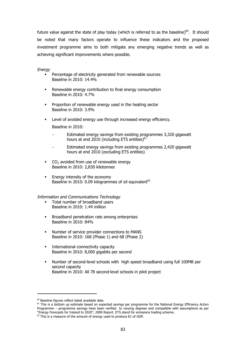future value against the state of play today (which is referred to as the baseline) $60$ . It should be noted that many factors operate to influence these indicators and the proposed investment programme aims to both mitigate any emerging negative trends as well as achieving significant improvements where possible.

### Energy

- Percentage of electricity generated from renewable sources Baseline in 2010: 14.4%
- Renewable energy contribution to final energy consumption Baseline in 2010: 4.7%
- Proportion of renewable energy used in the heating sector Baseline in 2010: 3.9%
- Level of avoided energy use through increased energy efficiency.

Baseline in 2010:

- Estimated energy savings from existing programmes 3,320 gigawatt hours at end 2010 (including ETS entities) $61$
- Estimated energy savings from existing programmes 2,420 gigawatt hours at end 2010 (excluding ETS entities)
- $CO<sub>2</sub>$  avoided from use of renewable energy Baseline in 2010: 2,830 kilotonnes
- **Energy intensity of the economy** Baseline in 2010: 0.09 kilogrammes of oil equivalent<sup>62</sup>

#### Information and Communications Technology

- § Total number of broadband users Baseline in 2010: 1.44 million
- § Broadband penetration rate among enterprises Baseline in 2010: 84%
- § Number of service provider connections to MANS Baseline in 2010: 168 (Phase 1) and 68 (Phase 2)
- International connectivity capacity Baseline in 2010: 8,000 gigabits per second
- § Number of second-level schools with high speed broadband using full 100MB per second capacity Baseline in 2010: All 78 second-level schools in pilot project

 $60$  Baseline figures reflect latest available data

<sup>&</sup>lt;sup>61</sup> This is a bottom up estimate based on expected savings per programme for the National Energy Efficiency Action Programme – programme savings have been verified to varying degrees and compatible with assumptions as per "Energy Forecasts for Ireland to 2020", 2009 Report. ETS stand for emissions trading scheme.

 $62$  This is a measure of the amount of energy used to produce  $\epsilon$ 1 of GDP.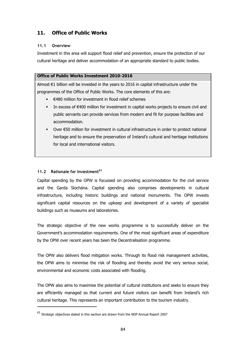# **11. Office of Public Works**

## **11.1 Overview**

Investment in this area will support flood relief and prevention, ensure the protection of our cultural heritage and deliver accommodation of an appropriate standard to public bodies.

## **Office of Public Works Investment 2010-2016**

Almost €1 billion will be invested in the years to 2016 in capital infrastructure under the programmes of the Office of Public Works. The core elements of this are:

- § €480 million for investment in flood relief schemes
- In excess of €400 million for investment in capital works projects to ensure civil and public servants can provide services from modern and fit for purpose facilities and accommodation.
- Over €50 million for investment in cultural infrastructure in order to protect national heritage and to ensure the preservation of Ireland's cultural and heritage institutions for local and international visitors.

## **11.2 Rationale for Investment<sup>63</sup>**

Capital spending by the OPW is focussed on providing accommodation for the civil service and the Garda Síochána. Capital spending also comprises developments in cultural infrastructure, including historic buildings and national monuments. The OPW invests significant capital resources on the upkeep and development of a variety of specialist buildings such as museums and laboratories.

The strategic objective of the new works programme is to successfully deliver on the Government's accommodation requirements. One of the most significant areas of expenditure by the OPW over recent years has been the Decentralisation programme.

The OPW also delivers flood mitigation works. Through its flood risk management activities, the OPW aims to minimise the risk of flooding and thereby avoid the very serious social, environmental and economic costs associated with flooding.

The OPW also aims to maximise the potential of cultural institutions and seeks to ensure they are efficiently managed so that current and future visitors can benefit from Ireland's rich cultural heritage. This represents an important contribution to the tourism industry.

<sup>&</sup>lt;sup>63</sup> Strategic objectives stated in this section are drawn from the NDP Annual Report 2007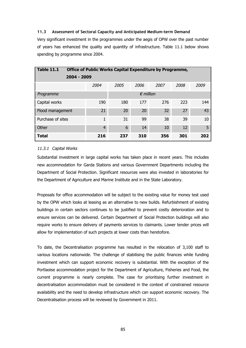### **11.3 Assessment of Sectoral Capacity and Anticipated Medium-term Demand**

Very significant investment in the programmes under the aegis of OPW over the past number of years has enhanced the quality and quantity of infrastructure. Table 11.1 below shows spending by programme since 2004.

| <b>Table 11.1</b> | <b>Office of Public Works Capital Expenditure by Programme,</b> |                    |      |      |      |      |      |  |  |  |  |
|-------------------|-----------------------------------------------------------------|--------------------|------|------|------|------|------|--|--|--|--|
|                   | 2004 - 2009                                                     |                    |      |      |      |      |      |  |  |  |  |
|                   |                                                                 | 2004               | 2005 | 2006 | 2007 | 2008 | 2009 |  |  |  |  |
| Programme         |                                                                 | $\epsilon$ million |      |      |      |      |      |  |  |  |  |
| Capital works     |                                                                 | 190                | 180  | 177  | 276  | 223  | 144  |  |  |  |  |
| Flood management  |                                                                 | 21                 | 20   | 20   | 32   | 27   | 43   |  |  |  |  |
| Purchase of sites |                                                                 | 1                  | 31   | 99   | 38   | 39   | 10   |  |  |  |  |
| Other             |                                                                 | $\overline{4}$     | 6    | 14   | 10   | 12   | 5    |  |  |  |  |
| <b>Total</b>      |                                                                 | 216                | 237  | 310  | 356  | 301  | 202  |  |  |  |  |

### 11.3.1 Capital Works

Substantial investment in large capital works has taken place in recent years. This includes new accommodation for Garda Stations and various Government Departments including the Department of Social Protection. Significant resources were also invested in laboratories for the Department of Agriculture and Marine Institute and in the State Laboratory.

Proposals for office accommodation will be subject to the existing value for money test used by the OPW which looks at leasing as an alternative to new builds. Refurbishment of existing buildings in certain sectors continues to be justified to prevent costly deterioration and to ensure services can be delivered. Certain Department of Social Protection buildings will also require works to ensure delivery of payments services to claimants. Lower tender prices will allow for implementation of such projects at lower costs than heretofore.

To date, the Decentralisation programme has resulted in the relocation of 3,100 staff to various locations nationwide. The challenge of stabilising the public finances while funding investment which can support economic recovery is substantial. With the exception of the Portlaoise accommodation project for the Department of Agriculture, Fisheries and Food, the current programme is nearly complete. The case for prioritising further investment in decentralisation accommodation must be considered in the context of constrained resource availability and the need to develop infrastructure which can support economic recovery. The Decentralisation process will be reviewed by Government in 2011.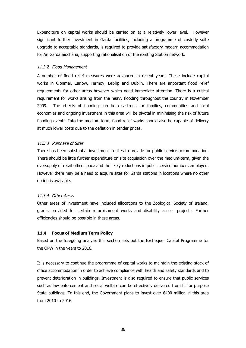Expenditure on capital works should be carried on at a relatively lower level. However significant further investment in Garda facilities, including a programme of custody suite upgrade to acceptable standards, is required to provide satisfactory modern accommodation for An Garda Síochána, supporting rationalisation of the existing Station network.

### 11.3.2 Flood Management

A number of flood relief measures were advanced in recent years. These include capital works in Clonmel, Carlow, Fermoy, Leixlip and Dublin. There are important flood relief requirements for other areas however which need immediate attention. There is a critical requirement for works arising from the heavy flooding throughout the country in November 2009. The effects of flooding can be disastrous for families, communities and local economies and ongoing investment in this area will be pivotal in minimising the risk of future flooding events. Into the medium-term, flood relief works should also be capable of delivery at much lower costs due to the deflation in tender prices.

### 11.3.3 Purchase of Sites

There has been substantial investment in sites to provide for public service accommodation. There should be little further expenditure on site acquisition over the medium-term, given the oversupply of retail office space and the likely reductions in public service numbers employed. However there may be a need to acquire sites for Garda stations in locations where no other option is available.

### 11.3.4 Other Areas

Other areas of investment have included allocations to the Zoological Society of Ireland, grants provided for certain refurbishment works and disability access projects. Further efficiencies should be possible in these areas.

## **11.4 Focus of Medium Term Policy**

Based on the foregoing analysis this section sets out the Exchequer Capital Programme for the OPW in the years to 2016.

It is necessary to continue the programme of capital works to maintain the existing stock of office accommodation in order to achieve compliance with health and safety standards and to prevent deterioration in buildings. Investment is also required to ensure that public services such as law enforcement and social welfare can be effectively delivered from fit for purpose State buildings. To this end, the Government plans to invest over €400 million in this area from 2010 to 2016.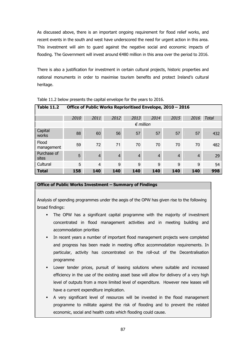As discussed above, there is an important ongoing requirement for flood relief works, and recent events in the south and west have underscored the need for urgent action in this area. This investment will aim to guard against the negative social and economic impacts of flooding. The Government will invest around €480 million in this area over the period to 2016.

There is also a justification for investment in certain cultural projects, historic properties and national monuments in order to maximise tourism benefits and protect Ireland's cultural heritage.

| <b>Table 11.2</b>    | Office of Public Works Reprioritised Envelope, 2010 - 2016 |                    |                |                |                |                |                |              |  |  |  |
|----------------------|------------------------------------------------------------|--------------------|----------------|----------------|----------------|----------------|----------------|--------------|--|--|--|
|                      | 2010                                                       | 2011               | 2012           | 2013           | 2014           | 2015           | 2016           | <b>Total</b> |  |  |  |
|                      |                                                            | $\epsilon$ million |                |                |                |                |                |              |  |  |  |
| Capital<br>works     | 88                                                         | 60                 | 56             | 57             | 57             | 57             | 57             | 432          |  |  |  |
| Flood<br>management  | 59                                                         | 72                 | 71             | 70             | 70             | 70             | 70             | 482          |  |  |  |
| Purchase of<br>sites | $5\phantom{1}$                                             | $\overline{4}$     | $\overline{4}$ | $\overline{4}$ | $\overline{4}$ | $\overline{4}$ | $\overline{4}$ | 29           |  |  |  |
| Cultural             | 5                                                          | $\overline{4}$     | 9              | 9              | 9              | 9              | 9              | 54           |  |  |  |
| <b>Total</b>         | 158                                                        | 140                | 140            | 140            | 140            | 140            | 140            | 998          |  |  |  |

Table 11.2 below presents the capital envelope for the years to 2016.

### **Office of Public Works Investment – Summary of Findings**

Analysis of spending programmes under the aegis of the OPW has given rise to the following broad findings:

- The OPW has a significant capital programme with the majority of investment concentrated in flood management activities and in meeting building and accommodation priorities
- § In recent years a number of important flood management projects were completed and progress has been made in meeting office accommodation requirements. In particular, activity has concentrated on the roll-out of the Decentralisation programme
- Lower tender prices, pursuit of leasing solutions where suitable and increased efficiency in the use of the existing asset base will allow for delivery of a very high level of outputs from a more limited level of expenditure. However new leases will have a current expenditure implication.
- § A very significant level of resources will be invested in the flood management programme to militate against the risk of flooding and to prevent the related economic, social and health costs which flooding could cause.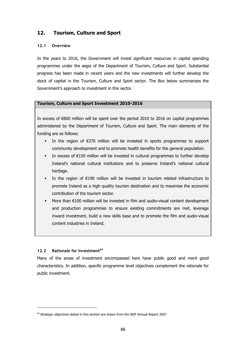## **12. Tourism, Culture and Sport**

### **12.1 Overview**

In the years to 2016, the Government will invest significant resources in capital spending programmes under the aegis of the Department of Tourism, Culture and Sport. Substantial progress has been made in recent years and the new investments will further develop the stock of capital in the Tourism, Culture and Sport sector. The Box below summarises the Government's approach to investment in this sector.

### **Tourism, Culture and Sport Investment 2010-2016**

In excess of €800 million will be spent over the period 2010 to 2016 on capital programmes administered by the Department of Tourism, Culture and Sport. The main elements of the funding are as follows:

- In the region of  $E370$  million will be invested in sports programmes to support community development and to promote health benefits for the general population.
- In excess of  $E$ 150 million will be invested in cultural programmes to further develop Ireland's national cultural institutions and to preserve Ireland's national cultural heritage.
- In the region of  $E190$  million will be invested in tourism related infrastructure to promote Ireland as a high quality tourism destination and to maximise the economic contribution of the tourism sector.
- More than €100 million will be invested in film and audio-visual content development and production programmes to ensure existing commitments are met, leverage inward investment, build a new skills base and to promote the film and audio-visual content industries in Ireland.

## **12.2 Rationale for Investment<sup>64</sup>**

Many of the areas of investment encompassed here have public good and merit good characteristics. In addition, specific programme level objectives complement the rationale for public investment.

 $64$  Strategic objectives stated in this section are drawn from the NDP Annual Report 2007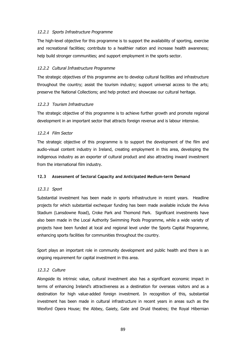### 12.2.1 Sports Infrastructure Programme

The high-level objective for this programme is to support the availability of sporting, exercise and recreational facilities; contribute to a healthier nation and increase health awareness; help build stronger communities; and support employment in the sports sector.

### 12.2.2 Cultural Infrastructure Programme

The strategic objectives of this programme are to develop cultural facilities and infrastructure throughout the country; assist the tourism industry; support universal access to the arts; preserve the National Collections; and help protect and showcase our cultural heritage.

### 12.2.3 Tourism Infrastructure

The strategic objective of this programme is to achieve further growth and promote regional development in an important sector that attracts foreign revenue and is labour intensive.

### 12.2.4 Film Sector

The strategic objective of this programme is to support the development of the film and audio-visual content industry in Ireland, creating employment in this area, developing the indigenous industry as an exporter of cultural product and also attracting inward investment from the international film industry.

### **12.3 Assessment of Sectoral Capacity and Anticipated Medium-term Demand**

## 12.3.1 Sport

Substantial investment has been made in sports infrastructure in recent years. Headline projects for which substantial exchequer funding has been made available include the Aviva Stadium (Lansdowne Road), Croke Park and Thomond Park. Significant investments have also been made in the Local Authority Swimming Pools Programme, while a wide variety of projects have been funded at local and regional level under the Sports Capital Programme, enhancing sports facilities for communities throughout the country.

Sport plays an important role in community development and public health and there is an ongoing requirement for capital investment in this area.

### 12.3.2 Culture

Alongside its intrinsic value, cultural investment also has a significant economic impact in terms of enhancing Ireland's attractiveness as a destination for overseas visitors and as a destination for high value-added foreign investment. In recognition of this, substantial investment has been made in cultural infrastructure in recent years in areas such as the Wexford Opera House; the Abbey, Gaiety, Gate and Druid theatres; the Royal Hibernian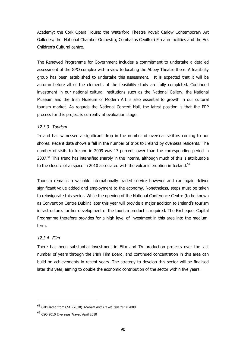Academy; the Cork Opera House; the Waterford Theatre Royal; Carlow Contemporary Art Galleries; the National Chamber Orchestra; Comhaltas Ceoiltoirí Eireann facilities and the Ark Children's Cultural centre.

The Renewed Programme for Government includes a commitment to undertake a detailed assessment of the GPO complex with a view to locating the Abbey Theatre there. A feasibility group has been established to undertake this assessment. It is expected that it will be autumn before all of the elements of the feasibility study are fully completed. Continued investment in our national cultural institutions such as the National Gallery, the National Museum and the Irish Museum of Modern Art is also essential to growth in our cultural tourism market. As regards the National Concert Hall, the latest position is that the PPP process for this project is currently at evaluation stage.

### 12.3.3 Tourism

Ireland has witnessed a significant drop in the number of overseas visitors coming to our shores. Recent data shows a fall in the number of trips to Ireland by overseas residents. The number of visits to Ireland in 2009 was 17 percent lower than the corresponding period in 2007.<sup>65</sup> This trend has intensified sharply in the interim, although much of this is attributable to the closure of airspace in 2010 associated with the volcanic eruption in Iceland.<sup>66</sup>

Tourism remains a valuable internationally traded service however and can again deliver significant value added and employment to the economy. Nonetheless, steps must be taken to reinvigorate this sector. While the opening of the National Conference Centre (to be known as Convention Centre Dublin) later this year will provide a major addition to Ireland's tourism infrastructure, further development of the tourism product is required. The Exchequer Capital Programme therefore provides for a high level of investment in this area into the mediumterm.

### 12.3.4 Film

There has been substantial investment in Film and TV production projects over the last number of years through the Irish Film Board, and continued concentration in this area can build on achievements in recent years. The strategy to develop this sector will be finalised later this year, aiming to double the economic contribution of the sector within five years.

<sup>&</sup>lt;sup>65</sup> Calculated from CSO (2010) Tourism and Travel, Quarter 4 2009

<sup>&</sup>lt;sup>66</sup> CSO 2010 Overseas Travel, April 2010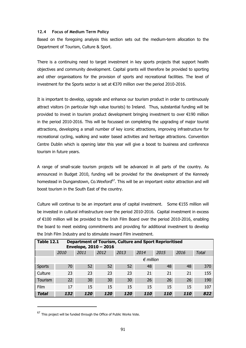### **12.4 Focus of Medium Term Policy**

Based on the foregoing analysis this section sets out the medium-term allocation to the Department of Tourism, Culture & Sport.

There is a continuing need to target investment in key sports projects that support health objectives and community development. Capital grants will therefore be provided to sporting and other organisations for the provision of sports and recreational facilities. The level of investment for the Sports sector is set at €370 million over the period 2010-2016.

It is important to develop, upgrade and enhance our tourism product in order to continuously attract visitors (in particular high value tourists) to Ireland. Thus, substantial funding will be provided to invest in tourism product development bringing investment to over €190 million in the period 2010-2016. This will be focussed on completing the upgrading of major tourist attractions, developing a small number of key iconic attractions, improving infrastructure for recreational cycling, walking and water based activities and heritage attractions. Convention Centre Dublin which is opening later this year will give a boost to business and conference tourism in future years.

A range of small-scale tourism projects will be advanced in all parts of the country. As announced in Budget 2010, funding will be provided for the development of the Kennedy homestead in Dunganstown, Co.Wexford<sup>67</sup>. This will be an important visitor attraction and will boost tourism in the South East of the country.

Culture will continue to be an important area of capital investment. Some €155 million will be invested in cultural infrastructure over the period 2010-2016. Capital investment in excess of €100 million will be provided to the Irish Film Board over the period 2010-2016, enabling the board to meet existing commitments and providing for additional investment to develop the Irish Film Industry and to stimulate inward Film investment.

| <b>Table 12.1</b><br><b>Department of Tourism, Culture and Sport Reprioritised</b><br>Envelope, 2010 - 2016 |                    |      |      |      |            |      |            |              |  |
|-------------------------------------------------------------------------------------------------------------|--------------------|------|------|------|------------|------|------------|--------------|--|
|                                                                                                             | 2010               | 2011 | 2012 | 2013 | 2014       | 2015 | 2016       | <b>Total</b> |  |
|                                                                                                             | $\epsilon$ million |      |      |      |            |      |            |              |  |
| <b>Sports</b>                                                                                               | 70                 | 52   | 52   | 52   | 48         | 48   | 48         | 370          |  |
| Culture                                                                                                     | 23                 | 23   | 23   | 23   | 21         | 21   | 21         | 155          |  |
| Tourism                                                                                                     | 22                 | 30   | 30   | 30   | 26         | 26   | 26         | 190          |  |
| Film                                                                                                        | 17                 | 15   | 15   | 15   | 15         | 15   | 15         | 107          |  |
| Total                                                                                                       | 132                | 120  | 120  | 120  | <b>110</b> | 110  | <b>110</b> | 822          |  |

 $67$  This project will be funded through the Office of Public Works Vote.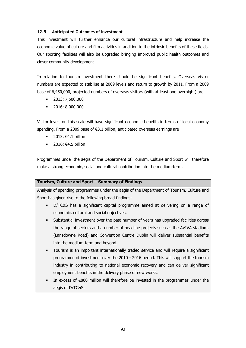### **12.5 Anticipated Outcomes of Investment**

This investment will further enhance our cultural infrastructure and help increase the economic value of culture and film activities in addition to the intrinsic benefits of these fields. Our sporting facilities will also be upgraded bringing improved public health outcomes and closer community development.

In relation to tourism investment there should be significant benefits. Overseas visitor numbers are expected to stabilise at 2009 levels and return to growth by 2011. From a 2009 base of 6,450,000, projected numbers of overseas visitors (with at least one overnight) are

- § 2013: 7,500,000
- § 2016: 8,000,000

Visitor levels on this scale will have significant economic benefits in terms of local economy spending. From a 2009 base of €3.1 billion, anticipated overseas earnings are

- § 2013: €4.1 billion
- § 2016: €4.5 billion

Programmes under the aegis of the Department of Tourism, Culture and Sport will therefore make a strong economic, social and cultural contribution into the medium-term.

## **Tourism, Culture and Sport – Summary of Findings**

Analysis of spending programmes under the aegis of the Department of Tourism, Culture and Sport has given rise to the following broad findings:

- § D/TC&S has a significant capital programme aimed at delivering on a range of economic, cultural and social objectives.
- § Substantial investment over the past number of years has upgraded facilities across the range of sectors and a number of headline projects such as the AVIVA stadium, (Lansdowne Road) and Convention Centre Dublin will deliver substantial benefits into the medium-term and beyond.
- § Tourism is an important internationally traded service and will require a significant programme of investment over the 2010 - 2016 period. This will support the tourism industry in contributing to national economic recovery and can deliver significant employment benefits in the delivery phase of new works.
- In excess of  $€800$  million will therefore be invested in the programmes under the aegis of D/TC&S.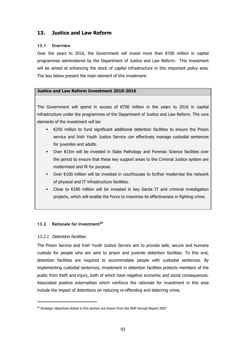## **13. Justice and Law Reform**

#### **13.1 Overview**

Over the years to 2016, the Government will invest more than  $\epsilon$ 700 million in capital programmes administered by the Department of Justice and Law Reform. This investment will be aimed at enhancing the stock of capital infrastructure in this important policy area. The box below present the main element of this investment.

#### **Justice and Law Reform Investment 2010-2016**

The Government will spend in excess of  $\epsilon$ 700 million in the years to 2016 in capital infrastructure under the programmes of the Department of Justice and Law Reform. The core elements of the investment will be:

- $\epsilon$   $\in$  250 million to fund significant additional detention facilities to ensure the Prison service and Irish Youth Justice Service can effectively manage custodial sentences for juveniles and adults.
- Over €15m will be invested in State Pathology and Forensic Science facilities over the period to ensure that these key support areas to the Criminal Justice system are modernised and fit for purpose.
- Over  $€100$  million will be invested in courthouses to further modernise the network of physical and IT infrastructure facilities.
- Close to  $£180$  million will be invested in key Garda IT and criminal investigation projects, which will enable the Force to maximise its effectiveness in fighting crime.

## **13.2 Rationale for Investment<sup>68</sup>**

#### 13.2.1 Detention facilities

The Prison Service and Irish Youth Justice Service aim to provide safe, secure and humane custody for people who are sent to prison and juvenile detention facilities. To this end, detention facilities are required to accommodate people with custodial sentences. By implementing custodial sentences, investment in detention facilities protects members of the public from theft and injury, both of which have negative economic and social consequences. Associated positive externalities which reinforce the rationale for investment in this area include the impact of detentions on reducing re-offending and deterring crime.

<sup>&</sup>lt;sup>68</sup> Strategic objectives stated in this section are drawn from the NDP Annual Report 2007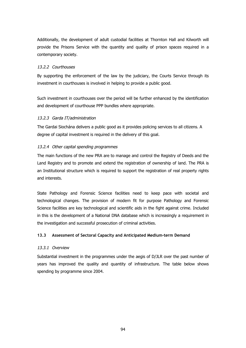Additionally, the development of adult custodial facilities at Thornton Hall and Kilworth will provide the Prisons Service with the quantity and quality of prison spaces required in a contemporary society.

### 13.2.2 Courthouses

By supporting the enforcement of the law by the judiciary, the Courts Service through its investment in courthouses is involved in helping to provide a public good.

Such investment in courthouses over the period will be further enhanced by the identification and development of courthouse PPP bundles where appropriate.

#### 13.2.3 Garda IT/administration

The Gardai Siochána delivers a public good as it provides policing services to all citizens. A degree of capital investment is required in the delivery of this goal.

#### 13.2.4 Other capital spending programmes

The main functions of the new PRA are to manage and control the Registry of Deeds and the Land Registry and to promote and extend the registration of ownership of land. The PRA is an Institutional structure which is required to support the registration of real property rights and interests.

State Pathology and Forensic Science facilities need to keep pace with societal and technological changes. The provision of modern fit for purpose Pathology and Forensic Science facilities are key technological and scientific aids in the fight against crime. Included in this is the development of a National DNA database which is increasingly a requirement in the investigation and successful prosecution of criminal activities.

## **13.3 Assessment of Sectoral Capacity and Anticipated Medium-term Demand**

#### 13.3.1 Overview

Substantial investment in the programmes under the aegis of D/JLR over the past number of years has improved the quality and quantity of infrastructure. The table below shows spending by programme since 2004.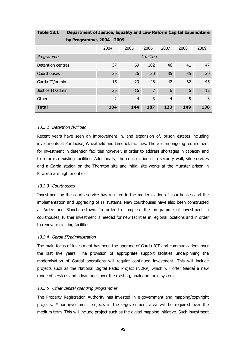| <b>Table 13.1</b><br>Department of Justice, Equality and Law Reform Capital Expenditure |                |                |                    |                |      |      |  |  |  |
|-----------------------------------------------------------------------------------------|----------------|----------------|--------------------|----------------|------|------|--|--|--|
| by Programme, 2004 - 2009                                                               |                |                |                    |                |      |      |  |  |  |
|                                                                                         | 2004           | 2005           | 2006               | 2007           | 2008 | 2009 |  |  |  |
| Programme                                                                               |                |                | $\epsilon$ million |                |      |      |  |  |  |
| Detention centres                                                                       | 37             | 69             | 102                | 46             | 41   | 47   |  |  |  |
| Courthouses                                                                             | 25             | 26             | 30                 | 35             | 35   | 30   |  |  |  |
| Garda IT/admin                                                                          | 15             | 29             | 46                 | 42             | 62   | 45   |  |  |  |
| Justice IT/admin                                                                        | 25             | 16             | $\overline{7}$     | 6              | 6    | 12   |  |  |  |
| Other                                                                                   | $\overline{2}$ | $\overline{4}$ | 3                  | $\overline{4}$ | 5    | 3    |  |  |  |
| <b>Total</b>                                                                            | 104            | 144            | 187                | 133            | 149  | 138  |  |  |  |

#### 13.3.2 Detention facilities

Recent years have seen an improvement in, and expansion of, prison estates including investments at Portlaoise, Wheatfield and Limerick facilities. There is an ongoing requirement for investment in detention facilities however, in order to address shortages in capacity and to refurbish existing facilities. Additionally, the construction of a security wall, site services and a Garda station on the Thornton site and initial site works at the Munster prison in Kilworth are high priorities

#### 13.3.3 Courthouses

Investment by the courts service has resulted in the modernisation of courthouses and the implementation and upgrading of IT systems. New courthouses have also been constructed at Ardee and Blanchardstown. In order to complete the programme of investment in courthouses, further investment is needed for new facilities in regional locations and in order to renovate existing facilities.

#### 13.3.4 Garda IT/administration

The main focus of investment has been the upgrade of Garda ICT and communications over the last five years. The provision of appropriate support facilities underpinning the modernisation of Gardaí operations will require continued investment. This will include projects such as the National Digital Radio Project (NDRP) which will offer Gardaí a new range of services and advantages over the existing, analogue radio system.

#### 13.3.5 Other capital spending programmes

The Property Registration Authority has invested in e-government and mapping/copyright projects. Minor investment projects in the e-government area will be required over the medium term. This will include project such as the digital mapping initiative. Such investment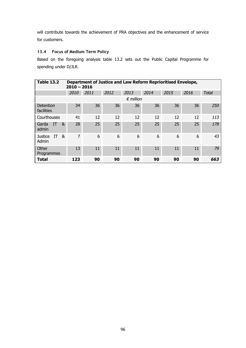will contribute towards the achievement of PRA objectives and the enhancement of service for customers.

## **13.4 Focus of Medium Term Policy**

Based on the foregoing analysis table 13.2 sets out the Public Capital Programme for spending under D/JLR.

| <b>Table 13.2</b>                  |      | Department of Justice and Law Reform Reprioritised Envelope,<br>$2010 - 2016$ |      |                    |      |      |      |              |  |  |  |  |
|------------------------------------|------|-------------------------------------------------------------------------------|------|--------------------|------|------|------|--------------|--|--|--|--|
|                                    | 2010 | 2011                                                                          | 2012 | 2013               | 2014 | 2015 | 2016 | <b>Total</b> |  |  |  |  |
|                                    |      |                                                                               |      | $\epsilon$ million |      |      |      |              |  |  |  |  |
| Detention<br>facilities            | 34   | 36                                                                            | 36   | 36                 | 36   | 36   | 36   | 250          |  |  |  |  |
| Courthouses                        | 41   | 12                                                                            | 12   | 12                 | 12   | 12   | 12   | 113          |  |  |  |  |
| IT<br>&<br>Garda<br>admin          | 28   | 25                                                                            | 25   | 25                 | 25   | 25   | 25   | 178          |  |  |  |  |
| &<br><b>Justice</b><br>IT<br>Admin | 7    | 6                                                                             | 6    | 6                  | 6    | 6    | 6    | 43           |  |  |  |  |
| Other<br>Programmes                | 13   | 11                                                                            | 11   | 11                 | 11   | 11   | 11   | 79           |  |  |  |  |
| <b>Total</b>                       | 123  | 90                                                                            | 90   | 90                 | 90   | 90   | 90   | 663          |  |  |  |  |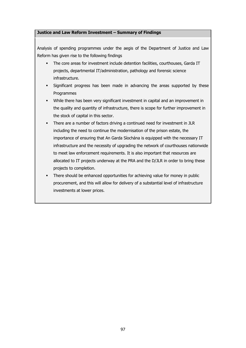### **Justice and Law Reform Investment – Summary of Findings**

Analysis of spending programmes under the aegis of the Department of Justice and Law Reform has given rise to the following findings

- The core areas for investment include detention facilities, courthouses, Garda IT projects, departmental IT/administration, pathology and forensic science infrastructure.
- § Significant progress has been made in advancing the areas supported by these Programmes
- § While there has been very significant investment in capital and an improvement in the quality and quantity of infrastructure, there is scope for further improvement in the stock of capital in this sector.
- There are a number of factors driving a continued need for investment in JLR including the need to continue the modernisation of the prison estate, the importance of ensuring that An Garda Síochána is equipped with the necessary IT infrastructure and the necessity of upgrading the network of courthouses nationwide to meet law enforcement requirements. It is also important that resources are allocated to IT projects underway at the PRA and the D/JLR in order to bring these projects to completion.
- There should be enhanced opportunities for achieving value for money in public procurement, and this will allow for delivery of a substantial level of infrastructure investments at lower prices.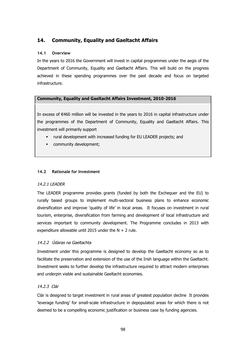## **14. Community, Equality and Gaeltacht Affairs**

## **14.1 Overview**

In the years to 2016 the Government will invest in capital programmes under the aegis of the Department of Community, Equality and Gaeltacht Affairs. This will build on the progress achieved in these spending programmes over the past decade and focus on targeted infrastructure.

## **Community, Equality and Gaeltacht Affairs Investment, 2010-2016**

In excess of €460 million will be invested in the years to 2016 in capital infrastructure under the programmes of the Department of Community, Equality and Gaeltacht Affairs. This investment will primarily support

- rural development with increased funding for EU LEADER projects; and
- **•** community development;

## **14.2 Rationale for Investment**

## 14.2.1 LEADER

The LEADER programme provides grants (funded by both the Exchequer and the EU) to rurally based groups to implement multi-sectoral business plans to enhance economic diversification and improve 'quality of life' in local areas. It focuses on investment in rural tourism, enterprise, diversification from farming and development of local infrastructure and services important to community development. The Programme concludes in 2013 with expenditure allowable until 2015 under the  $N + 2$  rule.

## 14.2.2 Údaras na Gaeltachta

Investment under this programme is designed to develop the Gaeltacht economy so as to facilitate the preservation and extension of the use of the Irish language within the Gaeltacht. Investment seeks to further develop the infrastructure required to attract modern enterprises and underpin viable and sustainable Gaeltacht economies.

## 14.2.3 Clár

Clár is designed to target investment in rural areas of greatest population decline It provides 'leverage funding' for small-scale infrastructure in depopulated areas for which there is not deemed to be a compelling economic justification or business case by funding agencies.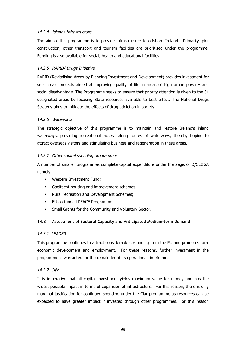#### 14.2.4 Islands Infrastructure

The aim of this programme is to provide infrastructure to offshore Ireland. Primarily, pier construction, other transport and tourism facilities are prioritised under the programme. Funding is also available for social, health and educational facilities.

#### 14.2.5 RAPID/ Drugs Initiative

RAPID (Revitalising Areas by Planning Investment and Development) provides investment for small scale projects aimed at improving quality of life in areas of high urban poverty and social disadvantage. The Programme seeks to ensure that priority attention is given to the 51 designated areas by focusing State resources available to best effect. The National Drugs Strategy aims to mitigate the effects of drug addiction in society.

#### 14.2.6 Waterways

The strategic objective of this programme is to maintain and restore Ireland's inland waterways, providing recreational access along routes of waterways, thereby hoping to attract overseas visitors and stimulating business and regeneration in these areas.

#### 14.2.7 Other capital spending programmes

A number of smaller programmes complete capital expenditure under the aegis of D/CE&GA namely:

- **Western Investment Fund;**
- § Gaeltacht housing and improvement schemes;
- § Rural recreation and Development Schemes;
- **EU co-funded PEACE Programme;**
- Small Grants for the Community and Voluntary Sector.

## **14.3 Assessment of Sectoral Capacity and Anticipated Medium-term Demand**

#### 14.3.1 LEADER

This programme continues to attract considerable co-funding from the EU and promotes rural economic development and employment. For these reasons, further investment in the programme is warranted for the remainder of its operational timeframe.

## 14.3.2 Clár

It is imperative that all capital investment yields maximum value for money and has the widest possible impact in terms of expansion of infrastructure. For this reason, there is only marginal justification for continued spending under the Clár programme as resources can be expected to have greater impact if invested through other programmes. For this reason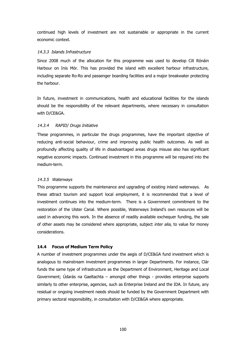continued high levels of investment are not sustainable or appropriate in the current economic context.

#### 14.3.3 Islands Infrastructure

Since 2008 much of the allocation for this programme was used to develop Cill Rónáin Harbour on Inis Mór. This has provided the island with excellent harbour infrastructure, including separate Ro-Ro and passenger boarding facilities and a major breakwater protecting the harbour.

In future, investment in communications, health and educational facilities for the islands should be the responsibility of the relevant departments, where necessary in consultation with D/CE&GA.

## 14.3.4 RAPID/ Drugs Initiative

These programmes, in particular the drugs programmes, have the important objective of reducing anti-social behaviour, crime and improving public health outcomes. As well as profoundly affecting quality of life in disadvantaged areas drugs misuse also has significant negative economic impacts. Continued investment in this programme will be required into the medium-term.

#### 14.3.5 Waterways

This programme supports the maintenance and upgrading of existing inland waterways. As these attract tourism and support local employment, it is recommended that a level of investment continues into the medium-term. There is a Government commitment to the restoration of the Ulster Canal. Where possible, Waterways Ireland's own resources will be used in advancing this work. In the absence of readily available exchequer funding, the sale of other assets may be considered where appropriate, subject inter alia, to value for money considerations.

## **14.4 Focus of Medium Term Policy**

A number of investment programmes under the aegis of D/CE&GA fund investment which is analogous to mainstream investment programmes in larger Departments. For instance, Clár funds the same type of infrastructure as the Department of Environment, Heritage and Local Government; Údarás na Gaeltachta – amongst other things - provides enterprise supports similarly to other enterprise, agencies, such as Enterprise Ireland and the IDA. In future, any residual or ongoing investment needs should be funded by the Government Department with primary sectoral responsibility, in consultation with D/CE&GA where appropriate.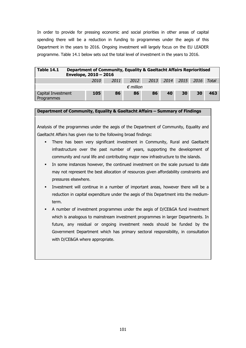In order to provide for pressing economic and social priorities in other areas of capital spending there will be a reduction in funding to programmes under the aegis of this Department in the years to 2016. Ongoing investment will largely focus on the EU LEADER programme. Table 14.1 below sets out the total level of investment in the years to 2016.

| <b>Table 14.1</b>                | Department of Community, Equality & Gaeltacht Affairs Reprioritised<br>Envelope, 2010 - 2016 |        |      |                    |    |    |                           |    |     |  |  |
|----------------------------------|----------------------------------------------------------------------------------------------|--------|------|--------------------|----|----|---------------------------|----|-----|--|--|
|                                  |                                                                                              | 2010 L | 2011 | 2012               |    |    | 2013 2014 2015 2016 Total |    |     |  |  |
|                                  |                                                                                              |        |      | $\epsilon$ million |    |    |                           |    |     |  |  |
| Capital Investment<br>Programmes |                                                                                              | 105    | 86   | 86                 | 86 | 40 | 30                        | 30 | 463 |  |  |

#### **Department of Community, Equality & Gaeltacht Affairs – Summary of Findings**

Analysis of the programmes under the aegis of the Department of Community, Equality and Gaeltacht Affairs has given rise to the following broad findings:

- § There has been very significant investment in Community, Rural and Gaeltacht infrastructure over the past number of years, supporting the development of community and rural life and contributing major new infrastructure to the islands.
- In some instances however, the continued investment on the scale pursued to date may not represent the best allocation of resources given affordability constraints and pressures elsewhere.
- Investment will continue in a number of important areas, however there will be a reduction in capital expenditure under the aegis of this Department into the mediumterm.
- § A number of investment programmes under the aegis of D/CE&GA fund investment which is analogous to mainstream investment programmes in larger Departments. In future, any residual or ongoing investment needs should be funded by the Government Department which has primary sectoral responsibility, in consultation with D/CE&GA where appropriate.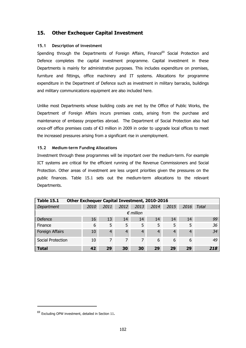## **15. Other Exchequer Capital Investment**

#### **15.1 Description of investment**

Spending through the Departments of Foreign Affairs, Finance<sup>69</sup> Social Protection and Defence completes the capital investment programme. Capital investment in these Departments is mainly for administrative purposes. This includes expenditure on premises, furniture and fittings, office machinery and IT systems. Allocations for programme expenditure in the Department of Defence such as investment in military barracks, buildings and military communications equipment are also included here.

Unlike most Departments whose building costs are met by the Office of Public Works, the Department of Foreign Affairs incurs premises costs, arising from the purchase and maintenance of embassy properties abroad. The Department of Social Protection also had once-off office premises costs of €3 million in 2009 in order to upgrade local offices to meet the increased pressures arising from a significant rise in unemployment.

#### **15.2 Medium-term Funding Allocations**

Investment through these programmes will be important over the medium-term. For example ICT systems are critical for the efficient running of the Revenue Commissioners and Social Protection. Other areas of investment are less urgent priorities given the pressures on the public finances. Table 15.1 sets out the medium-term allocations to the relevant Departments.

| <b>Table 15.1</b> | Other Exchequer Capital Investment, 2010-2016 |                |      |                    |                |      |      |              |
|-------------------|-----------------------------------------------|----------------|------|--------------------|----------------|------|------|--------------|
| Department        | 2010                                          | 2011           | 2012 | 2013               | 2014           | 2015 | 2016 | <b>Total</b> |
|                   |                                               |                |      | $\epsilon$ million |                |      |      |              |
| Defence           | 16                                            | 13             | 14   | 14                 | 14             | 14   | 14   | 99           |
| Finance           | 6                                             | 5              | 5    | 5                  | 5              | 5    | 5    | 36           |
| Foreign Affairs   | 10                                            | $\overline{4}$ | 4    | 4                  | $\overline{4}$ | 4    | 4    | 34           |
| Social Protection | 10                                            | 7              | 7    | 7                  | 6              | 6    | 6    | 49           |
| <b>Total</b>      | 42                                            | 29             | 30   | 30                 | 29             | 29   | 29   | 218          |

<sup>69</sup> Excluding OPW investment, detailed in Section 11.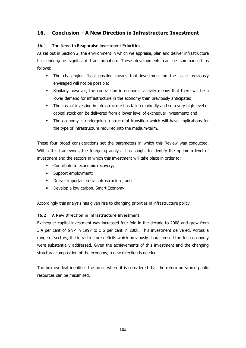## **16. Conclusion – A New Direction in Infrastructure Investment**

## **16.1 The Need to Reappraise Investment Priorities**

As set out in Section 2, the environment in which we appraise, plan and deliver infrastructure has undergone significant transformation. These developments can be summarised as follows:

- The challenging fiscal position means that investment on the scale previously envisaged will not be possible;
- Similarly however, the contraction in economic activity means that there will be a lower demand for infrastructure in the economy than previously anticipated;
- The cost of investing in infrastructure has fallen markedly and so a very high level of capital stock can be delivered from a lower level of exchequer investment; and
- The economy is undergoing a structural transition which will have implications for the type of infrastructure required into the medium-term.

These four broad considerations set the parameters in which this Review was conducted. Within this framework, the foregoing analysis has sought to identify the optimum level of investment and the sectors in which this investment will take place in order to:

- Contribute to economic recovery;
- § Support employment;
- § Deliver important social infrastructure; and
- **•** Develop a low-carbon, Smart Economy.

Accordingly this analysis has given rise to changing priorities in infrastructure policy.

## **16.2 A New Direction in Infrastructure Investment**

Exchequer capital investment was increased four-fold in the decade to 2008 and grew from 3.4 per cent of GNP in 1997 to 5.6 per cent in 2008. This investment delivered. Across a range of sectors, the infrastructure deficits which previously characterised the Irish economy were substantially addressed. Given the achievements of this investment and the changing structural composition of the economy, a new direction is needed.

The box overleaf identifies the areas where it is considered that the return on scarce public resources can be maximised.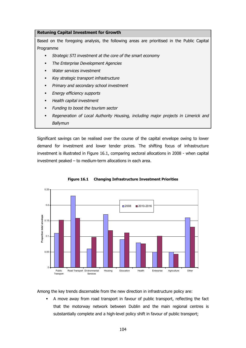#### **Retuning Capital Investment for Growth**

Based on the foregoing analysis, the following areas are prioritised in the Public Capital Programme

- § Strategic STI investment at the core of the smart economy
- § The Enterprise Development Agencies
- Water services investment
- § Key strategic transport infrastructure
- Primary and secondary school investment
- Energy efficiency supports
- **•** Health capital investment
- Funding to boost the tourism sector
- § Regeneration of Local Authority Housing, including major projects in Limerick and Ballymun

Significant savings can be realised over the course of the capital envelope owing to lower demand for investment and lower tender prices. The shifting focus of infrastructure investment is illustrated in Figure 16.1, comparing sectoral allocations in 2008 - when capital investment peaked – to medium-term allocations in each area.



**Figure 16.1 Changing Infrastructure Investment Priorities**

Among the key trends discernable from the new direction in infrastructure policy are:

§ A move away from road transport in favour of public transport, reflecting the fact that the motorway network between Dublin and the main regional centres is substantially complete and a high-level policy shift in favour of public transport;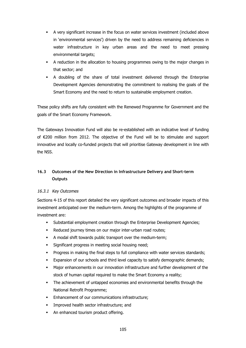- § A very significant increase in the focus on water services investment (included above in 'environmental services') driven by the need to address remaining deficiencies in water infrastructure in key urban areas and the need to meet pressing environmental targets;
- § A reduction in the allocation to housing programmes owing to the major changes in that sector; and
- § A doubling of the share of total investment delivered through the Enterprise Development Agencies demonstrating the commitment to realising the goals of the Smart Economy and the need to return to sustainable employment creation.

These policy shifts are fully consistent with the Renewed Programme for Government and the goals of the Smart Economy Framework.

The Gateways Innovation Fund will also be re-established with an indicative level of funding of €200 million from 2012. The objective of the Fund will be to stimulate and support innovative and locally co-funded projects that will prioritise Gateway development in line with the NSS.

## **16.3 Outcomes of the New Direction in Infrastructure Delivery and Short-term Outputs**

## 16.3.1 Key Outcomes

Sections 4-15 of this report detailed the very significant outcomes and broader impacts of this investment anticipated over the medium-term. Among the highlights of the programme of investment are:

- § Substantial employment creation through the Enterprise Development Agencies;
- Reduced journey times on our major inter-urban road routes;
- § A modal shift towards public transport over the medium-term;
- § Significant progress in meeting social housing need;
- Progress in making the final steps to full compliance with water services standards;
- Expansion of our schools and third level capacity to satisfy demographic demands;
- § Major enhancements in our innovation infrastructure and further development of the stock of human capital required to make the Smart Economy a reality;
- The achievement of untapped economies and environmental benefits through the National Retrofit Programme;
- Enhancement of our communications infrastructure;
- § Improved health sector infrastructure; and
- An enhanced tourism product offering.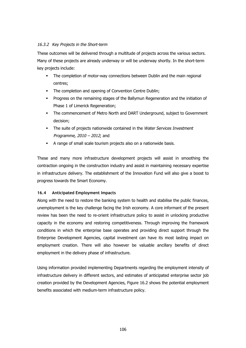## 16.3.2 Key Projects in the Short-term

These outcomes will be delivered through a multitude of projects across the various sectors. Many of these projects are already underway or will be underway shortly. In the short-term key projects include:

- The completion of motor-way connections between Dublin and the main regional centres;
- The completion and opening of Convention Centre Dublin;
- § Progress on the remaining stages of the Ballymun Regeneration and the initiation of Phase 1 of Limerick Regeneration;
- § The commencement of Metro North and DART Underground, subject to Government decision;
- The suite of projects nationwide contained in the Water Services Investment Programme, 2010 – 2012; and
- § A range of small scale tourism projects also on a nationwide basis.

These and many more infrastructure development projects will assist in smoothing the contraction ongoing in the construction industry and assist in maintaining necessary expertise in infrastructure delivery. The establishment of the Innovation Fund will also give a boost to progress towards the Smart Economy.

## **16.4 Anticipated Employment Impacts**

Along with the need to restore the banking system to health and stabilise the public finances, unemployment is the key challenge facing the Irish economy. A core informant of the present review has been the need to re-orient infrastructure policy to assist in unlocking productive capacity in the economy and restoring competitiveness. Through improving the framework conditions in which the enterprise base operates and providing direct support through the Enterprise Development Agencies, capital investment can have its most lasting impact on employment creation. There will also however be valuable ancillary benefits of direct employment in the delivery phase of infrastructure.

Using information provided implementing Departments regarding the employment intensity of infrastructure delivery in different sectors, and estimates of anticipated enterprise sector job creation provided by the Development Agencies, Figure 16.2 shows the potential employment benefits associated with medium-term infrastructure policy.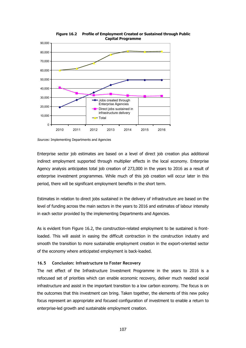

**Figure 16.2 Profile of Employment Created or Sustained through Public Capital Programme**

Enterprise sector job estimates are based on a level of direct job creation plus additional indirect employment supported through multiplier effects in the local economy. Enterprise Agency analysis anticipates total job creation of 273,000 in the years to 2016 as a result of enterprise investment programmes. While much of this job creation will occur later in this period, there will be significant employment benefits in the short term.

Estimates in relation to direct jobs sustained in the delivery of infrastructure are based on the level of funding across the main sectors in the years to 2016 and estimates of labour intensity in each sector provided by the implementing Departments and Agencies.

As is evident from Figure 16.2, the construction-related employment to be sustained is frontloaded. This will assist in easing the difficult contraction in the construction industry and smooth the transition to more sustainable employment creation in the export-oriented sector of the economy where anticipated employment is back-loaded.

#### **16.5 Conclusion: Infrastructure to Foster Recovery**

The net effect of the Infrastructure Investment Programme in the years to 2016 is a refocused set of priorities which can enable economic recovery, deliver much needed social infrastructure and assist in the important transition to a low carbon economy. The focus is on the outcomes that this investment can bring. Taken together, the elements of this new policy focus represent an appropriate and focused configuration of investment to enable a return to enterprise-led growth and sustainable employment creation.

Sources: Implementing Departments and Agencies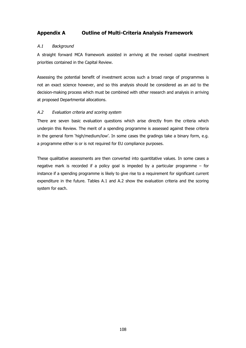## **Appendix A Outline of Multi-Criteria Analysis Framework**

## A.1 Background

A straight forward MCA framework assisted in arriving at the revised capital investment priorities contained in the Capital Review.

Assessing the potential benefit of investment across such a broad range of programmes is not an exact science however, and so this analysis should be considered as an aid to the decision-making process which must be combined with other research and analysis in arriving at proposed Departmental allocations.

#### A.2 Evaluation criteria and scoring system

There are seven basic evaluation questions which arise directly from the criteria which underpin this Review. The merit of a spending programme is assessed against these criteria in the general form 'high/medium/low'. In some cases the gradings take a binary form, e.g. a programme either is or is not required for EU compliance purposes.

These qualitative assessments are then converted into quantitative values. In some cases a negative mark is recorded if a policy goal is impeded by a particular programme – for instance if a spending programme is likely to give rise to a requirement for significant current expenditure in the future. Tables A.1 and A.2 show the evaluation criteria and the scoring system for each.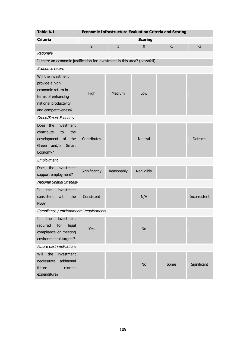| <b>Table A.1</b>                                                                                                                   |                |              |                | <b>Economic Infrastructure Evaluation Criteria and Scoring</b> |                 |
|------------------------------------------------------------------------------------------------------------------------------------|----------------|--------------|----------------|----------------------------------------------------------------|-----------------|
| <b>Criteria</b>                                                                                                                    |                |              | <b>Scoring</b> |                                                                |                 |
|                                                                                                                                    | $\overline{2}$ | $\mathbf{1}$ | $\bf{0}$       | $-1$                                                           | $-2$            |
| Rationale                                                                                                                          |                |              |                |                                                                |                 |
| Is there an economic justification for investment in this area? (pass/fail)                                                        |                |              |                |                                                                |                 |
| Economic return                                                                                                                    |                |              |                |                                                                |                 |
| Will the investment<br>provide a high<br>economic return in<br>terms of enhancing<br>national productivity<br>and competitiveness? | High           | Medium       | Low            |                                                                |                 |
| Green/Smart Economy                                                                                                                |                |              |                |                                                                |                 |
| Does the investment<br>contribute<br>to<br>the<br>of<br>the<br>development<br>Green and/or Smart<br>Economy?                       | Contributes    |              | <b>Neutral</b> |                                                                | <b>Detracts</b> |
| Employment                                                                                                                         |                |              |                |                                                                |                 |
| Does the investment<br>support employment?                                                                                         | Significantly  | Reasonably   | Negligibly     |                                                                |                 |
| <b>National Spatial Strategy</b>                                                                                                   |                |              |                |                                                                |                 |
| the<br>Is<br>investment<br>with<br>consistent<br>the<br>NSS?                                                                       | Consistent     |              | N/A            |                                                                | Inconsistent    |
| Compliance / environmental requirements                                                                                            |                |              |                |                                                                |                 |
| investment<br>the<br>Is<br>required<br>for<br>legal<br>compliance or meeting<br>environmental targets?                             | Yes            |              | <b>No</b>      |                                                                |                 |
| Future cost implications                                                                                                           |                |              |                |                                                                |                 |
| the<br>Will<br>investment<br>additional<br>necessitate<br>future<br>current<br>expenditure?                                        |                |              | <b>No</b>      | Some                                                           | Significant     |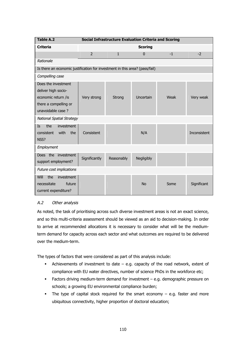| <b>Table A.2</b>                                                                                                |                | <b>Social Infrastructure Evaluation Criteria and Scoring</b> |                |      |              |
|-----------------------------------------------------------------------------------------------------------------|----------------|--------------------------------------------------------------|----------------|------|--------------|
| <b>Criteria</b>                                                                                                 |                |                                                              | <b>Scoring</b> |      |              |
|                                                                                                                 | $\overline{2}$ | $\mathbf{1}$                                                 | $\Omega$       | $-1$ | $-2$         |
| Rationale                                                                                                       |                |                                                              |                |      |              |
| Is there an economic justification for investment in this area? (pass/fail)                                     |                |                                                              |                |      |              |
| Compelling case                                                                                                 |                |                                                              |                |      |              |
| Does the investment<br>deliver high socio-<br>economic return /is<br>there a compelling or<br>unavoidable case? | Very strong    | Strong                                                       | Uncertain      | Weak | Very weak    |
| <b>National Spatial Strategy</b>                                                                                |                |                                                              |                |      |              |
| the<br>investment<br><b>Is</b><br>with<br>consistent<br>the<br>NSS?                                             | Consistent     |                                                              | N/A            |      | Inconsistent |
| Employment                                                                                                      |                |                                                              |                |      |              |
| Does the investment<br>support employment?                                                                      | Significantly  | Reasonably                                                   | Negligibly     |      |              |
| Future cost implications                                                                                        |                |                                                              |                |      |              |
| Will<br>the<br>investment<br>future<br>necessitate<br>current expenditure?                                      |                |                                                              | <b>No</b>      | Some | Significant  |

## A.2 Other analysis

As noted, the task of prioritising across such diverse investment areas is not an exact science, and so this multi-criteria assessment should be viewed as an aid to decision-making. In order to arrive at recommended allocations it is necessary to consider what will be the mediumterm demand for capacity across each sector and what outcomes are required to be delivered over the medium-term.

The types of factors that were considered as part of this analysis include:

- E Achievements of investment to date  $-$  e.g. capacity of the road network, extent of compliance with EU water directives, number of science PhDs in the workforce etc;
- § Factors driving medium-term demand for investment e.g. demographic pressure on schools; a growing EU environmental compliance burden;
- The type of capital stock required for the smart economy e.g. faster and more ubiquitous connectivity, higher proportion of doctoral education;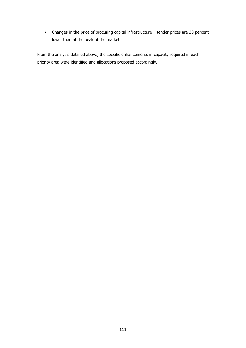§ Changes in the price of procuring capital infrastructure – tender prices are 30 percent lower than at the peak of the market.

From the analysis detailed above, the specific enhancements in capacity required in each priority area were identified and allocations proposed accordingly.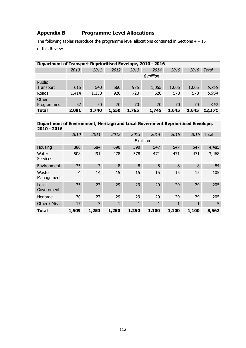# **Appendix B Programme Level Allocations**

The following tables reproduce the programme level allocations contained in Sections  $4 - 15$ of this Review

| Department of Transport Reprioritised Envelope, 2010 - 2016 |       |       |       |       |                    |       |       |        |
|-------------------------------------------------------------|-------|-------|-------|-------|--------------------|-------|-------|--------|
|                                                             | 2010  | 2011  | 2012  | 2013  | 2014               | 2015  | 2016  | Total  |
|                                                             |       |       |       |       | $\epsilon$ million |       |       |        |
| Public<br>Transport                                         | 615   | 540   | 560   | 975   | 1,055              | 1,005 | 1,005 | 5,755  |
| Roads                                                       | 1,414 | 1,150 | 920   | 720   | 620                | 570   | 570   | 5,964  |
| <b>Other</b>                                                |       |       |       |       |                    |       |       |        |
| Programmes                                                  | 52    | 50    | 70    | 70    | 70                 | 70    | 70    | 452    |
| <b>Total</b>                                                | 2,081 | 1,740 | 1,550 | 1,765 | 1,745              | 1,645 | 1,645 | 12,171 |

| Department of Environment, Heritage and Local Government Reprioritised Envelope,<br>$2010 - 2016$ |       |                |              |                    |              |              |              |              |
|---------------------------------------------------------------------------------------------------|-------|----------------|--------------|--------------------|--------------|--------------|--------------|--------------|
|                                                                                                   | 2010  | 2011           | 2012         | 2013               | 2014         | 2015         | 2016         | <b>Total</b> |
|                                                                                                   |       |                |              | $\epsilon$ million |              |              |              |              |
| Housing                                                                                           | 880   | 684            | 690          | 590                | 547          | 547          | 547          | 4,485        |
| Water<br><b>Services</b>                                                                          | 508   | 491            | 478          | 578                | 471          | 471          | 471          | 3,468        |
| Environment                                                                                       | 35    | $\overline{7}$ | 8            | 8                  | 8            | 8            | 8            | 84           |
| Waste<br>Management                                                                               | 4     | 14             | 15           | 15                 | 15           | 15           | 15           | 105          |
| Local<br>Government                                                                               | 35    | 27             | 29           | 29                 | 29           | 29           | 29           | 205          |
| Heritage                                                                                          | 30    | 27             | 29           | 29                 | 29           | 29           | 29           | 205          |
| Other / Misc                                                                                      | 17    | 3              | $\mathbf{1}$ | $\mathbf{1}$       | $\mathbf{1}$ | $\mathbf{1}$ | $\mathbf{1}$ | 5            |
| <b>Total</b>                                                                                      | 1,509 | 1,253          | 1,250        | 1,250              | 1,100        | 1,100        | 1,100        | 8,562        |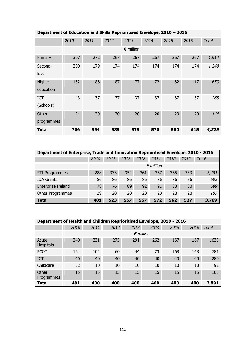|                         | Department of Education and Skills Reprioritised Envelope, 2010 - 2016 |      |      |                    |      |      |      |              |  |  |  |
|-------------------------|------------------------------------------------------------------------|------|------|--------------------|------|------|------|--------------|--|--|--|
|                         | 2010                                                                   | 2011 | 2012 | 2013               | 2014 | 2015 | 2016 | <b>Total</b> |  |  |  |
|                         |                                                                        |      |      | $\epsilon$ million |      |      |      |              |  |  |  |
| Primary                 | 307                                                                    | 272  | 267  | 267                | 267  | 267  | 267  | 1,914        |  |  |  |
| Second-<br>level        | 200                                                                    | 179  | 174  | 174                | 174  | 174  | 174  | 1,249        |  |  |  |
| Higher<br>education     | 132                                                                    | 86   | 87   | 77                 | 72   | 82   | 117  | 653          |  |  |  |
| <b>ICT</b><br>(Schools) | 43                                                                     | 37   | 37   | 37                 | 37   | 37   | 37   | 265          |  |  |  |
| Other<br>programmes     | 24                                                                     | 20   | 20   | 20                 | 20   | 20   | 20   | 144          |  |  |  |
| <b>Total</b>            | 706                                                                    | 594  | 585  | 575                | 570  | 580  | 615  | 4,225        |  |  |  |

|                       | Department of Enterprise, Trade and Innovation Reprioritised Envelope, 2010 - 2016 |      |      |      |                    |      |      |       |  |  |  |
|-----------------------|------------------------------------------------------------------------------------|------|------|------|--------------------|------|------|-------|--|--|--|
|                       | 2010                                                                               | 2011 | 2012 | 2013 | 2014               | 2015 | 2016 | Total |  |  |  |
|                       |                                                                                    |      |      |      | $\epsilon$ million |      |      |       |  |  |  |
| <b>STI Programmes</b> | 288                                                                                | 333  | 354  | 361  | 367                | 365  | 333  | 2,401 |  |  |  |
| <b>IDA Grants</b>     | 86                                                                                 | 86   | 86   | 86   | 86                 | 86   | 86   | 602   |  |  |  |
| Enterprise Ireland    | 78                                                                                 | 76   | 89   | 92   | 91                 | 83   | 80   | 589   |  |  |  |
| Other Programmes      | 29                                                                                 | 28   | 28   | 28   | 28                 | 28   | 28   | 197   |  |  |  |
| <b>Total</b>          | 481                                                                                | 523  | 557  | 567  | 572                | 562  | 527  | 3,789 |  |  |  |

| <b>Department of Health and Children Reprioritised Envelope, 2010 - 2016</b> |      |      |      |                    |      |      |      |              |
|------------------------------------------------------------------------------|------|------|------|--------------------|------|------|------|--------------|
|                                                                              | 2010 | 2011 | 2012 | 2013               | 2014 | 2015 | 2016 | <b>Total</b> |
|                                                                              |      |      |      | $\epsilon$ million |      |      |      |              |
| Acute<br>Hospitals                                                           | 240  | 231  | 275  | 291                | 262  | 167  | 167  | 1633         |
| <b>PCCC</b>                                                                  | 164  | 104  | 60   | 44                 | 73   | 168  | 168  | 781          |
| ICT                                                                          | 40   | 40   | 40   | 40                 | 40   | 40   | 40   | 280          |
| Childcare                                                                    | 32   | 10   | 10   | 10                 | 10   | 10   | 10   | 92           |
| Other<br><b>Programmes</b>                                                   | 15   | 15   | 15   | 15                 | 15   | 15   | 15   | 105          |
| <b>Total</b>                                                                 | 491  | 400  | 400  | 400                | 400  | 400  | 400  | 2,891        |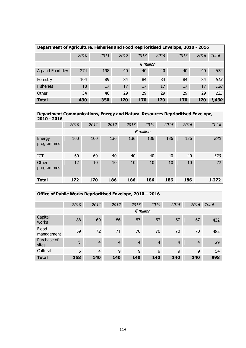|                  | Department of Agriculture, Fisheries and Food Reprioritised Envelope, 2010 - 2016 |      |      |                    |      |      |      |              |  |  |  |  |
|------------------|-----------------------------------------------------------------------------------|------|------|--------------------|------|------|------|--------------|--|--|--|--|
|                  | 2010                                                                              | 2011 | 2012 | 2013               | 2014 | 2015 | 2016 | <b>Total</b> |  |  |  |  |
|                  |                                                                                   |      |      | $\epsilon$ million |      |      |      |              |  |  |  |  |
| Ag and Food dev  | 274                                                                               | 198  | 40   | 40                 | 40   | 40   | 40   | 672          |  |  |  |  |
| Forestry         | 104                                                                               | 89   | 84   | 84                 | 84   | 84   | 84   | 613          |  |  |  |  |
| <b>Fisheries</b> | 18                                                                                | 17   | 17   | 17                 | 17   | 17   | 17   | 120          |  |  |  |  |
| Other            | 34                                                                                | 46   | 29   | 29                 | 29   | 29   | 29   | 225          |  |  |  |  |
| <b>Total</b>     | 430                                                                               | 350  | 170  | 170                | 170  | 170  | 170  | 1,630        |  |  |  |  |

| Department Communications, Energy and Natural Resources Reprioritised Envelope,<br>$2010 - 2016$ |      |      |      |      |                    |      |      |              |
|--------------------------------------------------------------------------------------------------|------|------|------|------|--------------------|------|------|--------------|
|                                                                                                  | 2010 | 2011 | 2012 | 2013 | 2014               | 2015 | 2016 | <b>Total</b> |
|                                                                                                  |      |      |      |      | $\epsilon$ million |      |      |              |
| Energy<br>programmes                                                                             | 100  | 100  | 136  | 136  | 136                | 136  | 136  | 880          |
| <b>ICT</b>                                                                                       | 60   | 60   | 40   | 40   | 40                 | 40   | 40   | 320          |
| Other<br>programmes                                                                              | 12   | 10   | 10   | 10   | 10                 | 10   | 10   | 72           |
| <b>Total</b>                                                                                     | 172  | 170  | 186  | 186  | 186                | 186  | 186  | 1,272        |

| Office of Public Works Reprioritised Envelope, 2010 - 2016 |                    |                |                |                |                |                |                |              |  |  |  |
|------------------------------------------------------------|--------------------|----------------|----------------|----------------|----------------|----------------|----------------|--------------|--|--|--|
|                                                            | 2010               | 2011           | 2012           | 2013           | 2014           | 2015           | 2016           | <b>Total</b> |  |  |  |
|                                                            | $\epsilon$ million |                |                |                |                |                |                |              |  |  |  |
| Capital<br>works                                           | 88                 | 60             | 56             | 57             | 57             | 57             | 57             | 432          |  |  |  |
| Flood<br>management                                        | 59                 | 72             | 71             | 70             | 70             | 70             | 70             | 482          |  |  |  |
| Purchase of<br>sites                                       | 5                  | $\overline{4}$ | $\overline{4}$ | $\overline{4}$ | $\overline{4}$ | $\overline{4}$ | $\overline{4}$ | 29           |  |  |  |
| Cultural                                                   | 5                  | $\overline{4}$ | 9              | 9              | 9              | 9              | 9              | 54           |  |  |  |
| <b>Total</b>                                               | 158                | 140            | 140            | 140            | 140            | 140            | 140            | 998          |  |  |  |